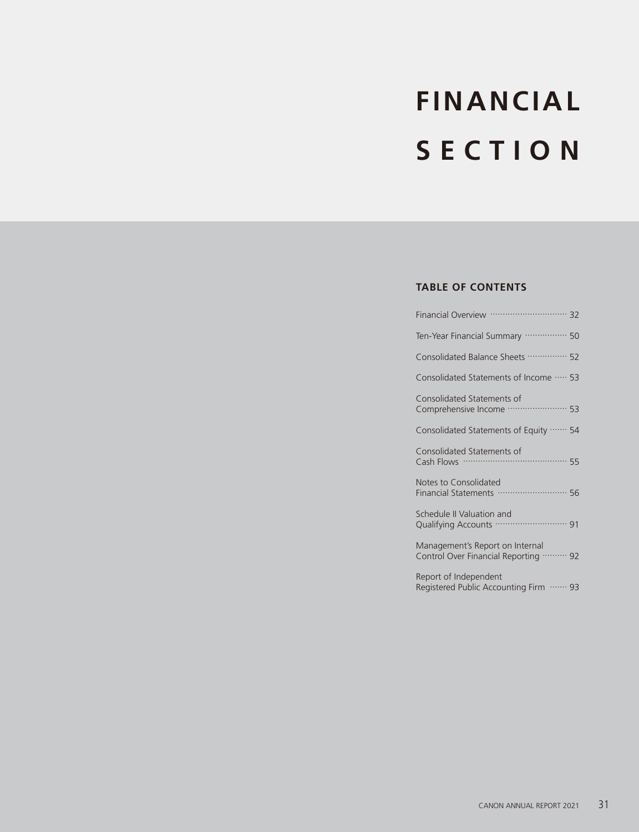# **FINANCIAL SECTION**

# **TABLE OF CONTENTS**

| Ten-Year Financial Summary ················· 50                                |
|--------------------------------------------------------------------------------|
| Consolidated Balance Sheets ················· 52                               |
| Consolidated Statements of Income  53                                          |
| Consolidated Statements of<br>Comprehensive Income ························ 53 |
| Consolidated Statements of Equity  54                                          |
| Consolidated Statements of                                                     |
| Notes to Consolidated                                                          |
| Schedule II Valuation and                                                      |
| Management's Report on Internal<br>Control Over Financial Reporting  92        |
| Report of Independent<br>Registered Public Accounting Firm  93                 |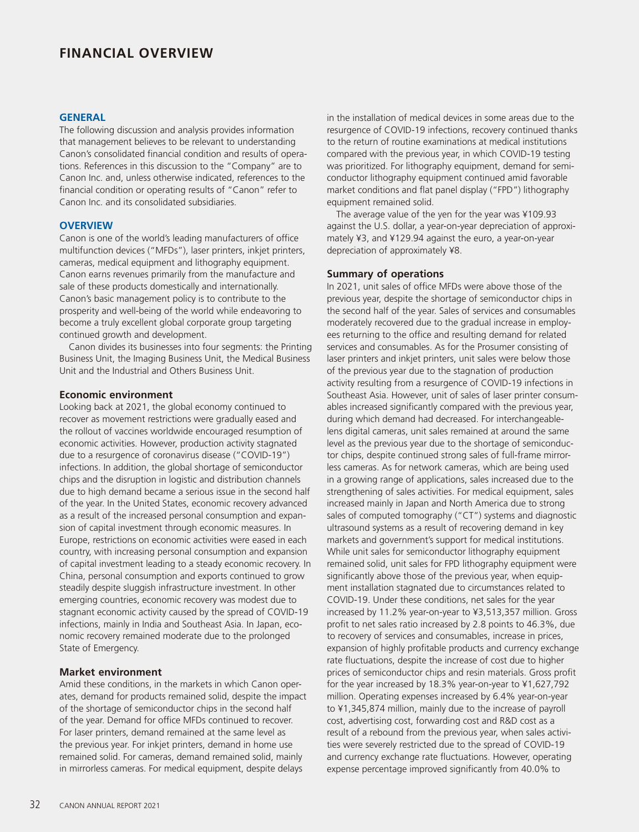# **FINANCIAL OVERVIEW**

# **GENERAL**

The following discussion and analysis provides information that management believes to be relevant to understanding Canon's consolidated financial condition and results of operations. References in this discussion to the "Company" are to Canon Inc. and, unless otherwise indicated, references to the financial condition or operating results of "Canon" refer to Canon Inc. and its consolidated subsidiaries.

# **OVERVIEW**

Canon is one of the world's leading manufacturers of office multifunction devices ("MFDs"), laser printers, inkjet printers, cameras, medical equipment and lithography equipment. Canon earns revenues primarily from the manufacture and sale of these products domestically and internationally. Canon's basic management policy is to contribute to the prosperity and well-being of the world while endeavoring to become a truly excellent global corporate group targeting continued growth and development.

Canon divides its businesses into four segments: the Printing Business Unit, the Imaging Business Unit, the Medical Business Unit and the Industrial and Others Business Unit.

# **Economic environment**

Looking back at 2021, the global economy continued to recover as movement restrictions were gradually eased and the rollout of vaccines worldwide encouraged resumption of economic activities. However, production activity stagnated due to a resurgence of coronavirus disease ("COVID-19") infections. In addition, the global shortage of semiconductor chips and the disruption in logistic and distribution channels due to high demand became a serious issue in the second half of the year. In the United States, economic recovery advanced as a result of the increased personal consumption and expansion of capital investment through economic measures. In Europe, restrictions on economic activities were eased in each country, with increasing personal consumption and expansion of capital investment leading to a steady economic recovery. In China, personal consumption and exports continued to grow steadily despite sluggish infrastructure investment. In other emerging countries, economic recovery was modest due to stagnant economic activity caused by the spread of COVID-19 infections, mainly in India and Southeast Asia. In Japan, economic recovery remained moderate due to the prolonged State of Emergency.

# **Market environment**

Amid these conditions, in the markets in which Canon operates, demand for products remained solid, despite the impact of the shortage of semiconductor chips in the second half of the year. Demand for office MFDs continued to recover. For laser printers, demand remained at the same level as the previous year. For inkjet printers, demand in home use remained solid. For cameras, demand remained solid, mainly in mirrorless cameras. For medical equipment, despite delays

in the installation of medical devices in some areas due to the resurgence of COVID-19 infections, recovery continued thanks to the return of routine examinations at medical institutions compared with the previous year, in which COVID-19 testing was prioritized. For lithography equipment, demand for semiconductor lithography equipment continued amid favorable market conditions and flat panel display ("FPD") lithography equipment remained solid.

The average value of the yen for the year was ¥109.93 against the U.S. dollar, a year-on-year depreciation of approximately ¥3, and ¥129.94 against the euro, a year-on-year depreciation of approximately ¥8.

#### **Summary of operations**

In 2021, unit sales of office MFDs were above those of the previous year, despite the shortage of semiconductor chips in the second half of the year. Sales of services and consumables moderately recovered due to the gradual increase in employees returning to the office and resulting demand for related services and consumables. As for the Prosumer consisting of laser printers and inkjet printers, unit sales were below those of the previous year due to the stagnation of production activity resulting from a resurgence of COVID-19 infections in Southeast Asia. However, unit of sales of laser printer consumables increased significantly compared with the previous year, during which demand had decreased. For interchangeablelens digital cameras, unit sales remained at around the same level as the previous year due to the shortage of semiconductor chips, despite continued strong sales of full-frame mirrorless cameras. As for network cameras, which are being used in a growing range of applications, sales increased due to the strengthening of sales activities. For medical equipment, sales increased mainly in Japan and North America due to strong sales of computed tomography ("CT") systems and diagnostic ultrasound systems as a result of recovering demand in key markets and government's support for medical institutions. While unit sales for semiconductor lithography equipment remained solid, unit sales for FPD lithography equipment were significantly above those of the previous year, when equipment installation stagnated due to circumstances related to COVID-19. Under these conditions, net sales for the year increased by 11.2% year-on-year to ¥3,513,357 million. Gross profit to net sales ratio increased by 2.8 points to 46.3%, due to recovery of services and consumables, increase in prices, expansion of highly profitable products and currency exchange rate fluctuations, despite the increase of cost due to higher prices of semiconductor chips and resin materials. Gross profit for the year increased by 18.3% year-on-year to ¥1,627,792 million. Operating expenses increased by 6.4% year-on-year to ¥1,345,874 million, mainly due to the increase of payroll cost, advertising cost, forwarding cost and R&D cost as a result of a rebound from the previous year, when sales activities were severely restricted due to the spread of COVID-19 and currency exchange rate fluctuations. However, operating expense percentage improved significantly from 40.0% to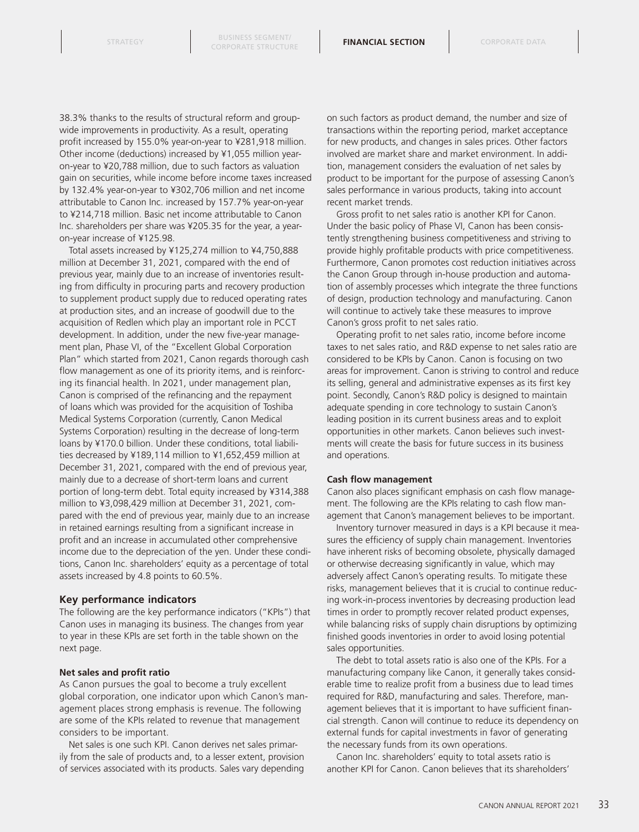38.3% thanks to the results of structural reform and groupwide improvements in productivity. As a result, operating profit increased by 155.0% year-on-year to ¥281,918 million. Other income (deductions) increased by ¥1,055 million yearon-year to ¥20,788 million, due to such factors as valuation gain on securities, while income before income taxes increased by 132.4% year-on-year to ¥302,706 million and net income attributable to Canon Inc. increased by 157.7% year-on-year to ¥214,718 million. Basic net income attributable to Canon Inc. shareholders per share was ¥205.35 for the year, a yearon-year increase of ¥125.98.

Total assets increased by ¥125,274 million to ¥4,750,888 million at December 31, 2021, compared with the end of previous year, mainly due to an increase of inventories resulting from difficulty in procuring parts and recovery production to supplement product supply due to reduced operating rates at production sites, and an increase of goodwill due to the acquisition of Redlen which play an important role in PCCT development. In addition, under the new five-year management plan, Phase VI, of the "Excellent Global Corporation Plan" which started from 2021, Canon regards thorough cash flow management as one of its priority items, and is reinforcing its financial health. In 2021, under management plan, Canon is comprised of the refinancing and the repayment of loans which was provided for the acquisition of Toshiba Medical Systems Corporation (currently, Canon Medical Systems Corporation) resulting in the decrease of long-term loans by ¥170.0 billion. Under these conditions, total liabilities decreased by ¥189,114 million to ¥1,652,459 million at December 31, 2021, compared with the end of previous year, mainly due to a decrease of short-term loans and current portion of long-term debt. Total equity increased by ¥314,388 million to ¥3,098,429 million at December 31, 2021, compared with the end of previous year, mainly due to an increase in retained earnings resulting from a significant increase in profit and an increase in accumulated other comprehensive income due to the depreciation of the yen. Under these conditions, Canon Inc. shareholders' equity as a percentage of total assets increased by 4.8 points to 60.5%.

#### **Key performance indicators**

The following are the key performance indicators ("KPIs") that Canon uses in managing its business. The changes from year to year in these KPIs are set forth in the table shown on the next page.

#### **Net sales and profit ratio**

As Canon pursues the goal to become a truly excellent global corporation, one indicator upon which Canon's management places strong emphasis is revenue. The following are some of the KPIs related to revenue that management considers to be important.

Net sales is one such KPI. Canon derives net sales primarily from the sale of products and, to a lesser extent, provision of services associated with its products. Sales vary depending on such factors as product demand, the number and size of transactions within the reporting period, market acceptance for new products, and changes in sales prices. Other factors involved are market share and market environment. In addition, management considers the evaluation of net sales by product to be important for the purpose of assessing Canon's sales performance in various products, taking into account recent market trends.

Gross profit to net sales ratio is another KPI for Canon. Under the basic policy of Phase VI, Canon has been consistently strengthening business competitiveness and striving to provide highly profitable products with price competitiveness. Furthermore, Canon promotes cost reduction initiatives across the Canon Group through in-house production and automation of assembly processes which integrate the three functions of design, production technology and manufacturing. Canon will continue to actively take these measures to improve Canon's gross profit to net sales ratio.

Operating profit to net sales ratio, income before income taxes to net sales ratio, and R&D expense to net sales ratio are considered to be KPIs by Canon. Canon is focusing on two areas for improvement. Canon is striving to control and reduce its selling, general and administrative expenses as its first key point. Secondly, Canon's R&D policy is designed to maintain adequate spending in core technology to sustain Canon's leading position in its current business areas and to exploit opportunities in other markets. Canon believes such investments will create the basis for future success in its business and operations.

#### **Cash flow management**

Canon also places significant emphasis on cash flow management. The following are the KPIs relating to cash flow management that Canon's management believes to be important.

Inventory turnover measured in days is a KPI because it measures the efficiency of supply chain management. Inventories have inherent risks of becoming obsolete, physically damaged or otherwise decreasing significantly in value, which may adversely affect Canon's operating results. To mitigate these risks, management believes that it is crucial to continue reducing work-in-process inventories by decreasing production lead times in order to promptly recover related product expenses, while balancing risks of supply chain disruptions by optimizing finished goods inventories in order to avoid losing potential sales opportunities.

The debt to total assets ratio is also one of the KPIs. For a manufacturing company like Canon, it generally takes considerable time to realize profit from a business due to lead times required for R&D, manufacturing and sales. Therefore, management believes that it is important to have sufficient financial strength. Canon will continue to reduce its dependency on external funds for capital investments in favor of generating the necessary funds from its own operations.

Canon Inc. shareholders' equity to total assets ratio is another KPI for Canon. Canon believes that its shareholders'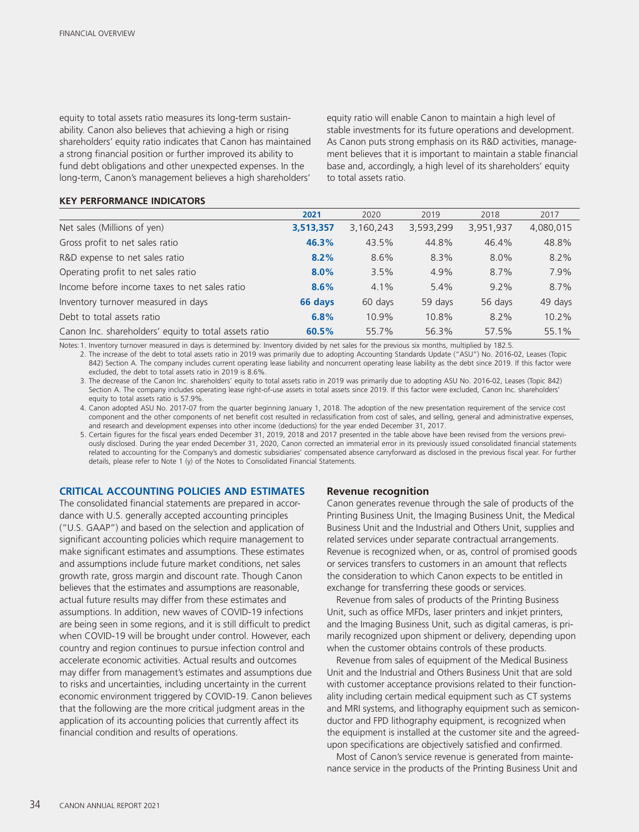equity to total assets ratio measures its long-term sustainability. Canon also believes that achieving a high or rising shareholders' equity ratio indicates that Canon has maintained a strong financial position or further improved its ability to fund debt obligations and other unexpected expenses. In the long-term, Canon's management believes a high shareholders'

equity ratio will enable Canon to maintain a high level of stable investments for its future operations and development. As Canon puts strong emphasis on its R&D activities, management believes that it is important to maintain a stable financial base and, accordingly, a high level of its shareholders' equity to total assets ratio.

## **KEY PERFORMANCE INDICATORS**

|                                                       | 2021      | 2020      | 2019      | 2018      | 2017      |
|-------------------------------------------------------|-----------|-----------|-----------|-----------|-----------|
| Net sales (Millions of yen)                           | 3,513,357 | 3,160,243 | 3,593,299 | 3,951,937 | 4,080,015 |
| Gross profit to net sales ratio                       | 46.3%     | 43.5%     | 44.8%     | 46.4%     | 48.8%     |
| R&D expense to net sales ratio                        | 8.2%      | 8.6%      | 8.3%      | $8.0\%$   | 8.2%      |
| Operating profit to net sales ratio                   | 8.0%      | 3.5%      | 4.9%      | 8.7%      | 7.9%      |
| Income before income taxes to net sales ratio         | 8.6%      | $4.1\%$   | $5.4\%$   | $9.2\%$   | 8.7%      |
| Inventory turnover measured in days                   | 66 days   | 60 days   | 59 days   | 56 days   | 49 days   |
| Debt to total assets ratio                            | 6.8%      | 10.9%     | 10.8%     | $8.2\%$   | 10.2%     |
| Canon Inc. shareholders' equity to total assets ratio | 60.5%     | 55.7%     | 56.3%     | 57.5%     | 55.1%     |

Notes:1. Inventory turnover measured in days is determined by: Inventory divided by net sales for the previous six months, multiplied by 182.5.

2. The increase of the debt to total assets ratio in 2019 was primarily due to adopting Accounting Standards Update ("ASU") No. 2016-02, Leases (Topic 842) Section A. The company includes current operating lease liability and noncurrent operating lease liability as the debt since 2019. If this factor were excluded, the debt to total assets ratio in 2019 is 8.6%.

3. The decrease of the Canon Inc. shareholders' equity to total assets ratio in 2019 was primarily due to adopting ASU No. 2016-02, Leases (Topic 842) Section A. The company includes operating lease right-of-use assets in total assets since 2019. If this factor were excluded, Canon Inc. shareholders' equity to total assets ratio is 57.9%.

4. Canon adopted ASU No. 2017-07 from the quarter beginning January 1, 2018. The adoption of the new presentation requirement of the service cost component and the other components of net benefit cost resulted in reclassification from cost of sales, and selling, general and administrative expenses, and research and development expenses into other income (deductions) for the year ended December 31, 2017.

5. Certain figures for the fiscal years ended December 31, 2019, 2018 and 2017 presented in the table above have been revised from the versions previously disclosed. During the year ended December 31, 2020, Canon corrected an immaterial error in its previously issued consolidated financial statements related to accounting for the Company's and domestic subsidiaries' compensated absence carryforward as disclosed in the previous fiscal year. For further details, please refer to Note 1 (y) of the Notes to Consolidated Financial Statements.

# **CRITICAL ACCOUNTING POLICIES AND ESTIMATES**

The consolidated financial statements are prepared in accordance with U.S. generally accepted accounting principles ("U.S. GAAP") and based on the selection and application of significant accounting policies which require management to make significant estimates and assumptions. These estimates and assumptions include future market conditions, net sales growth rate, gross margin and discount rate. Though Canon believes that the estimates and assumptions are reasonable, actual future results may differ from these estimates and assumptions. In addition, new waves of COVID-19 infections are being seen in some regions, and it is still difficult to predict when COVID-19 will be brought under control. However, each country and region continues to pursue infection control and accelerate economic activities. Actual results and outcomes may differ from management's estimates and assumptions due to risks and uncertainties, including uncertainty in the current economic environment triggered by COVID-19. Canon believes that the following are the more critical judgment areas in the application of its accounting policies that currently affect its financial condition and results of operations.

#### **Revenue recognition**

Canon generates revenue through the sale of products of the Printing Business Unit, the Imaging Business Unit, the Medical Business Unit and the Industrial and Others Unit, supplies and related services under separate contractual arrangements. Revenue is recognized when, or as, control of promised goods or services transfers to customers in an amount that reflects the consideration to which Canon expects to be entitled in exchange for transferring these goods or services.

Revenue from sales of products of the Printing Business Unit, such as office MFDs, laser printers and inkjet printers, and the Imaging Business Unit, such as digital cameras, is primarily recognized upon shipment or delivery, depending upon when the customer obtains controls of these products.

Revenue from sales of equipment of the Medical Business Unit and the Industrial and Others Business Unit that are sold with customer acceptance provisions related to their functionality including certain medical equipment such as CT systems and MRI systems, and lithography equipment such as semiconductor and FPD lithography equipment, is recognized when the equipment is installed at the customer site and the agreedupon specifications are objectively satisfied and confirmed.

Most of Canon's service revenue is generated from maintenance service in the products of the Printing Business Unit and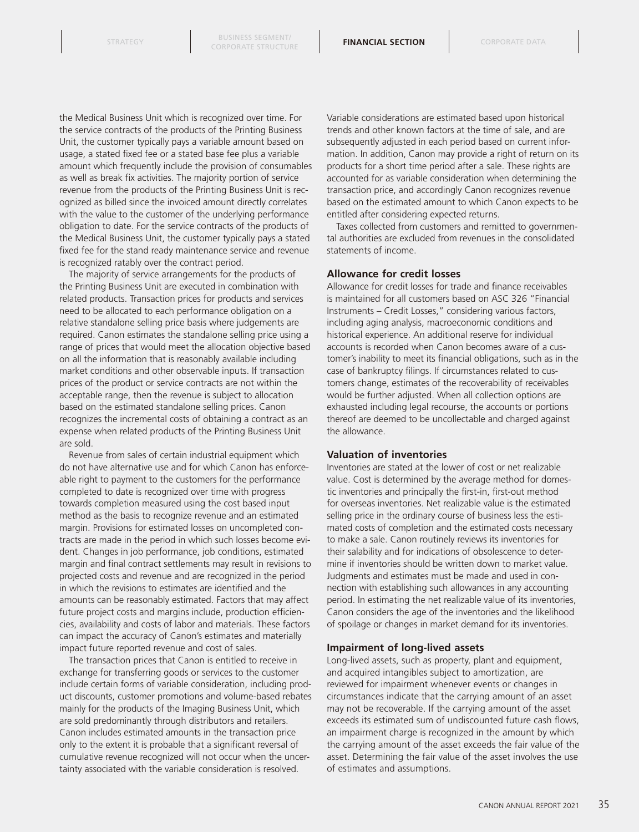the Medical Business Unit which is recognized over time. For the service contracts of the products of the Printing Business Unit, the customer typically pays a variable amount based on usage, a stated fixed fee or a stated base fee plus a variable amount which frequently include the provision of consumables as well as break fix activities. The majority portion of service revenue from the products of the Printing Business Unit is recognized as billed since the invoiced amount directly correlates with the value to the customer of the underlying performance obligation to date. For the service contracts of the products of the Medical Business Unit, the customer typically pays a stated fixed fee for the stand ready maintenance service and revenue is recognized ratably over the contract period.

The majority of service arrangements for the products of the Printing Business Unit are executed in combination with related products. Transaction prices for products and services need to be allocated to each performance obligation on a relative standalone selling price basis where judgements are required. Canon estimates the standalone selling price using a range of prices that would meet the allocation objective based on all the information that is reasonably available including market conditions and other observable inputs. If transaction prices of the product or service contracts are not within the acceptable range, then the revenue is subject to allocation based on the estimated standalone selling prices. Canon recognizes the incremental costs of obtaining a contract as an expense when related products of the Printing Business Unit are sold.

Revenue from sales of certain industrial equipment which do not have alternative use and for which Canon has enforceable right to payment to the customers for the performance completed to date is recognized over time with progress towards completion measured using the cost based input method as the basis to recognize revenue and an estimated margin. Provisions for estimated losses on uncompleted contracts are made in the period in which such losses become evident. Changes in job performance, job conditions, estimated margin and final contract settlements may result in revisions to projected costs and revenue and are recognized in the period in which the revisions to estimates are identified and the amounts can be reasonably estimated. Factors that may affect future project costs and margins include, production efficiencies, availability and costs of labor and materials. These factors can impact the accuracy of Canon's estimates and materially impact future reported revenue and cost of sales.

The transaction prices that Canon is entitled to receive in exchange for transferring goods or services to the customer include certain forms of variable consideration, including product discounts, customer promotions and volume-based rebates mainly for the products of the Imaging Business Unit, which are sold predominantly through distributors and retailers. Canon includes estimated amounts in the transaction price only to the extent it is probable that a significant reversal of cumulative revenue recognized will not occur when the uncertainty associated with the variable consideration is resolved.

Variable considerations are estimated based upon historical trends and other known factors at the time of sale, and are subsequently adjusted in each period based on current information. In addition, Canon may provide a right of return on its products for a short time period after a sale. These rights are accounted for as variable consideration when determining the transaction price, and accordingly Canon recognizes revenue based on the estimated amount to which Canon expects to be entitled after considering expected returns.

Taxes collected from customers and remitted to governmental authorities are excluded from revenues in the consolidated statements of income.

#### **Allowance for credit losses**

Allowance for credit losses for trade and finance receivables is maintained for all customers based on ASC 326 "Financial Instruments – Credit Losses," considering various factors, including aging analysis, macroeconomic conditions and historical experience. An additional reserve for individual accounts is recorded when Canon becomes aware of a customer's inability to meet its financial obligations, such as in the case of bankruptcy filings. If circumstances related to customers change, estimates of the recoverability of receivables would be further adjusted. When all collection options are exhausted including legal recourse, the accounts or portions thereof are deemed to be uncollectable and charged against the allowance.

# **Valuation of inventories**

Inventories are stated at the lower of cost or net realizable value. Cost is determined by the average method for domestic inventories and principally the first-in, first-out method for overseas inventories. Net realizable value is the estimated selling price in the ordinary course of business less the estimated costs of completion and the estimated costs necessary to make a sale. Canon routinely reviews its inventories for their salability and for indications of obsolescence to determine if inventories should be written down to market value. Judgments and estimates must be made and used in connection with establishing such allowances in any accounting period. In estimating the net realizable value of its inventories, Canon considers the age of the inventories and the likelihood of spoilage or changes in market demand for its inventories.

#### **Impairment of long-lived assets**

Long-lived assets, such as property, plant and equipment, and acquired intangibles subject to amortization, are reviewed for impairment whenever events or changes in circumstances indicate that the carrying amount of an asset may not be recoverable. If the carrying amount of the asset exceeds its estimated sum of undiscounted future cash flows, an impairment charge is recognized in the amount by which the carrying amount of the asset exceeds the fair value of the asset. Determining the fair value of the asset involves the use of estimates and assumptions.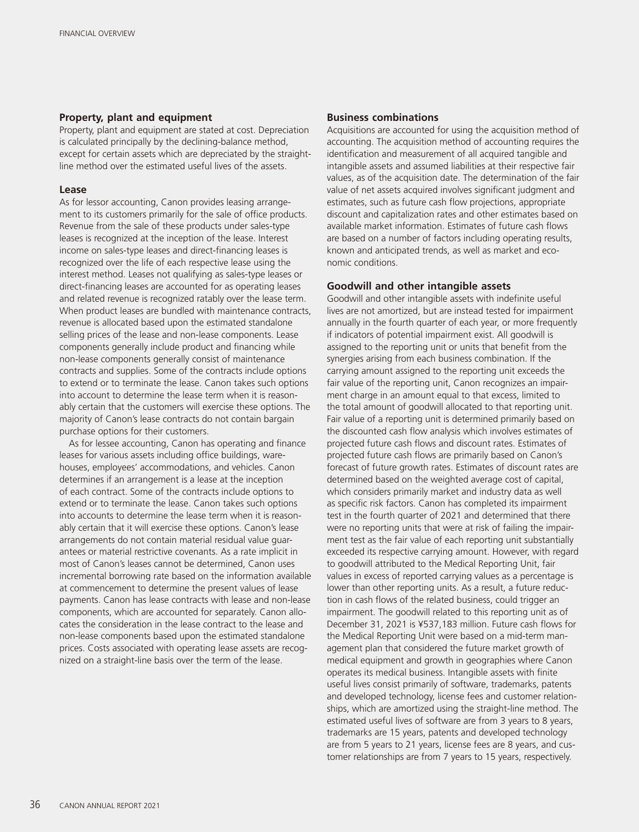# **Property, plant and equipment**

Property, plant and equipment are stated at cost. Depreciation is calculated principally by the declining-balance method, except for certain assets which are depreciated by the straightline method over the estimated useful lives of the assets.

# **Lease**

As for lessor accounting, Canon provides leasing arrangement to its customers primarily for the sale of office products. Revenue from the sale of these products under sales-type leases is recognized at the inception of the lease. Interest income on sales-type leases and direct-financing leases is recognized over the life of each respective lease using the interest method. Leases not qualifying as sales-type leases or direct-financing leases are accounted for as operating leases and related revenue is recognized ratably over the lease term. When product leases are bundled with maintenance contracts, revenue is allocated based upon the estimated standalone selling prices of the lease and non-lease components. Lease components generally include product and financing while non-lease components generally consist of maintenance contracts and supplies. Some of the contracts include options to extend or to terminate the lease. Canon takes such options into account to determine the lease term when it is reasonably certain that the customers will exercise these options. The majority of Canon's lease contracts do not contain bargain purchase options for their customers.

As for lessee accounting, Canon has operating and finance leases for various assets including office buildings, warehouses, employees' accommodations, and vehicles. Canon determines if an arrangement is a lease at the inception of each contract. Some of the contracts include options to extend or to terminate the lease. Canon takes such options into accounts to determine the lease term when it is reasonably certain that it will exercise these options. Canon's lease arrangements do not contain material residual value guarantees or material restrictive covenants. As a rate implicit in most of Canon's leases cannot be determined, Canon uses incremental borrowing rate based on the information available at commencement to determine the present values of lease payments. Canon has lease contracts with lease and non-lease components, which are accounted for separately. Canon allocates the consideration in the lease contract to the lease and non-lease components based upon the estimated standalone prices. Costs associated with operating lease assets are recognized on a straight-line basis over the term of the lease.

# **Business combinations**

Acquisitions are accounted for using the acquisition method of accounting. The acquisition method of accounting requires the identification and measurement of all acquired tangible and intangible assets and assumed liabilities at their respective fair values, as of the acquisition date. The determination of the fair value of net assets acquired involves significant judgment and estimates, such as future cash flow projections, appropriate discount and capitalization rates and other estimates based on available market information. Estimates of future cash flows are based on a number of factors including operating results, known and anticipated trends, as well as market and economic conditions.

# **Goodwill and other intangible assets**

Goodwill and other intangible assets with indefinite useful lives are not amortized, but are instead tested for impairment annually in the fourth quarter of each year, or more frequently if indicators of potential impairment exist. All goodwill is assigned to the reporting unit or units that benefit from the synergies arising from each business combination. If the carrying amount assigned to the reporting unit exceeds the fair value of the reporting unit, Canon recognizes an impairment charge in an amount equal to that excess, limited to the total amount of goodwill allocated to that reporting unit. Fair value of a reporting unit is determined primarily based on the discounted cash flow analysis which involves estimates of projected future cash flows and discount rates. Estimates of projected future cash flows are primarily based on Canon's forecast of future growth rates. Estimates of discount rates are determined based on the weighted average cost of capital, which considers primarily market and industry data as well as specific risk factors. Canon has completed its impairment test in the fourth quarter of 2021 and determined that there were no reporting units that were at risk of failing the impairment test as the fair value of each reporting unit substantially exceeded its respective carrying amount. However, with regard to goodwill attributed to the Medical Reporting Unit, fair values in excess of reported carrying values as a percentage is lower than other reporting units. As a result, a future reduction in cash flows of the related business, could trigger an impairment. The goodwill related to this reporting unit as of December 31, 2021 is ¥537,183 million. Future cash flows for the Medical Reporting Unit were based on a mid-term management plan that considered the future market growth of medical equipment and growth in geographies where Canon operates its medical business. Intangible assets with finite useful lives consist primarily of software, trademarks, patents and developed technology, license fees and customer relationships, which are amortized using the straight-line method. The estimated useful lives of software are from 3 years to 8 years, trademarks are 15 years, patents and developed technology are from 5 years to 21 years, license fees are 8 years, and customer relationships are from 7 years to 15 years, respectively.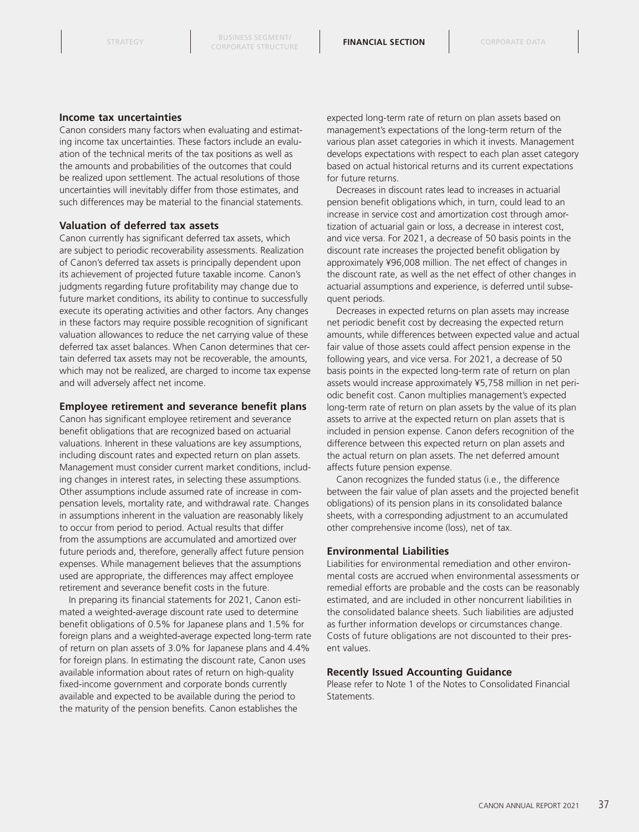# **Income tax uncertainties**

Canon considers many factors when evaluating and estimating income tax uncertainties. These factors include an evaluation of the technical merits of the tax positions as well as the amounts and probabilities of the outcomes that could be realized upon settlement. The actual resolutions of those uncertainties will inevitably differ from those estimates, and such differences may be material to the financial statements.

# **Valuation of deferred tax assets**

Canon currently has significant deferred tax assets, which are subject to periodic recoverability assessments. Realization of Canon's deferred tax assets is principally dependent upon its achievement of projected future taxable income. Canon's judgments regarding future profitability may change due to future market conditions, its ability to continue to successfully execute its operating activities and other factors. Any changes in these factors may require possible recognition of significant valuation allowances to reduce the net carrying value of these deferred tax asset balances. When Canon determines that certain deferred tax assets may not be recoverable, the amounts, which may not be realized, are charged to income tax expense and will adversely affect net income.

#### **Employee retirement and severance benefit plans**

Canon has significant employee retirement and severance benefit obligations that are recognized based on actuarial valuations. Inherent in these valuations are key assumptions, including discount rates and expected return on plan assets. Management must consider current market conditions, including changes in interest rates, in selecting these assumptions. Other assumptions include assumed rate of increase in compensation levels, mortality rate, and withdrawal rate. Changes in assumptions inherent in the valuation are reasonably likely to occur from period to period. Actual results that differ from the assumptions are accumulated and amortized over future periods and, therefore, generally affect future pension expenses. While management believes that the assumptions used are appropriate, the differences may affect employee retirement and severance benefit costs in the future.

In preparing its financial statements for 2021, Canon estimated a weighted-average discount rate used to determine benefit obligations of 0.5% for Japanese plans and 1.5% for foreign plans and a weighted-average expected long-term rate of return on plan assets of 3.0% for Japanese plans and 4.4% for foreign plans. In estimating the discount rate, Canon uses available information about rates of return on high-quality fixed-income government and corporate bonds currently available and expected to be available during the period to the maturity of the pension benefits. Canon establishes the

expected long-term rate of return on plan assets based on management's expectations of the long-term return of the various plan asset categories in which it invests. Management develops expectations with respect to each plan asset category based on actual historical returns and its current expectations for future returns.

Decreases in discount rates lead to increases in actuarial pension benefit obligations which, in turn, could lead to an increase in service cost and amortization cost through amortization of actuarial gain or loss, a decrease in interest cost, and vice versa. For 2021, a decrease of 50 basis points in the discount rate increases the projected benefit obligation by approximately ¥96,008 million. The net effect of changes in the discount rate, as well as the net effect of other changes in actuarial assumptions and experience, is deferred until subsequent periods.

Decreases in expected returns on plan assets may increase net periodic benefit cost by decreasing the expected return amounts, while differences between expected value and actual fair value of those assets could affect pension expense in the following years, and vice versa. For 2021, a decrease of 50 basis points in the expected long-term rate of return on plan assets would increase approximately ¥5,758 million in net periodic benefit cost. Canon multiplies management's expected long-term rate of return on plan assets by the value of its plan assets to arrive at the expected return on plan assets that is included in pension expense. Canon defers recognition of the difference between this expected return on plan assets and the actual return on plan assets. The net deferred amount affects future pension expense.

Canon recognizes the funded status (i.e., the difference between the fair value of plan assets and the projected benefit obligations) of its pension plans in its consolidated balance sheets, with a corresponding adjustment to an accumulated other comprehensive income (loss), net of tax.

#### **Environmental Liabilities**

Liabilities for environmental remediation and other environmental costs are accrued when environmental assessments or remedial efforts are probable and the costs can be reasonably estimated, and are included in other noncurrent liabilities in the consolidated balance sheets. Such liabilities are adjusted as further information develops or circumstances change. Costs of future obligations are not discounted to their present values.

# **Recently Issued Accounting Guidance**

Please refer to Note 1 of the Notes to Consolidated Financial Statements.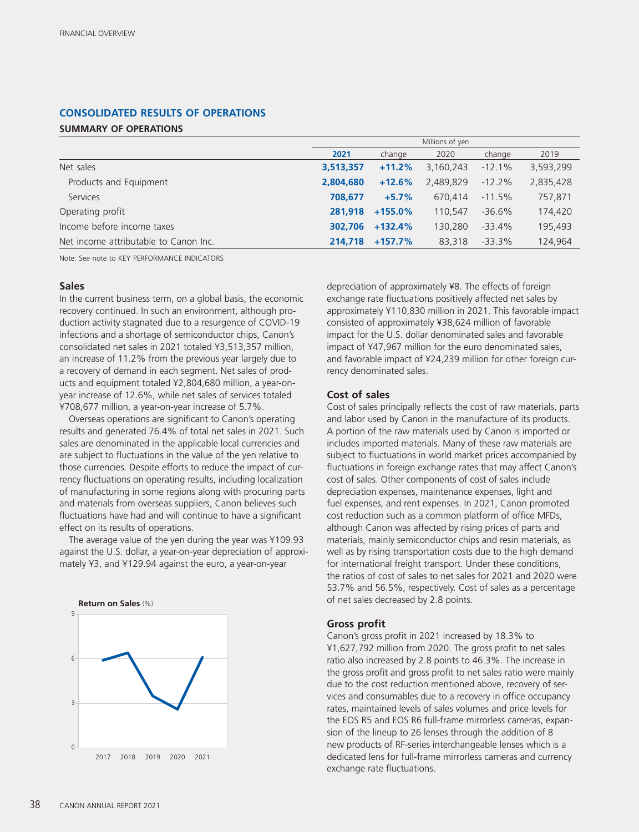# **CONSOLIDATED RESULTS OF OPERATIONS**

**SUMMARY OF OPERATIONS**

|                                       | Millions of yen |           |           |          |           |  |
|---------------------------------------|-----------------|-----------|-----------|----------|-----------|--|
|                                       | 2021            | change    | 2020      | change   | 2019      |  |
| Net sales                             | 3,513,357       | $+11.2%$  | 3,160,243 | $-12.1%$ | 3,593,299 |  |
| Products and Equipment                | 2,804,680       | $+12.6%$  | 2.489.829 | $-12.2%$ | 2,835,428 |  |
| Services                              | 708.677         | $+5.7%$   | 670.414   | $-11.5%$ | 757,871   |  |
| Operating profit                      | 281,918         | $+155.0%$ | 110.547   | $-36.6%$ | 174,420   |  |
| Income before income taxes            | 302,706         | $+132.4%$ | 130.280   | $-33.4%$ | 195,493   |  |
| Net income attributable to Canon Inc. | 214,718         | $+157.7%$ | 83,318    | $-33.3%$ | 124,964   |  |

Note: See note to KEY PERFORMANCE INDICATORS

# **Sales**

In the current business term, on a global basis, the economic recovery continued. In such an environment, although production activity stagnated due to a resurgence of COVID-19 infections and a shortage of semiconductor chips, Canon's consolidated net sales in 2021 totaled ¥3,513,357 million, an increase of 11.2% from the previous year largely due to a recovery of demand in each segment. Net sales of products and equipment totaled ¥2,804,680 million, a year-onyear increase of 12.6%, while net sales of services totaled ¥708,677 million, a year-on-year increase of 5.7%.

Overseas operations are significant to Canon's operating results and generated 76.4% of total net sales in 2021. Such sales are denominated in the applicable local currencies and are subject to fluctuations in the value of the yen relative to those currencies. Despite efforts to reduce the impact of currency fluctuations on operating results, including localization of manufacturing in some regions along with procuring parts and materials from overseas suppliers, Canon believes such fluctuations have had and will continue to have a significant effect on its results of operations.

The average value of the yen during the year was ¥109.93 against the U.S. dollar, a year-on-year depreciation of approximately ¥3, and ¥129.94 against the euro, a year-on-year



depreciation of approximately ¥8. The effects of foreign exchange rate fluctuations positively affected net sales by approximately ¥110,830 million in 2021. This favorable impact consisted of approximately ¥38,624 million of favorable impact for the U.S. dollar denominated sales and favorable impact of ¥47,967 million for the euro denominated sales, and favorable impact of ¥24,239 million for other foreign currency denominated sales.

# **Cost of sales**

Cost of sales principally reflects the cost of raw materials, parts and labor used by Canon in the manufacture of its products. A portion of the raw materials used by Canon is imported or includes imported materials. Many of these raw materials are subject to fluctuations in world market prices accompanied by fluctuations in foreign exchange rates that may affect Canon's cost of sales. Other components of cost of sales include depreciation expenses, maintenance expenses, light and fuel expenses, and rent expenses. In 2021, Canon promoted cost reduction such as a common platform of office MFDs, although Canon was affected by rising prices of parts and materials, mainly semiconductor chips and resin materials, as well as by rising transportation costs due to the high demand for international freight transport. Under these conditions, the ratios of cost of sales to net sales for 2021 and 2020 were 53.7% and 56.5%, respectively. Cost of sales as a percentage of net sales decreased by 2.8 points.

# **Gross profit**

Canon's gross profit in 2021 increased by 18.3% to ¥1,627,792 million from 2020. The gross profit to net sales ratio also increased by 2.8 points to 46.3%. The increase in the gross profit and gross profit to net sales ratio were mainly due to the cost reduction mentioned above, recovery of services and consumables due to a recovery in office occupancy rates, maintained levels of sales volumes and price levels for the EOS R5 and EOS R6 full-frame mirrorless cameras, expansion of the lineup to 26 lenses through the addition of 8 new products of RF-series interchangeable lenses which is a dedicated lens for full-frame mirrorless cameras and currency exchange rate fluctuations. canier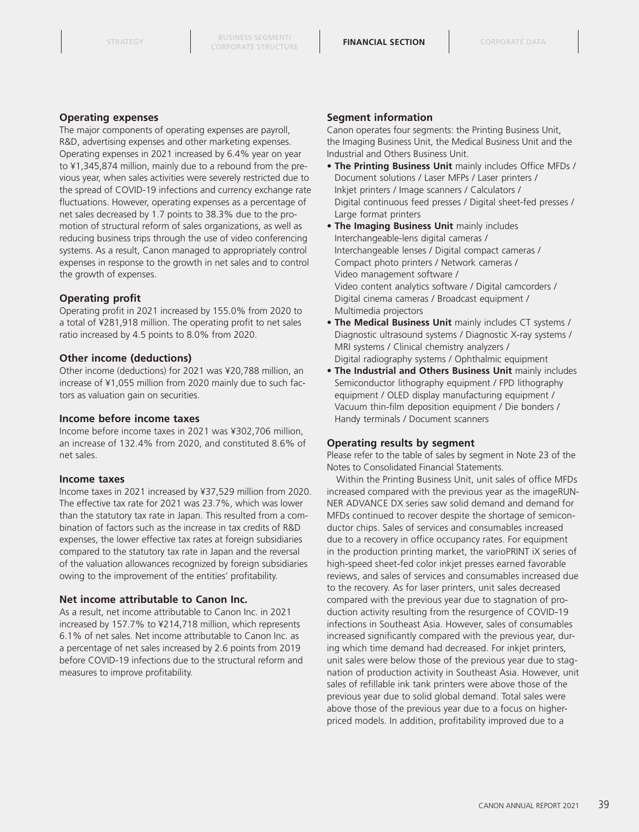# **Operating expenses**

The major components of operating expenses are payroll, R&D, advertising expenses and other marketing expenses. Operating expenses in 2021 increased by 6.4% year on year to ¥1,345,874 million, mainly due to a rebound from the previous year, when sales activities were severely restricted due to the spread of COVID-19 infections and currency exchange rate fluctuations. However, operating expenses as a percentage of net sales decreased by 1.7 points to 38.3% due to the promotion of structural reform of sales organizations, as well as reducing business trips through the use of video conferencing systems. As a result, Canon managed to appropriately control expenses in response to the growth in net sales and to control the growth of expenses.

# **Operating profit**

Operating profit in 2021 increased by 155.0% from 2020 to a total of ¥281,918 million. The operating profit to net sales ratio increased by 4.5 points to 8.0% from 2020.

### **Other income (deductions)**

Other income (deductions) for 2021 was ¥20,788 million, an increase of ¥1,055 million from 2020 mainly due to such factors as valuation gain on securities.

#### **Income before income taxes**

Income before income taxes in 2021 was ¥302,706 million, an increase of 132.4% from 2020, and constituted 8.6% of net sales.

#### **Income taxes**

Income taxes in 2021 increased by ¥37,529 million from 2020. The effective tax rate for 2021 was 23.7%, which was lower than the statutory tax rate in Japan. This resulted from a combination of factors such as the increase in tax credits of R&D expenses, the lower effective tax rates at foreign subsidiaries compared to the statutory tax rate in Japan and the reversal of the valuation allowances recognized by foreign subsidiaries owing to the improvement of the entities' profitability.

#### **Net income attributable to Canon Inc.**

As a result, net income attributable to Canon Inc. in 2021 increased by 157.7% to ¥214,718 million, which represents 6.1% of net sales. Net income attributable to Canon Inc. as a percentage of net sales increased by 2.6 points from 2019 before COVID-19 infections due to the structural reform and measures to improve profitability.

# **Segment information**

Canon operates four segments: the Printing Business Unit, the Imaging Business Unit, the Medical Business Unit and the Industrial and Others Business Unit.

- **The Printing Business Unit** mainly includes Office MFDs / Document solutions / Laser MFPs / Laser printers / Inkjet printers / Image scanners / Calculators / Digital continuous feed presses / Digital sheet-fed presses / Large format printers
- **The Imaging Business Unit** mainly includes Interchangeable-lens digital cameras / Interchangeable lenses / Digital compact cameras / Compact photo printers / Network cameras / Video management software / Video content analytics software / Digital camcorders / Digital cinema cameras / Broadcast equipment / Multimedia projectors
- **The Medical Business Unit** mainly includes CT systems / Diagnostic ultrasound systems / Diagnostic X-ray systems / MRI systems / Clinical chemistry analyzers / Digital radiography systems / Ophthalmic equipment
- **The Industrial and Others Business Unit** mainly includes Semiconductor lithography equipment / FPD lithography equipment / OLED display manufacturing equipment / Vacuum thin-film deposition equipment / Die bonders / Handy terminals / Document scanners

#### **Operating results by segment**

Please refer to the table of sales by segment in Note 23 of the Notes to Consolidated Financial Statements.

Within the Printing Business Unit, unit sales of office MFDs increased compared with the previous year as the imageRUN-NER ADVANCE DX series saw solid demand and demand for MFDs continued to recover despite the shortage of semiconductor chips. Sales of services and consumables increased due to a recovery in office occupancy rates. For equipment in the production printing market, the varioPRINT iX series of high-speed sheet-fed color inkjet presses earned favorable reviews, and sales of services and consumables increased due to the recovery. As for laser printers, unit sales decreased compared with the previous year due to stagnation of production activity resulting from the resurgence of COVID-19 infections in Southeast Asia. However, sales of consumables increased significantly compared with the previous year, during which time demand had decreased. For inkjet printers, unit sales were below those of the previous year due to stagnation of production activity in Southeast Asia. However, unit sales of refillable ink tank printers were above those of the previous year due to solid global demand. Total sales were above those of the previous year due to a focus on higherpriced models. In addition, profitability improved due to a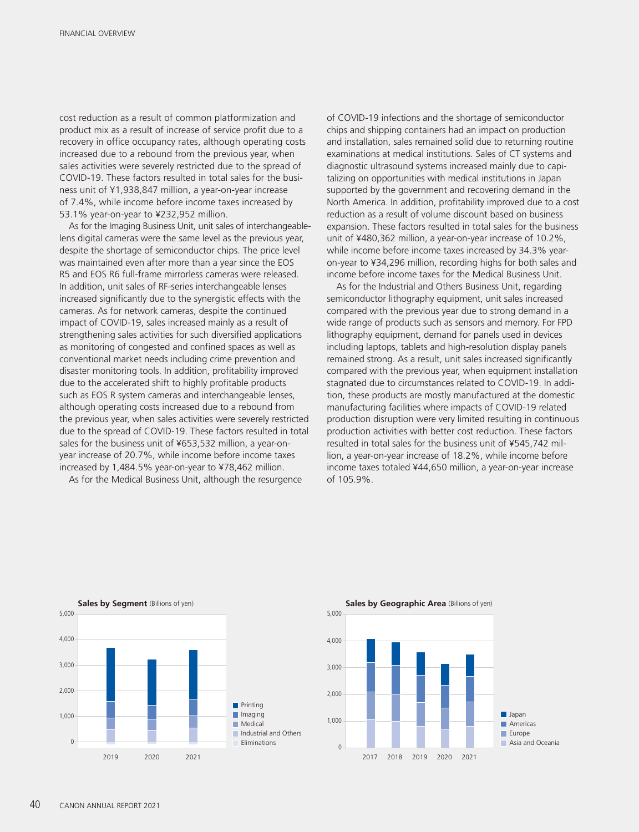cost reduction as a result of common platformization and product mix as a result of increase of service profit due to a recovery in office occupancy rates, although operating costs increased due to a rebound from the previous year, when sales activities were severely restricted due to the spread of COVID-19. These factors resulted in total sales for the business unit of ¥1,938,847 million, a year-on-year increase of 7.4%, while income before income taxes increased by 53.1% year-on-year to ¥232,952 million.

As for the Imaging Business Unit, unit sales of interchangeablelens digital cameras were the same level as the previous year, despite the shortage of semiconductor chips. The price level was maintained even after more than a year since the EOS R5 and EOS R6 full-frame mirrorless cameras were released. In addition, unit sales of RF-series interchangeable lenses increased significantly due to the synergistic effects with the cameras. As for network cameras, despite the continued impact of COVID-19, sales increased mainly as a result of strengthening sales activities for such diversified applications as monitoring of congested and confined spaces as well as conventional market needs including crime prevention and disaster monitoring tools. In addition, profitability improved due to the accelerated shift to highly profitable products such as EOS R system cameras and interchangeable lenses, although operating costs increased due to a rebound from the previous year, when sales activities were severely restricted due to the spread of COVID-19. These factors resulted in total sales for the business unit of ¥653,532 million, a year-onyear increase of 20.7%, while income before income taxes increased by 1,484.5% year-on-year to ¥78,462 million.

As for the Medical Business Unit, although the resurgence

of COVID-19 infections and the shortage of semiconductor chips and shipping containers had an impact on production and installation, sales remained solid due to returning routine examinations at medical institutions. Sales of CT systems and diagnostic ultrasound systems increased mainly due to capitalizing on opportunities with medical institutions in Japan supported by the government and recovering demand in the North America. In addition, profitability improved due to a cost reduction as a result of volume discount based on business expansion. These factors resulted in total sales for the business unit of ¥480,362 million, a year-on-year increase of 10.2%, while income before income taxes increased by 34.3% yearon-year to ¥34,296 million, recording highs for both sales and income before income taxes for the Medical Business Unit.

As for the Industrial and Others Business Unit, regarding semiconductor lithography equipment, unit sales increased compared with the previous year due to strong demand in a wide range of products such as sensors and memory. For FPD lithography equipment, demand for panels used in devices including laptops, tablets and high-resolution display panels remained strong. As a result, unit sales increased significantly compared with the previous year, when equipment installation stagnated due to circumstances related to COVID-19. In addition, these products are mostly manufactured at the domestic manufacturing facilities where impacts of COVID-19 related production disruption were very limited resulting in continuous production activities with better cost reduction. These factors resulted in total sales for the business unit of ¥545,742 million, a year-on-year increase of 18.2%, while income before income taxes totaled ¥44,650 million, a year-on-year increase of 105.9%.





#### **Sales by Geographic Area** (Billions of yen) **Sales by Geographic Area** (Billions of yen)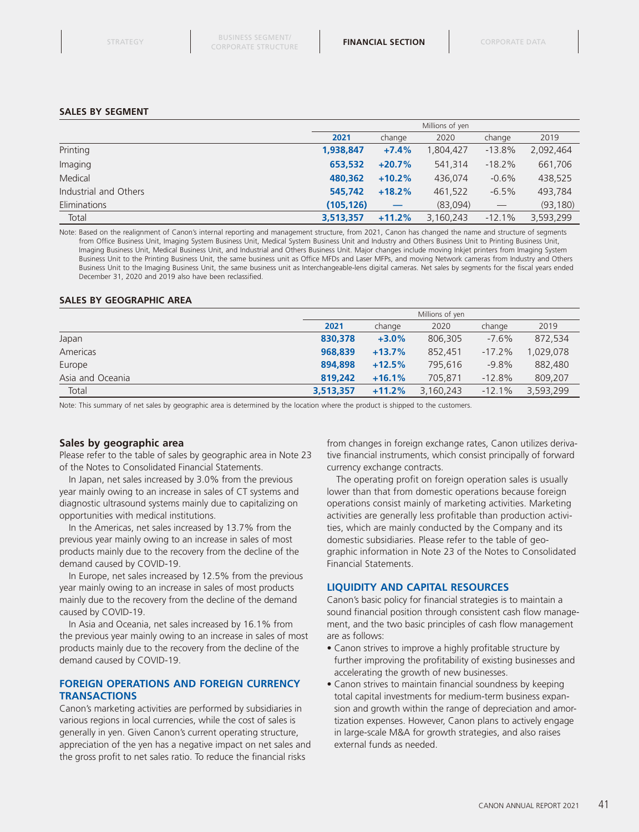# **SALES BY SEGMENT**

|                       | Millions of yen |          |           |          |           |
|-----------------------|-----------------|----------|-----------|----------|-----------|
|                       | 2021            | change   | 2020      | change   | 2019      |
| Printing              | 1,938,847       | $+7.4%$  | 1,804,427 | $-13.8%$ | 2,092,464 |
| Imaging               | 653,532         | $+20.7%$ | 541.314   | $-18.2%$ | 661,706   |
| Medical               | 480,362         | $+10.2%$ | 436.074   | $-0.6%$  | 438.525   |
| Industrial and Others | 545.742         | $+18.2%$ | 461,522   | $-6.5%$  | 493.784   |
| Eliminations          | (105, 126)      |          | (83,094)  |          | (93, 180) |
| Total                 | 3,513,357       | $+11.2%$ | 3,160,243 | $-12.1%$ | 3,593,299 |

Note: Based on the realignment of Canon's internal reporting and management structure, from 2021, Canon has changed the name and structure of segments from Office Business Unit, Imaging System Business Unit, Medical System Business Unit and Industry and Others Business Unit to Printing Business Unit, Imaging Business Unit, Medical Business Unit, and Industrial and Others Business Unit. Major changes include moving Inkjet printers from Imaging System Business Unit to the Printing Business Unit, the same business unit as Office MFDs and Laser MFPs, and moving Network cameras from Industry and Others Business Unit to the Imaging Business Unit, the same business unit as Interchangeable-lens digital cameras. Net sales by segments for the fiscal years ended December 31, 2020 and 2019 also have been reclassified.

# **SALES BY GEOGRAPHIC AREA**

|                  | Millions of yen |          |           |          |           |
|------------------|-----------------|----------|-----------|----------|-----------|
|                  | 2021            | change   | 2020      | change   | 2019      |
| Japan            | 830,378         | $+3.0%$  | 806.305   | $-7.6\%$ | 872.534   |
| Americas         | 968.839         | $+13.7%$ | 852.451   | $-17.2%$ | 1,029,078 |
| Europe           | 894.898         | $+12.5%$ | 795.616   | $-9.8%$  | 882,480   |
| Asia and Oceania | 819,242         | $+16.1%$ | 705.871   | $-12.8%$ | 809.207   |
| Total            | 3,513,357       | $+11.2%$ | 3,160,243 | $-12.1%$ | 3,593,299 |

Note: This summary of net sales by geographic area is determined by the location where the product is shipped to the customers.

## **Sales by geographic area**

Please refer to the table of sales by geographic area in Note 23 of the Notes to Consolidated Financial Statements.

In Japan, net sales increased by 3.0% from the previous year mainly owing to an increase in sales of CT systems and diagnostic ultrasound systems mainly due to capitalizing on opportunities with medical institutions.

In the Americas, net sales increased by 13.7% from the previous year mainly owing to an increase in sales of most products mainly due to the recovery from the decline of the demand caused by COVID-19.

In Europe, net sales increased by 12.5% from the previous year mainly owing to an increase in sales of most products mainly due to the recovery from the decline of the demand caused by COVID-19.

In Asia and Oceania, net sales increased by 16.1% from the previous year mainly owing to an increase in sales of most products mainly due to the recovery from the decline of the demand caused by COVID-19.

# **FOREIGN OPERATIONS AND FOREIGN CURRENCY TRANSACTIONS**

Canon's marketing activities are performed by subsidiaries in various regions in local currencies, while the cost of sales is generally in yen. Given Canon's current operating structure, appreciation of the yen has a negative impact on net sales and the gross profit to net sales ratio. To reduce the financial risks

from changes in foreign exchange rates, Canon utilizes derivative financial instruments, which consist principally of forward currency exchange contracts.

The operating profit on foreign operation sales is usually lower than that from domestic operations because foreign operations consist mainly of marketing activities. Marketing activities are generally less profitable than production activities, which are mainly conducted by the Company and its domestic subsidiaries. Please refer to the table of geographic information in Note 23 of the Notes to Consolidated Financial Statements.

# **LIQUIDITY AND CAPITAL RESOURCES**

Canon's basic policy for financial strategies is to maintain a sound financial position through consistent cash flow management, and the two basic principles of cash flow management are as follows:

- Canon strives to improve a highly profitable structure by further improving the profitability of existing businesses and accelerating the growth of new businesses.
- Canon strives to maintain financial soundness by keeping total capital investments for medium-term business expansion and growth within the range of depreciation and amortization expenses. However, Canon plans to actively engage in large-scale M&A for growth strategies, and also raises external funds as needed.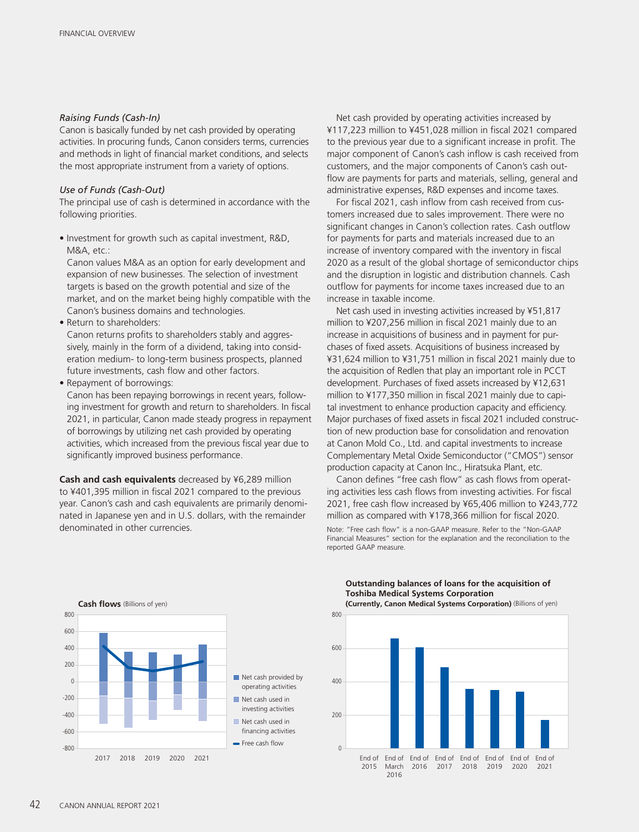# *Raising Funds (Cash-In)*

Canon is basically funded by net cash provided by operating activities. In procuring funds, Canon considers terms, currencies and methods in light of financial market conditions, and selects the most appropriate instrument from a variety of options.

# *Use of Funds (Cash-Out)*

The principal use of cash is determined in accordance with the following priorities.

**•** Investment for growth such as capital investment, R&D, M&A, etc.:

Canon values M&A as an option for early development and expansion of new businesses. The selection of investment targets is based on the growth potential and size of the market, and on the market being highly compatible with the Canon's business domains and technologies.

**•** Return to shareholders:

Canon returns profits to shareholders stably and aggressively, mainly in the form of a dividend, taking into consideration medium- to long-term business prospects, planned future investments, cash flow and other factors.

**•** Repayment of borrowings:

Canon has been repaying borrowings in recent years, following investment for growth and return to shareholders. In fiscal 2021, in particular, Canon made steady progress in repayment of borrowings by utilizing net cash provided by operating activities, which increased from the previous fiscal year due to significantly improved business performance. revious riscar 2019 2020 2021 2017 2018 2019 2020 2021

> **Cash and cash equivalents** decreased by ¥6,289 million to ¥401,395 million in fiscal 2021 compared to the previous year. Canon's cash and cash equivalents are primarily denominated in Japanese yen and in U.S. dollars, with the remainder denominated in other currencies.

Net cash provided by operating activities increased by ¥117,223 million to ¥451,028 million in fiscal 2021 compared to the previous year due to a significant increase in profit. The major component of Canon's cash inflow is cash received from customers, and the major components of Canon's cash outflow are payments for parts and materials, selling, general and administrative expenses, R&D expenses and income taxes.

For fiscal 2021, cash inflow from cash received from customers increased due to sales improvement. There were no significant changes in Canon's collection rates. Cash outflow for payments for parts and materials increased due to an increase of inventory compared with the inventory in fiscal 2020 as a result of the global shortage of semiconductor chips and the disruption in logistic and distribution channels. Cash outflow for payments for income taxes increased due to an increase in taxable income.

Net cash used in investing activities increased by ¥51,817 million to ¥207,256 million in fiscal 2021 mainly due to an increase in acquisitions of business and in payment for purchases of fixed assets. Acquisitions of business increased by 400 ¥31,624 million to ¥31,751 million in fiscal 2021 mainly due to the acquisition of Redlen that play an important role in PCCT development. Purchases of fixed assets increased by ¥12,631 million to ¥177,350 million in fiscal 2021 mainly due to capi-There is the production capacity and efficiency. Major purchases of fixed assets in fiscal 2021 included construction of new production base for consolidation and renovation at Canon Mold Co., Ltd. and capital investments to increase Complementary Metal Oxide Semiconductor ("CMOS") sensor production capacity at Canon Inc., Hiratsuka Plant, etc. 2017 2018 2019 2020 2021 and criterione

Canon defines "free cash flow" as cash flows from operating activities less cash flows from investing activities. For fiscal 2021, free cash flow increased by ¥65,406 million to ¥243,772 million as compared with ¥178,366 million for fiscal 2020. Note: "Free cash flow" is a non-GAAP measure. Refer to the "Non-GAAP Financial Measures" section for the explanation and the reconciliation to the reported GAAP measure.



**Outstanding balances of loans for the acquisition of Toshiba Medical Systems Corporation (Currently, Canon Medical Systems Corporation)** (Billions of yen)

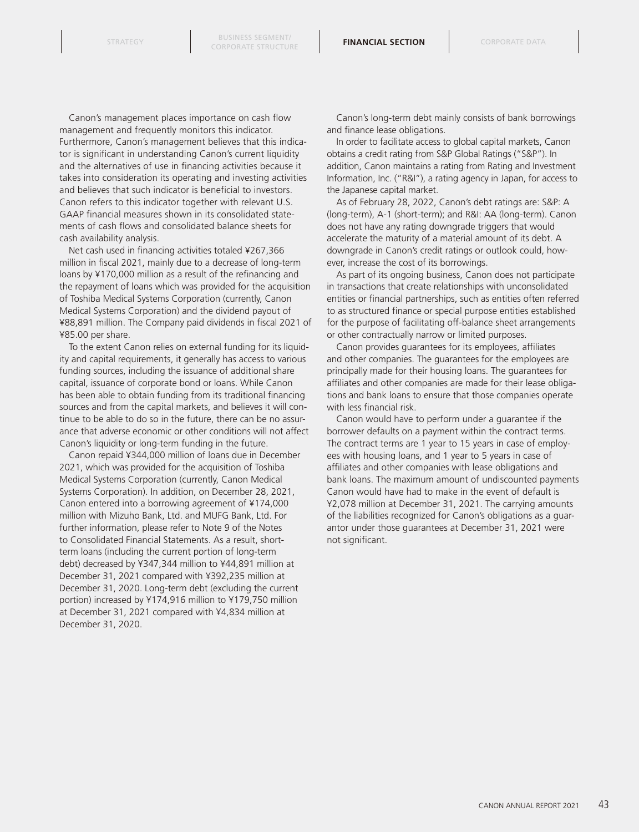Canon's management places importance on cash flow management and frequently monitors this indicator. Furthermore, Canon's management believes that this indicator is significant in understanding Canon's current liquidity and the alternatives of use in financing activities because it takes into consideration its operating and investing activities and believes that such indicator is beneficial to investors. Canon refers to this indicator together with relevant U.S. GAAP financial measures shown in its consolidated statements of cash flows and consolidated balance sheets for cash availability analysis.

Net cash used in financing activities totaled ¥267,366 million in fiscal 2021, mainly due to a decrease of long-term loans by ¥170,000 million as a result of the refinancing and the repayment of loans which was provided for the acquisition of Toshiba Medical Systems Corporation (currently, Canon Medical Systems Corporation) and the dividend payout of ¥88,891 million. The Company paid dividends in fiscal 2021 of ¥85.00 per share.

To the extent Canon relies on external funding for its liquidity and capital requirements, it generally has access to various funding sources, including the issuance of additional share capital, issuance of corporate bond or loans. While Canon has been able to obtain funding from its traditional financing sources and from the capital markets, and believes it will continue to be able to do so in the future, there can be no assurance that adverse economic or other conditions will not affect Canon's liquidity or long-term funding in the future.

Canon repaid ¥344,000 million of loans due in December 2021, which was provided for the acquisition of Toshiba Medical Systems Corporation (currently, Canon Medical Systems Corporation). In addition, on December 28, 2021, Canon entered into a borrowing agreement of ¥174,000 million with Mizuho Bank, Ltd. and MUFG Bank, Ltd. For further information, please refer to Note 9 of the Notes to Consolidated Financial Statements. As a result, shortterm loans (including the current portion of long-term debt) decreased by ¥347,344 million to ¥44,891 million at December 31, 2021 compared with ¥392,235 million at December 31, 2020. Long-term debt (excluding the current portion) increased by ¥174,916 million to ¥179,750 million at December 31, 2021 compared with ¥4,834 million at December 31, 2020.

Canon's long-term debt mainly consists of bank borrowings and finance lease obligations.

In order to facilitate access to global capital markets, Canon obtains a credit rating from S&P Global Ratings ("S&P"). In addition, Canon maintains a rating from Rating and Investment Information, Inc. ("R&I"), a rating agency in Japan, for access to the Japanese capital market.

As of February 28, 2022, Canon's debt ratings are: S&P: A (long-term), A-1 (short-term); and R&I: AA (long-term). Canon does not have any rating downgrade triggers that would accelerate the maturity of a material amount of its debt. A downgrade in Canon's credit ratings or outlook could, however, increase the cost of its borrowings.

As part of its ongoing business, Canon does not participate in transactions that create relationships with unconsolidated entities or financial partnerships, such as entities often referred to as structured finance or special purpose entities established for the purpose of facilitating off-balance sheet arrangements or other contractually narrow or limited purposes.

Canon provides guarantees for its employees, affiliates and other companies. The guarantees for the employees are principally made for their housing loans. The guarantees for affiliates and other companies are made for their lease obligations and bank loans to ensure that those companies operate with less financial risk.

Canon would have to perform under a guarantee if the borrower defaults on a payment within the contract terms. The contract terms are 1 year to 15 years in case of employees with housing loans, and 1 year to 5 years in case of affiliates and other companies with lease obligations and bank loans. The maximum amount of undiscounted payments Canon would have had to make in the event of default is ¥2,078 million at December 31, 2021. The carrying amounts of the liabilities recognized for Canon's obligations as a guarantor under those guarantees at December 31, 2021 were not significant.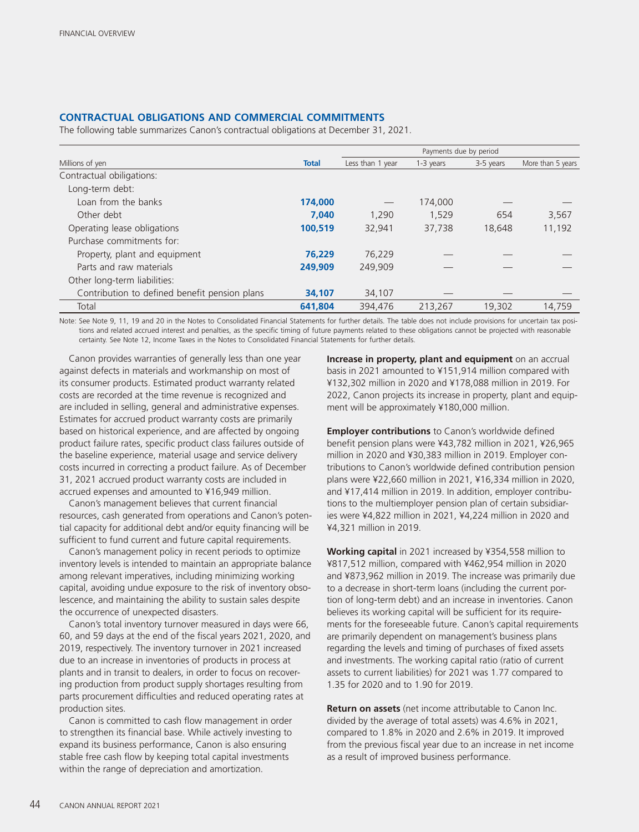# **CONTRACTUAL OBLIGATIONS AND COMMERCIAL COMMITMENTS**

The following table summarizes Canon's contractual obligations at December 31, 2021.

|                                               |              | Payments due by period |           |           |                   |  |
|-----------------------------------------------|--------------|------------------------|-----------|-----------|-------------------|--|
| Millions of yen                               | <b>Total</b> | Less than 1 year       | 1-3 years | 3-5 years | More than 5 years |  |
| Contractual obiligations:                     |              |                        |           |           |                   |  |
| Long-term debt:                               |              |                        |           |           |                   |  |
| Loan from the banks                           | 174,000      |                        | 174,000   |           |                   |  |
| Other debt                                    | 7.040        | 1.290                  | 1,529     | 654       | 3,567             |  |
| Operating lease obligations                   | 100,519      | 32,941                 | 37,738    | 18.648    | 11,192            |  |
| Purchase commitments for:                     |              |                        |           |           |                   |  |
| Property, plant and equipment                 | 76.229       | 76.229                 |           |           |                   |  |
| Parts and raw materials                       | 249.909      | 249.909                |           |           |                   |  |
| Other long-term liabilities:                  |              |                        |           |           |                   |  |
| Contribution to defined benefit pension plans | 34.107       | 34,107                 |           |           |                   |  |
| Total                                         | 641.804      | 394,476                | 213,267   | 19,302    | 14.759            |  |

Note: See Note 9, 11, 19 and 20 in the Notes to Consolidated Financial Statements for further details. The table does not include provisions for uncertain tax positions and related accrued interest and penalties, as the specific timing of future payments related to these obligations cannot be projected with reasonable certainty. See Note 12, Income Taxes in the Notes to Consolidated Financial Statements for further details.

Canon provides warranties of generally less than one year against defects in materials and workmanship on most of its consumer products. Estimated product warranty related costs are recorded at the time revenue is recognized and are included in selling, general and administrative expenses. Estimates for accrued product warranty costs are primarily based on historical experience, and are affected by ongoing product failure rates, specific product class failures outside of the baseline experience, material usage and service delivery costs incurred in correcting a product failure. As of December 31, 2021 accrued product warranty costs are included in accrued expenses and amounted to ¥16,949 million.

Canon's management believes that current financial resources, cash generated from operations and Canon's potential capacity for additional debt and/or equity financing will be sufficient to fund current and future capital requirements.

Canon's management policy in recent periods to optimize inventory levels is intended to maintain an appropriate balance among relevant imperatives, including minimizing working capital, avoiding undue exposure to the risk of inventory obsolescence, and maintaining the ability to sustain sales despite the occurrence of unexpected disasters.

Canon's total inventory turnover measured in days were 66, 60, and 59 days at the end of the fiscal years 2021, 2020, and 2019, respectively. The inventory turnover in 2021 increased due to an increase in inventories of products in process at plants and in transit to dealers, in order to focus on recovering production from product supply shortages resulting from parts procurement difficulties and reduced operating rates at production sites.

Canon is committed to cash flow management in order to strengthen its financial base. While actively investing to expand its business performance, Canon is also ensuring stable free cash flow by keeping total capital investments within the range of depreciation and amortization.

**Increase in property, plant and equipment** on an accrual basis in 2021 amounted to ¥151,914 million compared with ¥132,302 million in 2020 and ¥178,088 million in 2019. For 2022, Canon projects its increase in property, plant and equipment will be approximately ¥180,000 million.

**Employer contributions** to Canon's worldwide defined benefit pension plans were ¥43,782 million in 2021, ¥26,965 million in 2020 and ¥30,383 million in 2019. Employer contributions to Canon's worldwide defined contribution pension plans were ¥22,660 million in 2021, ¥16,334 million in 2020, and ¥17,414 million in 2019. In addition, employer contributions to the multiemployer pension plan of certain subsidiaries were ¥4,822 million in 2021, ¥4,224 million in 2020 and ¥4,321 million in 2019.

**Working capital** in 2021 increased by ¥354,558 million to ¥817,512 million, compared with ¥462,954 million in 2020 and ¥873,962 million in 2019. The increase was primarily due to a decrease in short-term loans (including the current portion of long-term debt) and an increase in inventories. Canon believes its working capital will be sufficient for its requirements for the foreseeable future. Canon's capital requirements are primarily dependent on management's business plans regarding the levels and timing of purchases of fixed assets and investments. The working capital ratio (ratio of current assets to current liabilities) for 2021 was 1.77 compared to 1.35 for 2020 and to 1.90 for 2019.

**Return on assets** (net income attributable to Canon Inc. divided by the average of total assets) was 4.6% in 2021, compared to 1.8% in 2020 and 2.6% in 2019. It improved from the previous fiscal year due to an increase in net income as a result of improved business performance.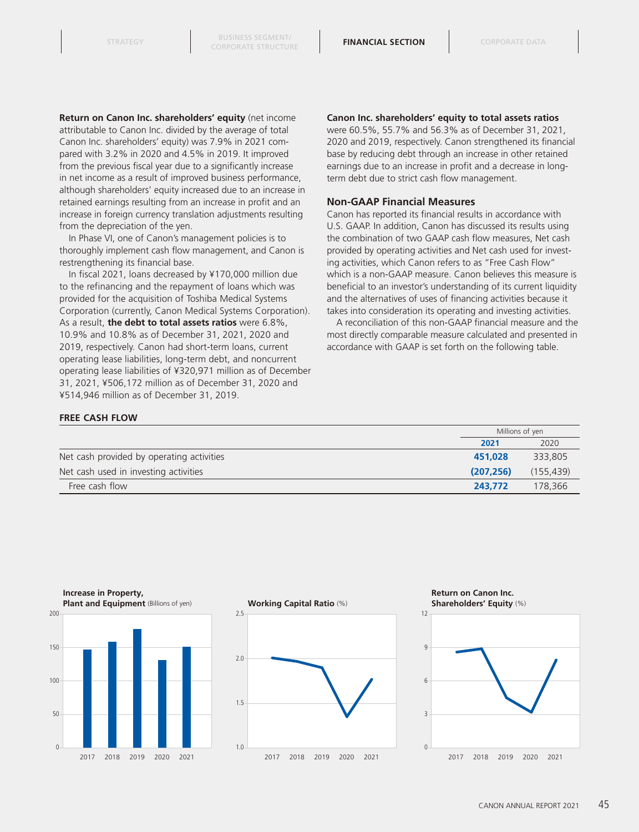**Return on Canon Inc. shareholders' equity** (net income attributable to Canon Inc. divided by the average of total Canon Inc. shareholders' equity) was 7.9% in 2021 compared with 3.2% in 2020 and 4.5% in 2019. It improved from the previous fiscal year due to a significantly increase in net income as a result of improved business performance, although shareholders' equity increased due to an increase in retained earnings resulting from an increase in profit and an increase in foreign currency translation adjustments resulting from the depreciation of the yen.

In Phase VI, one of Canon's management policies is to thoroughly implement cash flow management, and Canon is restrengthening its financial base.

In fiscal 2021, loans decreased by ¥170,000 million due to the refinancing and the repayment of loans which was provided for the acquisition of Toshiba Medical Systems .<br>Corporation (currently, Canon Medical Systems Corporation). ta As a result, **the debt to total assets ratios** were 6.8%, 10.9% and 10.8% as of December 31, 2021, 2020 and 2019, respectively. Canon had short-term loans, current operating lease liabilities, long-term debt, and noncurrent 6 operating lease liabilities of ¥320,971 million as of December 31, 2021, ¥506,172 million as of December 31, 2020 and ¥514,946 million as of December 31, 2019.

#### **Canon Inc. shareholders' equity to total assets ratios**

were 60.5%, 55.7% and 56.3% as of December 31, 2021, 2020 and 2019, respectively. Canon strengthened its financial base by reducing debt through an increase in other retained earnings due to an increase in profit and a decrease in longterm debt due to strict cash flow management.

#### **Non-GAAP Financial Measures**

Canon has reported its financial results in accordance with U.S. GAAP. In addition, Canon has discussed its results using the combination of two GAAP cash flow measures, Net cash provided by operating activities and Net cash used for investing activities, which Canon refers to as "Free Cash Flow" which is a non-GAAP measure. Canon believes this measure is beneficial to an investor's understanding of its current liquidity and the alternatives of uses of financing activities because it takes into consideration its operating and investing activities.

A reconciliation of this non-GAAP financial measure and the most directly comparable measure calculated and presented in accordance with GAAP is set forth on the following table.

1,000

#### **FREE CASH FLOW**

|                                           |            | Millions of yen |  |  |  |
|-------------------------------------------|------------|-----------------|--|--|--|
|                                           | 2021       | 2020            |  |  |  |
| Net cash provided by operating activities | 451,028    | 333,805         |  |  |  |
| Net cash used in investing activities     | (207, 256) | (155, 439)      |  |  |  |
| Free cash flow                            | 243,772    | 178,366         |  |  |  |
|                                           |            |                 |  |  |  |



1,000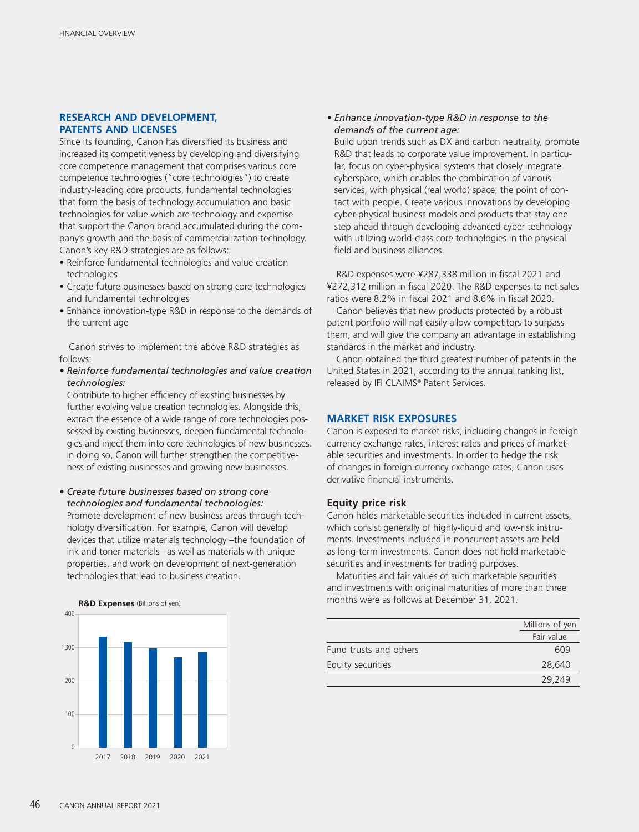# **RESEARCH AND DEVELOPMENT,**  3 **PATENTS AND LICENSES**

Since its founding, Canon has diversified its business and increased its competitiveness by developing and diversifying core competence management that comprises various core competence technologies ("core technologies") to create industry-leading core products, fundamental technologies that form the basis of technology accumulation and basic technologies for value which are technology and expertise that support the Canon brand accumulated during the company's growth and the basis of commercialization technology. Canon's key R&D strategies are as follows:

- Reinforce fundamental technologies and value creation technologies
- Create future businesses based on strong core technologies and fundamental technologies **Increase in Property,**
- Enhance innovation-type R&D in response to the demands of the current age

Canon strives to implement the above R&D strategies as follows:

*• Reinforce fundamental technologies and value creation*  technologies:

Contribute to higher efficiency of existing businesses by further evolving value creation technologies. Alongside this, extract the essence of a wide range of core technologies possessed by existing businesses, deepen fundamental technologies and inject them into core technologies of new businesses. In doing so, Canon will further strengthen the competitiveness of existing businesses and growing new businesses.

*• Create future businesses based on strong core technologies and fundamental technologies:*

Promote development of new business areas through technology diversification. For example, Canon will develop devices that utilize materials technology –the foundation of ink and toner materials– as well as materials with unique properties, and work on development of next-generation technologies that lead to business creation.



*• Enhance innovation-type R&D in response to the*  1,000 *demands of the current age:* ise to

Build upon trends such as DX and carbon neutrality, promote Band upon dends such as BX and cancer headlams, promote<br>R&D that leads to corporate value improvement. In particular, focus on cyber-physical systems that closely integrate cyberspace, which enables the combination of various services, with physical (real world) space, the point of contact with people. Create various innovations by developing cyber-physical business models and products that stay one step ahead through developing advanced cyber technology with utilizing world-class core technologies in the physical field and business alliances.

R&D expenses were ¥287,338 million in fiscal 2021 and ¥272,312 million in fiscal 2020. The R&D expenses to net sales ratios were 8.2% in fiscal 2021 and 8.6% in fiscal 2020.

Canon believes that new products protected by a robust patent portfolio will not easily allow competitors to surpass them, and will give the company an advantage in establishing standards in the market and industry.

Canon obtained the third greatest number of patents in the United States in 2021, according to the annual ranking list, released by IFI CLAIMS® Patent Services.

# **MARKET RISK EXPOSURES**

Canon is exposed to market risks, including changes in foreign currency exchange rates, interest rates and prices of marketable securities and investments. In order to hedge the risk of changes in foreign currency exchange rates, Canon uses derivative financial instruments. 20, Canon will farther bitchgaten are competitive to able becamels and investments, in order to neage the nois

# **Equity price risk**

Canon holds marketable securities included in current assets, which consist generally of highly-liquid and low-risk instruments. Investments included in noncurrent assets are held as long-term investments. Canon does not hold marketable securities and investments for trading purposes.

Maturities and fair values of such marketable securities and investments with original maturities of more than three months were as follows at December 31, 2021.

|                        | Millions of yen |
|------------------------|-----------------|
|                        | Fair value      |
| Fund trusts and others | 609             |
| Equity securities      | 28,640          |
|                        | 29.249          |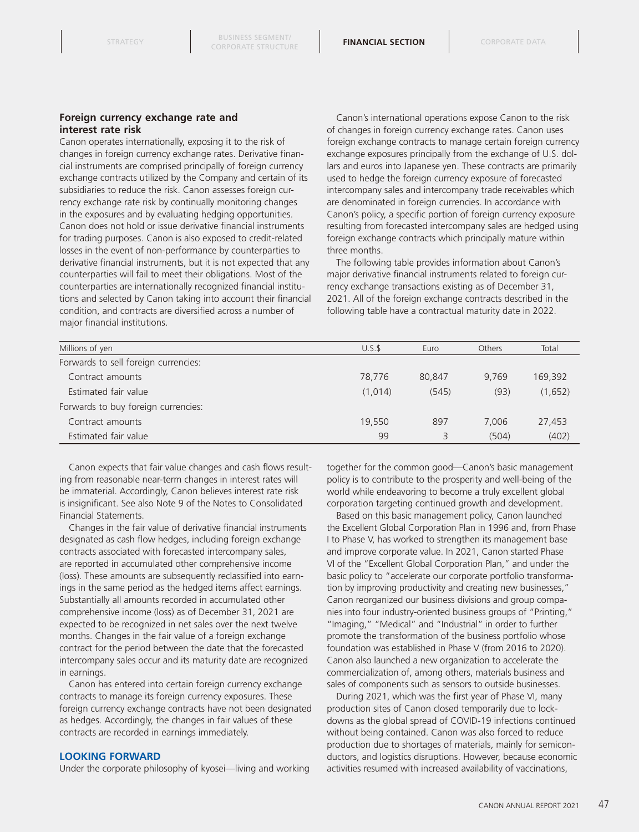# **Foreign currency exchange rate and interest rate risk**

Canon operates internationally, exposing it to the risk of changes in foreign currency exchange rates. Derivative financial instruments are comprised principally of foreign currency exchange contracts utilized by the Company and certain of its subsidiaries to reduce the risk. Canon assesses foreign currency exchange rate risk by continually monitoring changes in the exposures and by evaluating hedging opportunities. Canon does not hold or issue derivative financial instruments for trading purposes. Canon is also exposed to credit-related losses in the event of non-performance by counterparties to derivative financial instruments, but it is not expected that any counterparties will fail to meet their obligations. Most of the counterparties are internationally recognized financial institutions and selected by Canon taking into account their financial condition, and contracts are diversified across a number of major financial institutions.

Canon's international operations expose Canon to the risk of changes in foreign currency exchange rates. Canon uses foreign exchange contracts to manage certain foreign currency exchange exposures principally from the exchange of U.S. dollars and euros into Japanese yen. These contracts are primarily used to hedge the foreign currency exposure of forecasted intercompany sales and intercompany trade receivables which are denominated in foreign currencies. In accordance with Canon's policy, a specific portion of foreign currency exposure resulting from forecasted intercompany sales are hedged using foreign exchange contracts which principally mature within three months.

The following table provides information about Canon's major derivative financial instruments related to foreign currency exchange transactions existing as of December 31, 2021. All of the foreign exchange contracts described in the following table have a contractual maturity date in 2022.

| Millions of yen                      | U.S.S   | Euro   | Others | Total   |
|--------------------------------------|---------|--------|--------|---------|
| Forwards to sell foreign currencies: |         |        |        |         |
| Contract amounts                     | 78.776  | 80.847 | 9.769  | 169,392 |
| Estimated fair value                 | (1,014) | (545)  | (93)   | (1,652) |
| Forwards to buy foreign currencies:  |         |        |        |         |
| Contract amounts                     | 19.550  | 897    | 7.006  | 27,453  |
| Estimated fair value                 | 99      |        | (504)  | (402)   |

Canon expects that fair value changes and cash flows resulting from reasonable near-term changes in interest rates will be immaterial. Accordingly, Canon believes interest rate risk is insignificant. See also Note 9 of the Notes to Consolidated Financial Statements.

Changes in the fair value of derivative financial instruments designated as cash flow hedges, including foreign exchange contracts associated with forecasted intercompany sales, are reported in accumulated other comprehensive income (loss). These amounts are subsequently reclassified into earnings in the same period as the hedged items affect earnings. Substantially all amounts recorded in accumulated other comprehensive income (loss) as of December 31, 2021 are expected to be recognized in net sales over the next twelve months. Changes in the fair value of a foreign exchange contract for the period between the date that the forecasted intercompany sales occur and its maturity date are recognized in earnings.

Canon has entered into certain foreign currency exchange contracts to manage its foreign currency exposures. These foreign currency exchange contracts have not been designated as hedges. Accordingly, the changes in fair values of these contracts are recorded in earnings immediately.

#### **LOOKING FORWARD**

Under the corporate philosophy of kyosei—living and working

together for the common good—Canon's basic management policy is to contribute to the prosperity and well-being of the world while endeavoring to become a truly excellent global corporation targeting continued growth and development.

Based on this basic management policy, Canon launched the Excellent Global Corporation Plan in 1996 and, from Phase I to Phase V, has worked to strengthen its management base and improve corporate value. In 2021, Canon started Phase VI of the "Excellent Global Corporation Plan," and under the basic policy to "accelerate our corporate portfolio transformation by improving productivity and creating new businesses," Canon reorganized our business divisions and group companies into four industry-oriented business groups of "Printing," "Imaging," "Medical" and "Industrial" in order to further promote the transformation of the business portfolio whose foundation was established in Phase V (from 2016 to 2020). Canon also launched a new organization to accelerate the commercialization of, among others, materials business and sales of components such as sensors to outside businesses.

During 2021, which was the first year of Phase VI, many production sites of Canon closed temporarily due to lockdowns as the global spread of COVID-19 infections continued without being contained. Canon was also forced to reduce production due to shortages of materials, mainly for semiconductors, and logistics disruptions. However, because economic activities resumed with increased availability of vaccinations,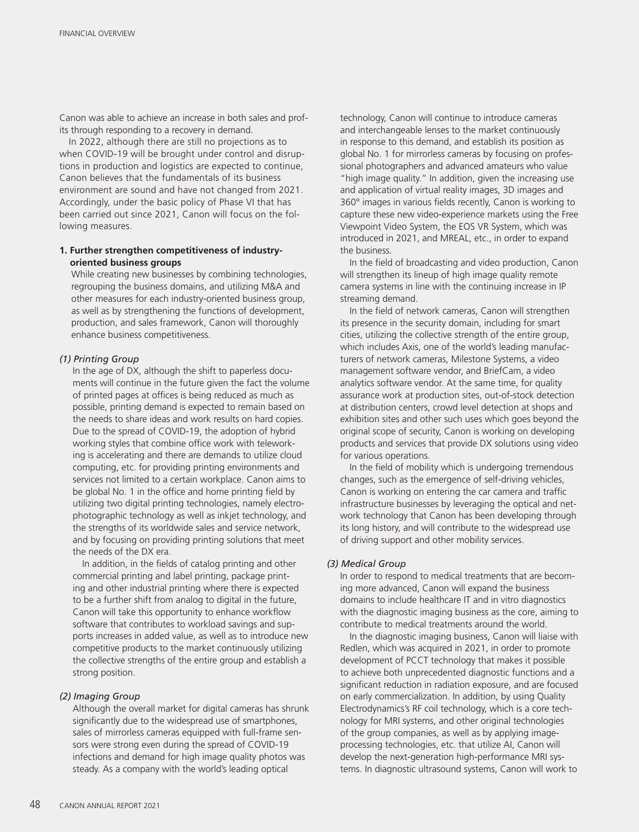Canon was able to achieve an increase in both sales and profits through responding to a recovery in demand.

In 2022, although there are still no projections as to when COVID-19 will be brought under control and disruptions in production and logistics are expected to continue, Canon believes that the fundamentals of its business environment are sound and have not changed from 2021. Accordingly, under the basic policy of Phase VI that has been carried out since 2021, Canon will focus on the following measures.

# **1. Further strengthen competitiveness of industryoriented business groups**

While creating new businesses by combining technologies, regrouping the business domains, and utilizing M&A and other measures for each industry-oriented business group, as well as by strengthening the functions of development, production, and sales framework, Canon will thoroughly enhance business competitiveness.

# *(1) Printing Group*

In the age of DX, although the shift to paperless documents will continue in the future given the fact the volume of printed pages at offices is being reduced as much as possible, printing demand is expected to remain based on the needs to share ideas and work results on hard copies. Due to the spread of COVID-19, the adoption of hybrid working styles that combine office work with teleworking is accelerating and there are demands to utilize cloud computing, etc. for providing printing environments and services not limited to a certain workplace. Canon aims to be global No. 1 in the office and home printing field by utilizing two digital printing technologies, namely electrophotographic technology as well as inkjet technology, and the strengths of its worldwide sales and service network, and by focusing on providing printing solutions that meet the needs of the DX era.

In addition, in the fields of catalog printing and other commercial printing and label printing, package printing and other industrial printing where there is expected to be a further shift from analog to digital in the future, Canon will take this opportunity to enhance workflow software that contributes to workload savings and supports increases in added value, as well as to introduce new competitive products to the market continuously utilizing the collective strengths of the entire group and establish a strong position.

# *(2) Imaging Group*

Although the overall market for digital cameras has shrunk significantly due to the widespread use of smartphones, sales of mirrorless cameras equipped with full-frame sensors were strong even during the spread of COVID-19 infections and demand for high image quality photos was steady. As a company with the world's leading optical

technology, Canon will continue to introduce cameras and interchangeable lenses to the market continuously in response to this demand, and establish its position as global No. 1 for mirrorless cameras by focusing on professional photographers and advanced amateurs who value "high image quality." In addition, given the increasing use and application of virtual reality images, 3D images and 360° images in various fields recently, Canon is working to capture these new video-experience markets using the Free Viewpoint Video System, the EOS VR System, which was introduced in 2021, and MREAL, etc., in order to expand the business.

In the field of broadcasting and video production, Canon will strengthen its lineup of high image quality remote camera systems in line with the continuing increase in IP streaming demand.

In the field of network cameras, Canon will strengthen its presence in the security domain, including for smart cities, utilizing the collective strength of the entire group, which includes Axis, one of the world's leading manufacturers of network cameras, Milestone Systems, a video management software vendor, and BriefCam, a video analytics software vendor. At the same time, for quality assurance work at production sites, out-of-stock detection at distribution centers, crowd level detection at shops and exhibition sites and other such uses which goes beyond the original scope of security, Canon is working on developing products and services that provide DX solutions using video for various operations.

In the field of mobility which is undergoing tremendous changes, such as the emergence of self-driving vehicles, Canon is working on entering the car camera and traffic infrastructure businesses by leveraging the optical and network technology that Canon has been developing through its long history, and will contribute to the widespread use of driving support and other mobility services.

# *(3) Medical Group*

In order to respond to medical treatments that are becoming more advanced, Canon will expand the business domains to include healthcare IT and in vitro diagnostics with the diagnostic imaging business as the core, aiming to contribute to medical treatments around the world.

In the diagnostic imaging business, Canon will liaise with Redlen, which was acquired in 2021, in order to promote development of PCCT technology that makes it possible to achieve both unprecedented diagnostic functions and a significant reduction in radiation exposure, and are focused on early commercialization. In addition, by using Quality Electrodynamics's RF coil technology, which is a core technology for MRI systems, and other original technologies of the group companies, as well as by applying imageprocessing technologies, etc. that utilize AI, Canon will develop the next-generation high-performance MRI systems. In diagnostic ultrasound systems, Canon will work to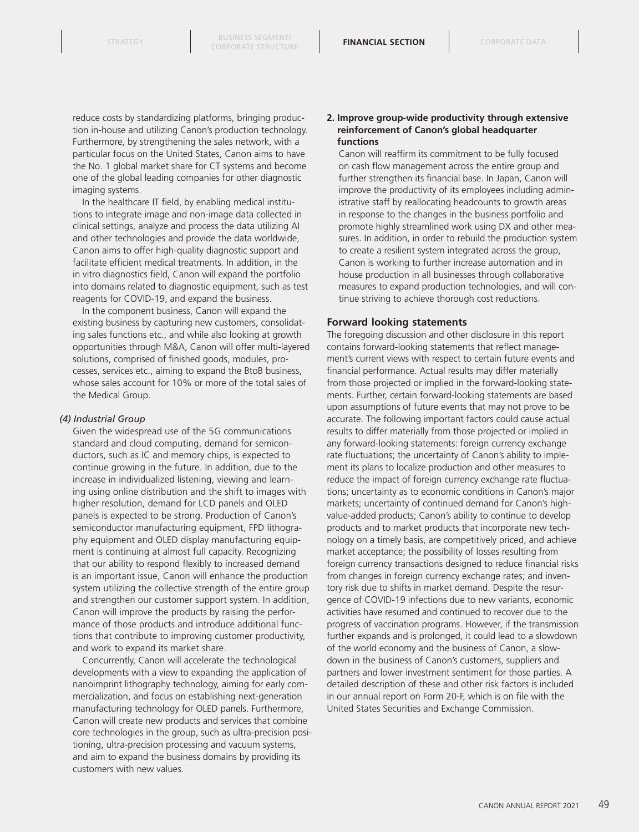reduce costs by standardizing platforms, bringing production in-house and utilizing Canon's production technology. Furthermore, by strengthening the sales network, with a particular focus on the United States, Canon aims to have the No. 1 global market share for CT systems and become one of the global leading companies for other diagnostic imaging systems.

In the healthcare IT field, by enabling medical institutions to integrate image and non-image data collected in clinical settings, analyze and process the data utilizing AI and other technologies and provide the data worldwide, Canon aims to offer high-quality diagnostic support and facilitate efficient medical treatments. In addition, in the in vitro diagnostics field, Canon will expand the portfolio into domains related to diagnostic equipment, such as test reagents for COVID-19, and expand the business.

In the component business, Canon will expand the existing business by capturing new customers, consolidating sales functions etc., and while also looking at growth opportunities through M&A, Canon will offer multi-layered solutions, comprised of finished goods, modules, processes, services etc., aiming to expand the BtoB business, whose sales account for 10% or more of the total sales of the Medical Group.

#### *(4) Industrial Group*

Given the widespread use of the 5G communications standard and cloud computing, demand for semiconductors, such as IC and memory chips, is expected to continue growing in the future. In addition, due to the increase in individualized listening, viewing and learning using online distribution and the shift to images with higher resolution, demand for LCD panels and OLED panels is expected to be strong. Production of Canon's semiconductor manufacturing equipment, FPD lithography equipment and OLED display manufacturing equipment is continuing at almost full capacity. Recognizing that our ability to respond flexibly to increased demand is an important issue, Canon will enhance the production system utilizing the collective strength of the entire group and strengthen our customer support system. In addition, Canon will improve the products by raising the performance of those products and introduce additional functions that contribute to improving customer productivity, and work to expand its market share.

Concurrently, Canon will accelerate the technological developments with a view to expanding the application of nanoimprint lithography technology, aiming for early commercialization, and focus on establishing next-generation manufacturing technology for OLED panels. Furthermore, Canon will create new products and services that combine core technologies in the group, such as ultra-precision positioning, ultra-precision processing and vacuum systems, and aim to expand the business domains by providing its customers with new values.

#### **2. Improve group-wide productivity through extensive reinforcement of Canon's global headquarter functions**

Canon will reaffirm its commitment to be fully focused on cash flow management across the entire group and further strengthen its financial base. In Japan, Canon will improve the productivity of its employees including administrative staff by reallocating headcounts to growth areas in response to the changes in the business portfolio and promote highly streamlined work using DX and other measures. In addition, in order to rebuild the production system to create a resilient system integrated across the group, Canon is working to further increase automation and in house production in all businesses through collaborative measures to expand production technologies, and will continue striving to achieve thorough cost reductions.

#### **Forward looking statements**

The foregoing discussion and other disclosure in this report contains forward-looking statements that reflect management's current views with respect to certain future events and financial performance. Actual results may differ materially from those projected or implied in the forward-looking statements. Further, certain forward-looking statements are based upon assumptions of future events that may not prove to be accurate. The following important factors could cause actual results to differ materially from those projected or implied in any forward-looking statements: foreign currency exchange rate fluctuations; the uncertainty of Canon's ability to implement its plans to localize production and other measures to reduce the impact of foreign currency exchange rate fluctuations; uncertainty as to economic conditions in Canon's major markets; uncertainty of continued demand for Canon's highvalue-added products; Canon's ability to continue to develop products and to market products that incorporate new technology on a timely basis, are competitively priced, and achieve market acceptance; the possibility of losses resulting from foreign currency transactions designed to reduce financial risks from changes in foreign currency exchange rates; and inventory risk due to shifts in market demand. Despite the resurgence of COVID-19 infections due to new variants, economic activities have resumed and continued to recover due to the progress of vaccination programs. However, if the transmission further expands and is prolonged, it could lead to a slowdown of the world economy and the business of Canon, a slowdown in the business of Canon's customers, suppliers and partners and lower investment sentiment for those parties. A detailed description of these and other risk factors is included in our annual report on Form 20-F, which is on file with the United States Securities and Exchange Commission.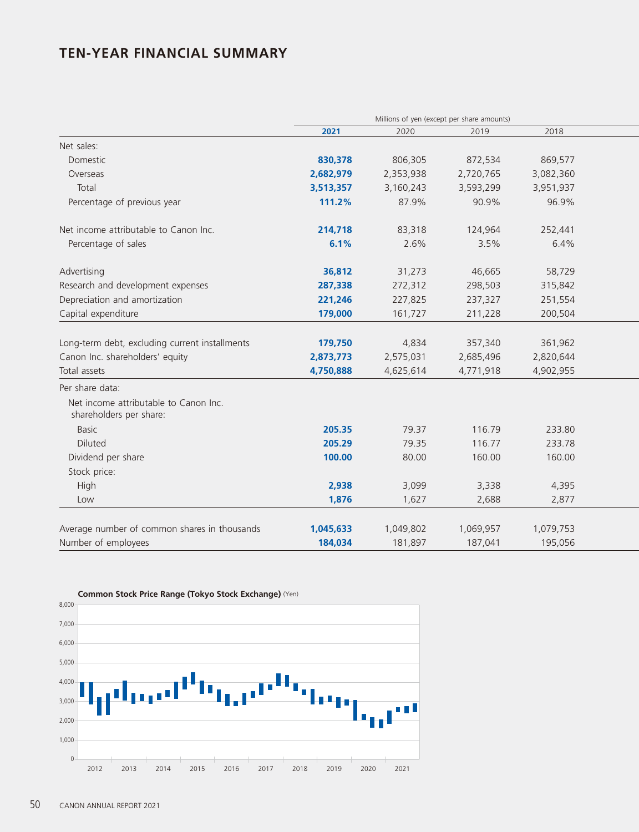# **TEN-YEAR FINANCIAL SUMMARY**

|                                                                  | Millions of yen (except per share amounts) |           |           |           |  |
|------------------------------------------------------------------|--------------------------------------------|-----------|-----------|-----------|--|
|                                                                  | 2021                                       | 2020      | 2019      | 2018      |  |
| Net sales:                                                       |                                            |           |           |           |  |
| Domestic                                                         | 830,378                                    | 806,305   | 872,534   | 869,577   |  |
| Overseas                                                         | 2,682,979                                  | 2,353,938 | 2,720,765 | 3,082,360 |  |
| Total                                                            | 3,513,357                                  | 3,160,243 | 3,593,299 | 3,951,937 |  |
| Percentage of previous year                                      | 111.2%                                     | 87.9%     | 90.9%     | 96.9%     |  |
| Net income attributable to Canon Inc.                            | 214,718                                    | 83,318    | 124,964   | 252,441   |  |
| Percentage of sales                                              | 6.1%                                       | 2.6%      | 3.5%      | 6.4%      |  |
| Advertising                                                      | 36,812                                     | 31,273    | 46,665    | 58,729    |  |
| Research and development expenses                                | 287,338                                    | 272,312   | 298,503   | 315,842   |  |
| Depreciation and amortization                                    | 221,246                                    | 227,825   | 237,327   | 251,554   |  |
| Capital expenditure                                              | 179,000                                    | 161,727   | 211,228   | 200,504   |  |
| Long-term debt, excluding current installments                   | 179,750                                    | 4,834     | 357,340   | 361,962   |  |
| Canon Inc. shareholders' equity                                  | 2,873,773                                  | 2,575,031 | 2,685,496 | 2,820,644 |  |
| Total assets                                                     | 4,750,888                                  | 4,625,614 | 4,771,918 | 4,902,955 |  |
| Per share data:                                                  |                                            |           |           |           |  |
| Net income attributable to Canon Inc.<br>shareholders per share: |                                            |           |           |           |  |
| Basic                                                            | 205.35                                     | 79.37     | 116.79    | 233.80    |  |
| Diluted                                                          | 205.29                                     | 79.35     | 116.77    | 233.78    |  |
| Dividend per share                                               | 100.00                                     | 80.00     | 160.00    | 160.00    |  |
| Stock price:                                                     |                                            |           |           |           |  |
| High                                                             | 2,938                                      | 3,099     | 3,338     | 4,395     |  |
| Low                                                              | 1,876                                      | 1,627     | 2,688     | 2,877     |  |
| Average number of common shares in thousands                     | 1,045,633                                  | 1,049,802 | 1,069,957 | 1,079,753 |  |
| Number of employees                                              | 184,034                                    | 181,897   | 187,041   | 195,056   |  |
|                                                                  |                                            |           |           |           |  |

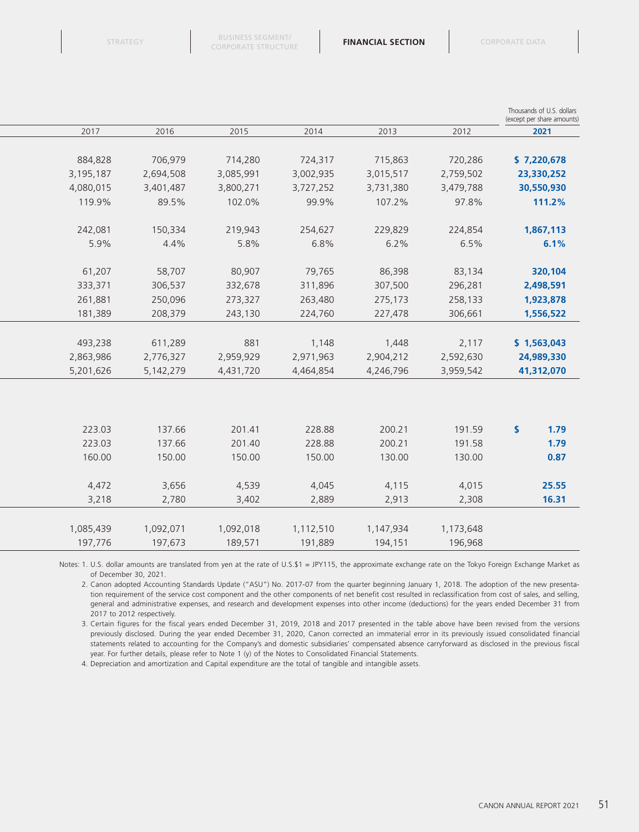|                                                               |              | Thousands of U.S. dollars<br>(except per share amounts) |
|---------------------------------------------------------------|--------------|---------------------------------------------------------|
| 2016<br>2015<br>2014<br>2013<br>2012                          |              | 2021                                                    |
|                                                               |              |                                                         |
| 706,979<br>714,280<br>724,317<br>715,863<br>720,286           |              | \$7,220,678                                             |
| 2,694,508<br>3,002,935<br>3,015,517<br>2,759,502<br>3,085,991 |              | 23,330,252                                              |
| 3,401,487<br>3,800,271<br>3,727,252<br>3,731,380<br>3,479,788 |              | 30,550,930                                              |
| 89.5%<br>99.9%<br>107.2%<br>97.8%<br>102.0%                   |              | 111.2%                                                  |
| 150,334<br>219,943<br>254,627<br>229,829<br>224,854           |              | 1,867,113                                               |
| 4.4%<br>5.8%<br>6.2%<br>6.5%<br>6.8%                          |              | 6.1%                                                    |
| 58,707<br>79,765<br>83,134<br>80,907<br>86,398                |              | 320,104                                                 |
| 306,537<br>311,896<br>307,500<br>296,281<br>332,678           |              | 2,498,591                                               |
| 250,096<br>273,327<br>275,173<br>258,133<br>263,480           |              | 1,923,878                                               |
| 208,379<br>243,130<br>224,760<br>227,478<br>306,661           |              | 1,556,522                                               |
|                                                               |              |                                                         |
| 611,289<br>881<br>2,117<br>1,148<br>1,448                     |              | \$1,563,043                                             |
| 2,904,212<br>2,776,327<br>2,959,929<br>2,971,963<br>2,592,630 |              | 24,989,330                                              |
| 5,142,279<br>4,431,720<br>4,246,796<br>4,464,854<br>3,959,542 |              | 41,312,070                                              |
|                                                               |              |                                                         |
| 137.66<br>191.59<br>201.41<br>228.88<br>200.21                | $\mathsf{S}$ | 1.79                                                    |
| 137.66<br>200.21<br>201.40<br>228.88<br>191.58                |              | 1.79                                                    |
| 150.00<br>150.00<br>150.00<br>130.00<br>130.00                |              | 0.87                                                    |
| 4,539<br>4,115<br>4,015<br>3,656<br>4,045                     |              | 25.55                                                   |
| 3,402<br>2,889<br>2,913<br>2,308<br>2,780                     |              | 16.31                                                   |
|                                                               |              |                                                         |
| 1,092,071<br>1,092,018<br>1,112,510<br>1,147,934<br>1,173,648 |              |                                                         |
| 197,673<br>194,151<br>196,968<br>189,571<br>191,889           |              |                                                         |

Notes: 1. U.S. dollar amounts are translated from yen at the rate of U.S.\$1 = JPY115, the approximate exchange rate on the Tokyo Foreign Exchange Market as of December 30, 2021.

2. Canon adopted Accounting Standards Update ("ASU") No. 2017-07 from the quarter beginning January 1, 2018. The adoption of the new presentation requirement of the service cost component and the other components of net benefit cost resulted in reclassification from cost of sales, and selling, general and administrative expenses, and research and development expenses into other income (deductions) for the years ended December 31 from 2017 to 2012 respectively.

3. Certain figures for the fiscal years ended December 31, 2019, 2018 and 2017 presented in the table above have been revised from the versions previously disclosed. During the year ended December 31, 2020, Canon corrected an immaterial error in its previously issued consolidated financial statements related to accounting for the Company's and domestic subsidiaries' compensated absence carryforward as disclosed in the previous fiscal year. For further details, please refer to Note 1 (y) of the Notes to Consolidated Financial Statements.

4. Depreciation and amortization and Capital expenditure are the total of tangible and intangible assets.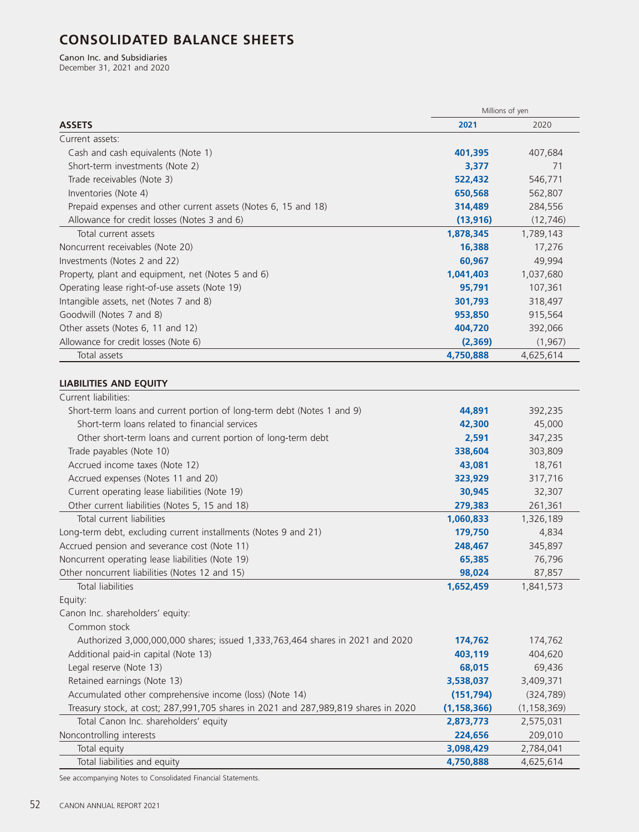# **CONSOLIDATED BALANCE SHEETS**

Canon Inc. and Subsidiaries December 31, 2021 and 2020

|                                                                                    |               | Millions of yen |  |
|------------------------------------------------------------------------------------|---------------|-----------------|--|
| <b>ASSETS</b>                                                                      | 2021          | 2020            |  |
| Current assets:                                                                    |               |                 |  |
| Cash and cash equivalents (Note 1)                                                 | 401,395       | 407,684         |  |
| Short-term investments (Note 2)                                                    | 3,377         | 71              |  |
| Trade receivables (Note 3)                                                         | 522,432       | 546,771         |  |
| Inventories (Note 4)                                                               | 650,568       | 562,807         |  |
| Prepaid expenses and other current assets (Notes 6, 15 and 18)                     | 314,489       | 284,556         |  |
| Allowance for credit losses (Notes 3 and 6)                                        | (13,916)      | (12, 746)       |  |
| Total current assets                                                               | 1,878,345     | 1,789,143       |  |
| Noncurrent receivables (Note 20)                                                   | 16,388        | 17,276          |  |
| Investments (Notes 2 and 22)                                                       | 60,967        | 49,994          |  |
| Property, plant and equipment, net (Notes 5 and 6)                                 | 1,041,403     | 1,037,680       |  |
| Operating lease right-of-use assets (Note 19)                                      | 95,791        | 107,361         |  |
| Intangible assets, net (Notes 7 and 8)                                             | 301,793       | 318,497         |  |
| Goodwill (Notes 7 and 8)                                                           | 953,850       | 915,564         |  |
| Other assets (Notes 6, 11 and 12)                                                  | 404,720       | 392,066         |  |
| Allowance for credit losses (Note 6)                                               | (2,369)       | (1, 967)        |  |
| Total assets                                                                       | 4,750,888     | 4,625,614       |  |
|                                                                                    |               |                 |  |
| <b>LIABILITIES AND EQUITY</b>                                                      |               |                 |  |
| Current liabilities:                                                               |               |                 |  |
| Short-term loans and current portion of long-term debt (Notes 1 and 9)             | 44,891        | 392,235         |  |
| Short-term loans related to financial services                                     | 42,300        | 45,000          |  |
| Other short-term loans and current portion of long-term debt                       | 2,591         | 347,235         |  |
| Trade payables (Note 10)                                                           | 338,604       | 303,809         |  |
| Accrued income taxes (Note 12)                                                     | 43,081        | 18,761          |  |
| Accrued expenses (Notes 11 and 20)                                                 | 323,929       | 317,716         |  |
| Current operating lease liabilities (Note 19)                                      | 30,945        | 32,307          |  |
| Other current liabilities (Notes 5, 15 and 18)                                     | 279,383       | 261,361         |  |
| Total current liabilities                                                          | 1,060,833     | 1,326,189       |  |
| Long-term debt, excluding current installments (Notes 9 and 21)                    | 179,750       | 4,834           |  |
| Accrued pension and severance cost (Note 11)                                       | 248,467       | 345,897         |  |
| Noncurrent operating lease liabilities (Note 19)                                   | 65,385        | 76,796          |  |
| Other noncurrent liabilities (Notes 12 and 15)                                     | 98,024        | 87,857          |  |
| <b>Total liabilities</b>                                                           | 1,652,459     | 1,841,573       |  |
| Equity:                                                                            |               |                 |  |
| Canon Inc. shareholders' equity:                                                   |               |                 |  |
| Common stock                                                                       |               |                 |  |
| Authorized 3,000,000,000 shares; issued 1,333,763,464 shares in 2021 and 2020      | 174,762       | 174,762         |  |
| Additional paid-in capital (Note 13)                                               | 403,119       | 404,620         |  |
| Legal reserve (Note 13)                                                            | 68,015        | 69,436          |  |
| Retained earnings (Note 13)                                                        | 3,538,037     | 3,409,371       |  |
| Accumulated other comprehensive income (loss) (Note 14)                            | (151, 794)    | (324, 789)      |  |
| Treasury stock, at cost; 287,991,705 shares in 2021 and 287,989,819 shares in 2020 | (1, 158, 366) | (1, 158, 369)   |  |
| Total Canon Inc. shareholders' equity                                              | 2,873,773     | 2,575,031       |  |
| Noncontrolling interests                                                           | 224,656       | 209,010         |  |
| Total equity                                                                       | 3,098,429     | 2,784,041       |  |
| Total liabilities and equity                                                       | 4,750,888     | 4,625,614       |  |
|                                                                                    |               |                 |  |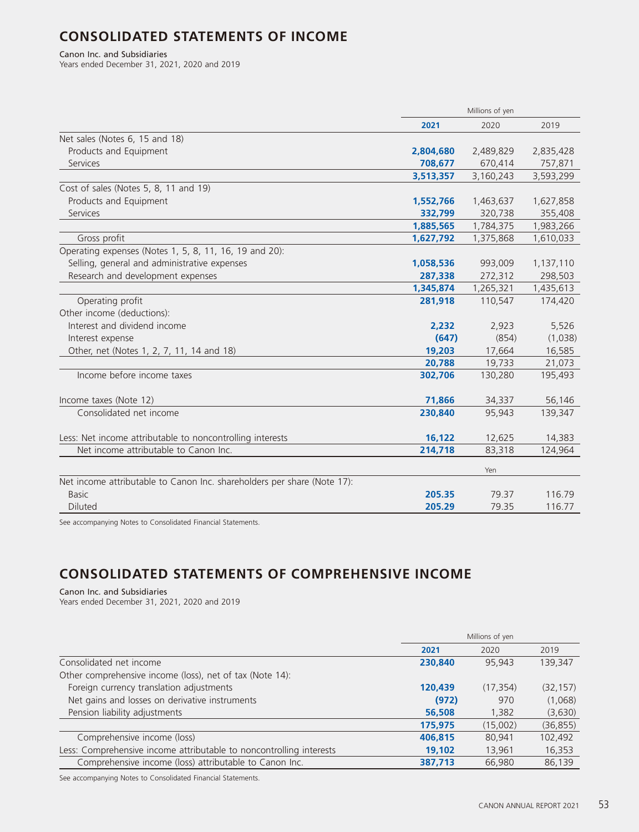# **CONSOLIDATED STATEMENTS OF INCOME**

Canon Inc. and Subsidiaries

Years ended December 31, 2021, 2020 and 2019

|                                                                         | Millions of yen |           |           |  |
|-------------------------------------------------------------------------|-----------------|-----------|-----------|--|
|                                                                         | 2021            | 2020      | 2019      |  |
| Net sales (Notes 6, 15 and 18)                                          |                 |           |           |  |
| Products and Equipment                                                  | 2,804,680       | 2,489,829 | 2,835,428 |  |
| Services                                                                | 708,677         | 670,414   | 757,871   |  |
|                                                                         | 3,513,357       | 3,160,243 | 3,593,299 |  |
| Cost of sales (Notes 5, 8, 11 and 19)                                   |                 |           |           |  |
| Products and Equipment                                                  | 1,552,766       | 1,463,637 | 1,627,858 |  |
| Services                                                                | 332,799         | 320,738   | 355,408   |  |
|                                                                         | 1,885,565       | 1,784,375 | 1,983,266 |  |
| Gross profit                                                            | 1,627,792       | 1,375,868 | 1,610,033 |  |
| Operating expenses (Notes 1, 5, 8, 11, 16, 19 and 20):                  |                 |           |           |  |
| Selling, general and administrative expenses                            | 1,058,536       | 993,009   | 1,137,110 |  |
| Research and development expenses                                       | 287,338         | 272,312   | 298,503   |  |
|                                                                         | 1,345,874       | 1,265,321 | 1,435,613 |  |
| Operating profit                                                        | 281,918         | 110,547   | 174,420   |  |
| Other income (deductions):                                              |                 |           |           |  |
| Interest and dividend income                                            | 2,232           | 2,923     | 5,526     |  |
| Interest expense                                                        | (647)           | (854)     | (1,038)   |  |
| Other, net (Notes 1, 2, 7, 11, 14 and 18)                               | 19,203          | 17,664    | 16,585    |  |
|                                                                         | 20,788          | 19,733    | 21,073    |  |
| Income before income taxes                                              | 302,706         | 130,280   | 195,493   |  |
| Income taxes (Note 12)                                                  | 71,866          | 34,337    | 56,146    |  |
| Consolidated net income                                                 | 230,840         | 95,943    | 139,347   |  |
|                                                                         |                 |           |           |  |
| Less: Net income attributable to noncontrolling interests               | 16,122          | 12,625    | 14,383    |  |
| Net income attributable to Canon Inc.                                   | 214,718         | 83,318    | 124,964   |  |
|                                                                         |                 | Yen       |           |  |
| Net income attributable to Canon Inc. shareholders per share (Note 17): |                 |           |           |  |
| <b>Basic</b>                                                            | 205.35          | 79.37     | 116.79    |  |
| Diluted                                                                 | 205.29          | 79.35     | 116.77    |  |

See accompanying Notes to Consolidated Financial Statements.

# **CONSOLIDATED STATEMENTS OF COMPREHENSIVE INCOME**

Canon Inc. and Subsidiaries

Years ended December 31, 2021, 2020 and 2019

|                                                                     |         | Millions of yen |           |  |
|---------------------------------------------------------------------|---------|-----------------|-----------|--|
|                                                                     | 2021    | 2020            | 2019      |  |
| Consolidated net income                                             | 230,840 | 95.943          | 139,347   |  |
| Other comprehensive income (loss), net of tax (Note 14):            |         |                 |           |  |
| Foreign currency translation adjustments                            | 120,439 | (17, 354)       | (32, 157) |  |
| Net gains and losses on derivative instruments                      | (972)   | 970             | (1,068)   |  |
| Pension liability adjustments                                       | 56,508  | 1,382           | (3,630)   |  |
|                                                                     | 175,975 | (15,002)        | (36, 855) |  |
| Comprehensive income (loss)                                         | 406,815 | 80.941          | 102,492   |  |
| Less: Comprehensive income attributable to noncontrolling interests | 19,102  | 13,961          | 16,353    |  |
| Comprehensive income (loss) attributable to Canon Inc.              | 387,713 | 66.980          | 86,139    |  |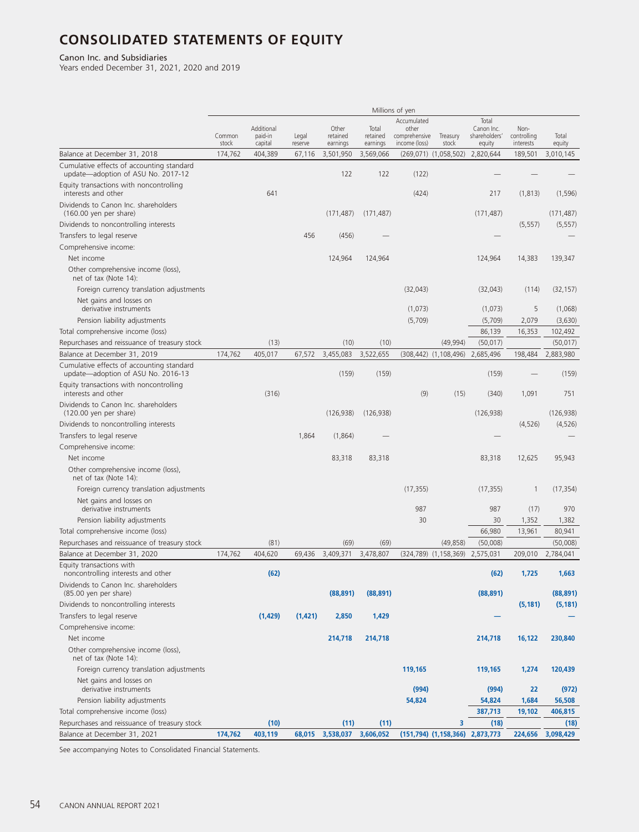# **CONSOLIDATED STATEMENTS OF EQUITY**

# Canon Inc. and Subsidiaries

Years ended December 31, 2021, 2020 and 2019

|                                                                                 |                 |                                  |                  |                               |                               | Millions of yen                                        |                                     |                                                |                                  |                 |
|---------------------------------------------------------------------------------|-----------------|----------------------------------|------------------|-------------------------------|-------------------------------|--------------------------------------------------------|-------------------------------------|------------------------------------------------|----------------------------------|-----------------|
|                                                                                 | Common<br>stock | Additional<br>paid-in<br>capital | Legal<br>reserve | Other<br>retained<br>earnings | Total<br>retained<br>earnings | Accumulated<br>other<br>comprehensive<br>income (loss) | Treasury<br>stock                   | Total<br>Canon Inc.<br>shareholders'<br>equity | Non-<br>controlling<br>interests | Total<br>equity |
| Balance at December 31, 2018                                                    | 174,762         | 404,389                          | 67,116           | 3,501,950                     | 3,569,066                     | (269, 071)                                             | (1,058,502)                         | 2,820,644                                      | 189,501                          | 3,010,145       |
| Cumulative effects of accounting standard<br>update-adoption of ASU No. 2017-12 |                 |                                  |                  | 122                           | 122                           | (122)                                                  |                                     |                                                |                                  |                 |
| Equity transactions with noncontrolling<br>interests and other                  |                 | 641                              |                  |                               |                               | (424)                                                  |                                     | 217                                            | (1, 813)                         | (1, 596)        |
| Dividends to Canon Inc. shareholders<br>$(160.00$ yen per share)                |                 |                                  |                  | (171, 487)                    | (171, 487)                    |                                                        |                                     | (171, 487)                                     |                                  | (171, 487)      |
| Dividends to noncontrolling interests                                           |                 |                                  |                  |                               |                               |                                                        |                                     |                                                | (5, 557)                         | (5, 557)        |
| Transfers to legal reserve                                                      |                 |                                  | 456              | (456)                         |                               |                                                        |                                     |                                                |                                  |                 |
| Comprehensive income:                                                           |                 |                                  |                  |                               |                               |                                                        |                                     |                                                |                                  |                 |
| Net income                                                                      |                 |                                  |                  | 124,964                       | 124,964                       |                                                        |                                     | 124,964                                        | 14,383                           | 139,347         |
| Other comprehensive income (loss),<br>net of tax (Note 14):                     |                 |                                  |                  |                               |                               |                                                        |                                     |                                                |                                  |                 |
| Foreign currency translation adjustments                                        |                 |                                  |                  |                               |                               | (32,043)                                               |                                     | (32,043)                                       | (114)                            | (32, 157)       |
| Net gains and losses on<br>derivative instruments                               |                 |                                  |                  |                               |                               | (1,073)                                                |                                     | (1,073)                                        | 5                                | (1,068)         |
| Pension liability adjustments                                                   |                 |                                  |                  |                               |                               | (5,709)                                                |                                     | (5,709)                                        | 2,079                            | (3,630)         |
| Total comprehensive income (loss)                                               |                 |                                  |                  |                               |                               |                                                        |                                     | 86,139                                         | 16,353                           | 102,492         |
| Repurchases and reissuance of treasury stock                                    |                 | (13)                             |                  | (10)                          | (10)                          |                                                        | (49, 994)                           | (50, 017)                                      |                                  | (50, 017)       |
| Balance at December 31, 2019                                                    | 174,762         | 405,017                          | 67,572           | 3,455,083                     | 3,522,655                     |                                                        | $(308, 442)$ $(1, 108, 496)$        | 2,685,496                                      | 198,484                          | 2,883,980       |
| Cumulative effects of accounting standard<br>update-adoption of ASU No. 2016-13 |                 |                                  |                  | (159)                         | (159)                         |                                                        |                                     | (159)                                          |                                  | (159)           |
| Equity transactions with noncontrolling<br>interests and other                  |                 | (316)                            |                  |                               |                               | (9)                                                    | (15)                                | (340)                                          | 1,091                            | 751             |
| Dividends to Canon Inc. shareholders<br>$(120.00$ yen per share)                |                 |                                  |                  | (126, 938)                    | (126, 938)                    |                                                        |                                     | (126, 938)                                     |                                  | (126, 938)      |
| Dividends to noncontrolling interests                                           |                 |                                  |                  |                               |                               |                                                        |                                     |                                                | (4,526)                          | (4,526)         |
| Transfers to legal reserve                                                      |                 |                                  | 1,864            | (1,864)                       |                               |                                                        |                                     |                                                |                                  |                 |
| Comprehensive income:                                                           |                 |                                  |                  |                               |                               |                                                        |                                     |                                                |                                  |                 |
| Net income                                                                      |                 |                                  |                  | 83,318                        | 83,318                        |                                                        |                                     | 83,318                                         | 12,625                           | 95,943          |
| Other comprehensive income (loss),<br>net of tax (Note 14):                     |                 |                                  |                  |                               |                               |                                                        |                                     |                                                |                                  |                 |
| Foreign currency translation adjustments                                        |                 |                                  |                  |                               |                               | (17, 355)                                              |                                     | (17, 355)                                      | $\mathbf{1}$                     | (17, 354)       |
| Net gains and losses on<br>derivative instruments                               |                 |                                  |                  |                               |                               | 987                                                    |                                     | 987                                            | (17)                             | 970             |
| Pension liability adjustments                                                   |                 |                                  |                  |                               |                               | 30                                                     |                                     | 30                                             | 1,352                            | 1,382           |
| Total comprehensive income (loss)                                               |                 |                                  |                  |                               |                               |                                                        |                                     | 66,980                                         | 13,961                           | 80,941          |
| Repurchases and reissuance of treasury stock                                    |                 | (81)                             |                  | (69)                          | (69)                          |                                                        | (49, 858)                           | (50,008)                                       |                                  | (50,008)        |
| Balance at December 31, 2020                                                    | 174,762         | 404,620                          | 69,436           | 3,409,371                     | 3,478,807                     |                                                        | $(324,789)$ $(1,158,369)$           | 2,575,031                                      | 209,010                          | 2,784,041       |
| Equity transactions with<br>noncontrolling interests and other                  |                 | (62)                             |                  |                               |                               |                                                        |                                     | (62)                                           | 1,725                            | 1,663           |
| Dividends to Canon Inc. shareholders<br>(85.00 yen per share)                   |                 |                                  |                  | (88, 891)                     | (88, 891)                     |                                                        |                                     | (88, 891)                                      |                                  | (88, 891)       |
| Dividends to noncontrolling interests                                           |                 |                                  |                  |                               |                               |                                                        |                                     |                                                | (5, 181)                         | (5, 181)        |
| Transfers to legal reserve                                                      |                 | (1,429)                          | (1,421)          | 2,850                         | 1,429                         |                                                        |                                     |                                                |                                  |                 |
| Comprehensive income:                                                           |                 |                                  |                  |                               |                               |                                                        |                                     |                                                |                                  |                 |
| Net income                                                                      |                 |                                  |                  | 214,718                       | 214,718                       |                                                        |                                     | 214,718                                        | 16,122                           | 230,840         |
| Other comprehensive income (loss),<br>net of tax (Note 14):                     |                 |                                  |                  |                               |                               |                                                        |                                     |                                                |                                  |                 |
| Foreign currency translation adjustments                                        |                 |                                  |                  |                               |                               | 119,165                                                |                                     | 119,165                                        | 1,274                            | 120,439         |
| Net gains and losses on<br>derivative instruments                               |                 |                                  |                  |                               |                               | (994)                                                  |                                     | (994)                                          | 22                               | (972)           |
| Pension liability adjustments                                                   |                 |                                  |                  |                               |                               | 54,824                                                 |                                     | 54,824                                         | 1,684                            | 56,508          |
| Total comprehensive income (loss)                                               |                 |                                  |                  |                               |                               |                                                        |                                     | 387,713                                        | 19,102                           | 406,815         |
| Repurchases and reissuance of treasury stock                                    |                 | (10)                             |                  | (11)                          | (11)                          |                                                        | з                                   | (18)                                           |                                  | (18)            |
| Balance at December 31, 2021                                                    | 174,762         | 403,119                          |                  | 68,015 3,538,037 3,606,052    |                               |                                                        | $(151,794)$ $(1,158,366)$ 2,873,773 |                                                | 224,656                          | 3,098,429       |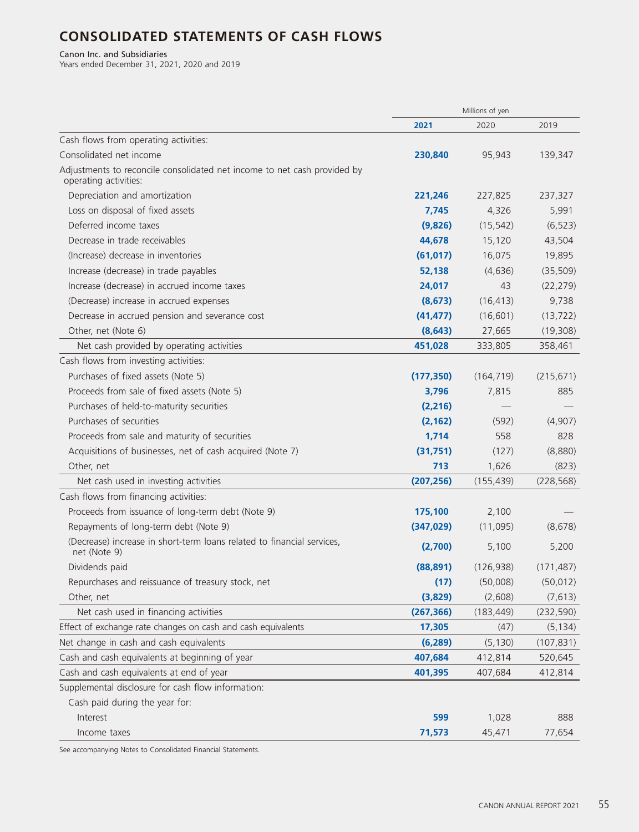# **CONSOLIDATED STATEMENTS OF CASH FLOWS**

Canon Inc. and Subsidiaries

Years ended December 31, 2021, 2020 and 2019

|                                                                                                   | Millions of yen |            |            |
|---------------------------------------------------------------------------------------------------|-----------------|------------|------------|
|                                                                                                   | 2021            | 2020       | 2019       |
| Cash flows from operating activities:                                                             |                 |            |            |
| Consolidated net income                                                                           | 230,840         | 95,943     | 139,347    |
| Adjustments to reconcile consolidated net income to net cash provided by<br>operating activities: |                 |            |            |
| Depreciation and amortization                                                                     | 221,246         | 227,825    | 237,327    |
| Loss on disposal of fixed assets                                                                  | 7.745           | 4,326      | 5,991      |
| Deferred income taxes                                                                             | (9,826)         | (15, 542)  | (6, 523)   |
| Decrease in trade receivables                                                                     | 44,678          | 15,120     | 43,504     |
| (Increase) decrease in inventories                                                                | (61, 017)       | 16,075     | 19,895     |
| Increase (decrease) in trade payables                                                             | 52,138          | (4,636)    | (35, 509)  |
| Increase (decrease) in accrued income taxes                                                       | 24,017          | 43         | (22, 279)  |
| (Decrease) increase in accrued expenses                                                           | (8, 673)        | (16, 413)  | 9,738      |
| Decrease in accrued pension and severance cost                                                    | (41, 477)       | (16, 601)  | (13, 722)  |
| Other, net (Note 6)                                                                               | (8, 643)        | 27,665     | (19,308)   |
| Net cash provided by operating activities                                                         | 451,028         | 333,805    | 358,461    |
| Cash flows from investing activities:                                                             |                 |            |            |
| Purchases of fixed assets (Note 5)                                                                | (177, 350)      | (164, 719) | (215, 671) |
| Proceeds from sale of fixed assets (Note 5)                                                       | 3,796           | 7,815      | 885        |
| Purchases of held-to-maturity securities                                                          | (2,216)         |            |            |
| Purchases of securities                                                                           | (2, 162)        | (592)      | (4,907)    |
| Proceeds from sale and maturity of securities                                                     | 1,714           | 558        | 828        |
| Acquisitions of businesses, net of cash acquired (Note 7)                                         | (31,751)        | (127)      | (8,880)    |
| Other, net                                                                                        | 713             | 1,626      | (823)      |
| Net cash used in investing activities                                                             | (207, 256)      | (155, 439) | (228, 568) |
| Cash flows from financing activities:                                                             |                 |            |            |
| Proceeds from issuance of long-term debt (Note 9)                                                 | 175,100         | 2,100      |            |
| Repayments of long-term debt (Note 9)                                                             | (347, 029)      | (11,095)   | (8,678)    |
| (Decrease) increase in short-term loans related to financial services,<br>net (Note 9)            | (2,700)         | 5,100      | 5,200      |
| Dividends paid                                                                                    | (88, 891)       | (126, 938) | (171, 487) |
| Repurchases and reissuance of treasury stock, net                                                 | (17)            | (50,008)   | (50, 012)  |
| Other, net                                                                                        | (3,829)         | (2,608)    | (7, 613)   |
| Net cash used in financing activities                                                             | (267, 366)      | (183, 449) | (232, 590) |
| Effect of exchange rate changes on cash and cash equivalents                                      | 17,305          | (47)       | (5, 134)   |
| Net change in cash and cash equivalents                                                           | (6, 289)        | (5, 130)   | (107, 831) |
| Cash and cash equivalents at beginning of year                                                    | 407,684         | 412,814    | 520,645    |
| Cash and cash equivalents at end of year                                                          | 401,395         | 407,684    | 412,814    |
| Supplemental disclosure for cash flow information:                                                |                 |            |            |
| Cash paid during the year for:                                                                    |                 |            |            |
| Interest                                                                                          | 599             | 1,028      | 888        |
| Income taxes                                                                                      | 71,573          | 45,471     | 77,654     |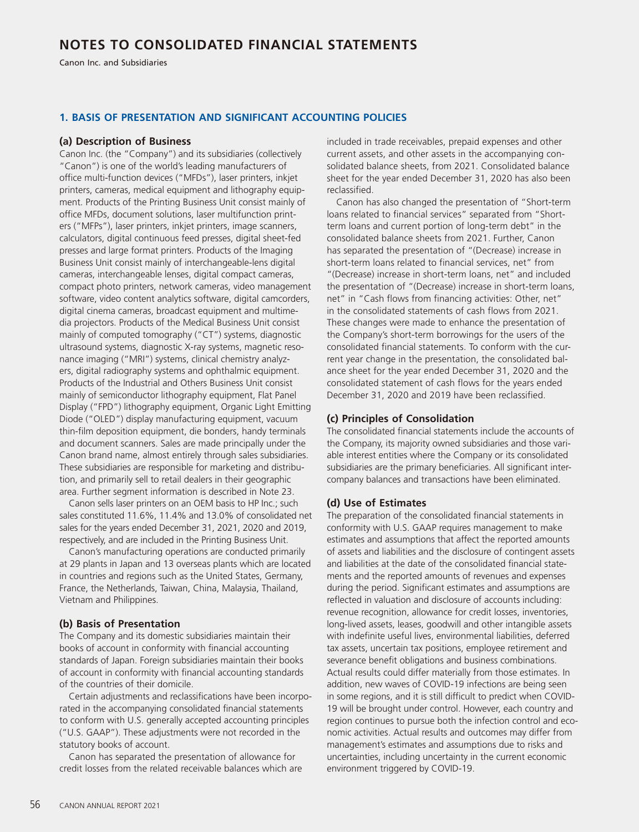# **NOTES TO CONSOLIDATED FINANCIAL STATEMENTS**

Canon Inc. and Subsidiaries

# **1. BASIS OF PRESENTATION AND SIGNIFICANT ACCOUNTING POLICIES**

# **(a) Description of Business**

Canon Inc. (the "Company") and its subsidiaries (collectively "Canon") is one of the world's leading manufacturers of office multi-function devices ("MFDs"), laser printers, inkjet printers, cameras, medical equipment and lithography equipment. Products of the Printing Business Unit consist mainly of office MFDs, document solutions, laser multifunction printers ("MFPs"), laser printers, inkjet printers, image scanners, calculators, digital continuous feed presses, digital sheet-fed presses and large format printers. Products of the Imaging Business Unit consist mainly of interchangeable-lens digital cameras, interchangeable lenses, digital compact cameras, compact photo printers, network cameras, video management software, video content analytics software, digital camcorders, digital cinema cameras, broadcast equipment and multimedia projectors. Products of the Medical Business Unit consist mainly of computed tomography ("CT") systems, diagnostic ultrasound systems, diagnostic X-ray systems, magnetic resonance imaging ("MRI") systems, clinical chemistry analyzers, digital radiography systems and ophthalmic equipment. Products of the Industrial and Others Business Unit consist mainly of semiconductor lithography equipment, Flat Panel Display ("FPD") lithography equipment, Organic Light Emitting Diode ("OLED") display manufacturing equipment, vacuum thin-film deposition equipment, die bonders, handy terminals and document scanners. Sales are made principally under the Canon brand name, almost entirely through sales subsidiaries. These subsidiaries are responsible for marketing and distribution, and primarily sell to retail dealers in their geographic area. Further segment information is described in Note 23.

Canon sells laser printers on an OEM basis to HP Inc.; such sales constituted 11.6%, 11.4% and 13.0% of consolidated net sales for the years ended December 31, 2021, 2020 and 2019, respectively, and are included in the Printing Business Unit.

Canon's manufacturing operations are conducted primarily at 29 plants in Japan and 13 overseas plants which are located in countries and regions such as the United States, Germany, France, the Netherlands, Taiwan, China, Malaysia, Thailand, Vietnam and Philippines.

# **(b) Basis of Presentation**

The Company and its domestic subsidiaries maintain their books of account in conformity with financial accounting standards of Japan. Foreign subsidiaries maintain their books of account in conformity with financial accounting standards of the countries of their domicile.

Certain adjustments and reclassifications have been incorporated in the accompanying consolidated financial statements to conform with U.S. generally accepted accounting principles ("U.S. GAAP"). These adjustments were not recorded in the statutory books of account.

Canon has separated the presentation of allowance for credit losses from the related receivable balances which are included in trade receivables, prepaid expenses and other current assets, and other assets in the accompanying consolidated balance sheets, from 2021. Consolidated balance sheet for the year ended December 31, 2020 has also been reclassified.

Canon has also changed the presentation of "Short-term loans related to financial services" separated from "Shortterm loans and current portion of long-term debt" in the consolidated balance sheets from 2021. Further, Canon has separated the presentation of "(Decrease) increase in short-term loans related to financial services, net" from "(Decrease) increase in short-term loans, net" and included the presentation of "(Decrease) increase in short-term loans, net" in "Cash flows from financing activities: Other, net" in the consolidated statements of cash flows from 2021. These changes were made to enhance the presentation of the Company's short-term borrowings for the users of the consolidated financial statements. To conform with the current year change in the presentation, the consolidated balance sheet for the year ended December 31, 2020 and the consolidated statement of cash flows for the years ended December 31, 2020 and 2019 have been reclassified.

# **(c) Principles of Consolidation**

The consolidated financial statements include the accounts of the Company, its majority owned subsidiaries and those variable interest entities where the Company or its consolidated subsidiaries are the primary beneficiaries. All significant intercompany balances and transactions have been eliminated.

# **(d) Use of Estimates**

The preparation of the consolidated financial statements in conformity with U.S. GAAP requires management to make estimates and assumptions that affect the reported amounts of assets and liabilities and the disclosure of contingent assets and liabilities at the date of the consolidated financial statements and the reported amounts of revenues and expenses during the period. Significant estimates and assumptions are reflected in valuation and disclosure of accounts including: revenue recognition, allowance for credit losses, inventories, long-lived assets, leases, goodwill and other intangible assets with indefinite useful lives, environmental liabilities, deferred tax assets, uncertain tax positions, employee retirement and severance benefit obligations and business combinations. Actual results could differ materially from those estimates. In addition, new waves of COVID-19 infections are being seen in some regions, and it is still difficult to predict when COVID-19 will be brought under control. However, each country and region continues to pursue both the infection control and economic activities. Actual results and outcomes may differ from management's estimates and assumptions due to risks and uncertainties, including uncertainty in the current economic environment triggered by COVID-19.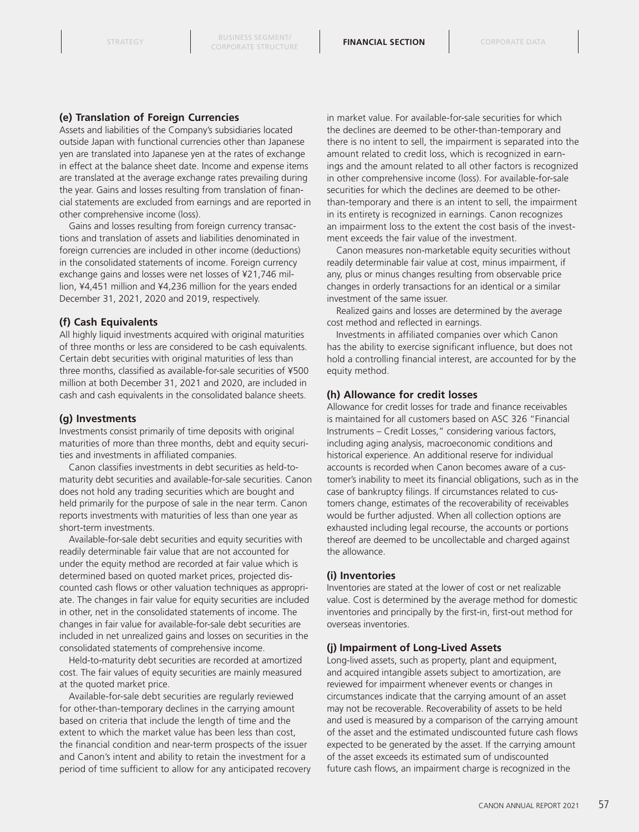# **(e) Translation of Foreign Currencies**

Assets and liabilities of the Company's subsidiaries located outside Japan with functional currencies other than Japanese yen are translated into Japanese yen at the rates of exchange in effect at the balance sheet date. Income and expense items are translated at the average exchange rates prevailing during the year. Gains and losses resulting from translation of financial statements are excluded from earnings and are reported in other comprehensive income (loss).

Gains and losses resulting from foreign currency transactions and translation of assets and liabilities denominated in foreign currencies are included in other income (deductions) in the consolidated statements of income. Foreign currency exchange gains and losses were net losses of ¥21,746 million, ¥4,451 million and ¥4,236 million for the years ended December 31, 2021, 2020 and 2019, respectively.

# **(f) Cash Equivalents**

All highly liquid investments acquired with original maturities of three months or less are considered to be cash equivalents. Certain debt securities with original maturities of less than three months, classified as available-for-sale securities of ¥500 million at both December 31, 2021 and 2020, are included in cash and cash equivalents in the consolidated balance sheets.

## **(g) Investments**

Investments consist primarily of time deposits with original maturities of more than three months, debt and equity securities and investments in affiliated companies.

Canon classifies investments in debt securities as held-tomaturity debt securities and available-for-sale securities. Canon does not hold any trading securities which are bought and held primarily for the purpose of sale in the near term. Canon reports investments with maturities of less than one year as short-term investments.

Available-for-sale debt securities and equity securities with readily determinable fair value that are not accounted for under the equity method are recorded at fair value which is determined based on quoted market prices, projected discounted cash flows or other valuation techniques as appropriate. The changes in fair value for equity securities are included in other, net in the consolidated statements of income. The changes in fair value for available-for-sale debt securities are included in net unrealized gains and losses on securities in the consolidated statements of comprehensive income.

Held-to-maturity debt securities are recorded at amortized cost. The fair values of equity securities are mainly measured at the quoted market price.

Available-for-sale debt securities are regularly reviewed for other-than-temporary declines in the carrying amount based on criteria that include the length of time and the extent to which the market value has been less than cost, the financial condition and near-term prospects of the issuer and Canon's intent and ability to retain the investment for a period of time sufficient to allow for any anticipated recovery in market value. For available-for-sale securities for which the declines are deemed to be other-than-temporary and there is no intent to sell, the impairment is separated into the amount related to credit loss, which is recognized in earnings and the amount related to all other factors is recognized in other comprehensive income (loss). For available-for-sale securities for which the declines are deemed to be otherthan-temporary and there is an intent to sell, the impairment in its entirety is recognized in earnings. Canon recognizes an impairment loss to the extent the cost basis of the investment exceeds the fair value of the investment.

Canon measures non-marketable equity securities without readily determinable fair value at cost, minus impairment, if any, plus or minus changes resulting from observable price changes in orderly transactions for an identical or a similar investment of the same issuer.

Realized gains and losses are determined by the average cost method and reflected in earnings.

Investments in affiliated companies over which Canon has the ability to exercise significant influence, but does not hold a controlling financial interest, are accounted for by the equity method.

# **(h) Allowance for credit losses**

Allowance for credit losses for trade and finance receivables is maintained for all customers based on ASC 326 "Financial Instruments – Credit Losses," considering various factors, including aging analysis, macroeconomic conditions and historical experience. An additional reserve for individual accounts is recorded when Canon becomes aware of a customer's inability to meet its financial obligations, such as in the case of bankruptcy filings. If circumstances related to customers change, estimates of the recoverability of receivables would be further adjusted. When all collection options are exhausted including legal recourse, the accounts or portions thereof are deemed to be uncollectable and charged against the allowance.

# **(i) Inventories**

Inventories are stated at the lower of cost or net realizable value. Cost is determined by the average method for domestic inventories and principally by the first-in, first-out method for overseas inventories.

#### **(j) Impairment of Long-Lived Assets**

Long-lived assets, such as property, plant and equipment, and acquired intangible assets subject to amortization, are reviewed for impairment whenever events or changes in circumstances indicate that the carrying amount of an asset may not be recoverable. Recoverability of assets to be held and used is measured by a comparison of the carrying amount of the asset and the estimated undiscounted future cash flows expected to be generated by the asset. If the carrying amount of the asset exceeds its estimated sum of undiscounted future cash flows, an impairment charge is recognized in the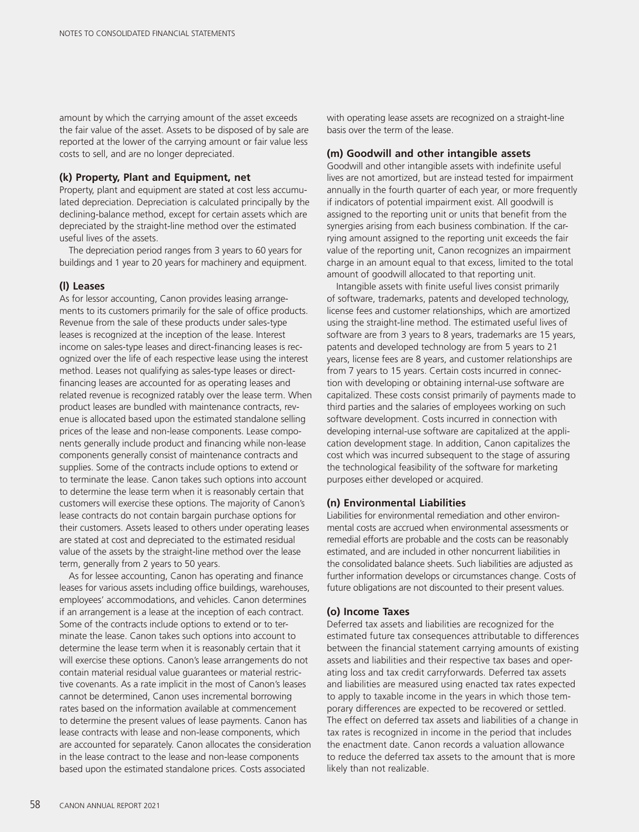amount by which the carrying amount of the asset exceeds the fair value of the asset. Assets to be disposed of by sale are reported at the lower of the carrying amount or fair value less costs to sell, and are no longer depreciated.

## **(k) Property, Plant and Equipment, net**

Property, plant and equipment are stated at cost less accumulated depreciation. Depreciation is calculated principally by the declining-balance method, except for certain assets which are depreciated by the straight-line method over the estimated useful lives of the assets.

The depreciation period ranges from 3 years to 60 years for buildings and 1 year to 20 years for machinery and equipment.

# **(l) Leases**

As for lessor accounting, Canon provides leasing arrangements to its customers primarily for the sale of office products. Revenue from the sale of these products under sales-type leases is recognized at the inception of the lease. Interest income on sales-type leases and direct-financing leases is recognized over the life of each respective lease using the interest method. Leases not qualifying as sales-type leases or directfinancing leases are accounted for as operating leases and related revenue is recognized ratably over the lease term. When product leases are bundled with maintenance contracts, revenue is allocated based upon the estimated standalone selling prices of the lease and non-lease components. Lease components generally include product and financing while non-lease components generally consist of maintenance contracts and supplies. Some of the contracts include options to extend or to terminate the lease. Canon takes such options into account to determine the lease term when it is reasonably certain that customers will exercise these options. The majority of Canon's lease contracts do not contain bargain purchase options for their customers. Assets leased to others under operating leases are stated at cost and depreciated to the estimated residual value of the assets by the straight-line method over the lease term, generally from 2 years to 50 years.

As for lessee accounting, Canon has operating and finance leases for various assets including office buildings, warehouses, employees' accommodations, and vehicles. Canon determines if an arrangement is a lease at the inception of each contract. Some of the contracts include options to extend or to terminate the lease. Canon takes such options into account to determine the lease term when it is reasonably certain that it will exercise these options. Canon's lease arrangements do not contain material residual value guarantees or material restrictive covenants. As a rate implicit in the most of Canon's leases cannot be determined, Canon uses incremental borrowing rates based on the information available at commencement to determine the present values of lease payments. Canon has lease contracts with lease and non-lease components, which are accounted for separately. Canon allocates the consideration in the lease contract to the lease and non-lease components based upon the estimated standalone prices. Costs associated

with operating lease assets are recognized on a straight-line basis over the term of the lease.

# **(m) Goodwill and other intangible assets**

Goodwill and other intangible assets with indefinite useful lives are not amortized, but are instead tested for impairment annually in the fourth quarter of each year, or more frequently if indicators of potential impairment exist. All goodwill is assigned to the reporting unit or units that benefit from the synergies arising from each business combination. If the carrying amount assigned to the reporting unit exceeds the fair value of the reporting unit, Canon recognizes an impairment charge in an amount equal to that excess, limited to the total amount of goodwill allocated to that reporting unit.

Intangible assets with finite useful lives consist primarily of software, trademarks, patents and developed technology, license fees and customer relationships, which are amortized using the straight-line method. The estimated useful lives of software are from 3 years to 8 years, trademarks are 15 years, patents and developed technology are from 5 years to 21 years, license fees are 8 years, and customer relationships are from 7 years to 15 years. Certain costs incurred in connection with developing or obtaining internal-use software are capitalized. These costs consist primarily of payments made to third parties and the salaries of employees working on such software development. Costs incurred in connection with developing internal-use software are capitalized at the application development stage. In addition, Canon capitalizes the cost which was incurred subsequent to the stage of assuring the technological feasibility of the software for marketing purposes either developed or acquired.

# **(n) Environmental Liabilities**

Liabilities for environmental remediation and other environmental costs are accrued when environmental assessments or remedial efforts are probable and the costs can be reasonably estimated, and are included in other noncurrent liabilities in the consolidated balance sheets. Such liabilities are adjusted as further information develops or circumstances change. Costs of future obligations are not discounted to their present values.

# **(o) Income Taxes**

Deferred tax assets and liabilities are recognized for the estimated future tax consequences attributable to differences between the financial statement carrying amounts of existing assets and liabilities and their respective tax bases and operating loss and tax credit carryforwards. Deferred tax assets and liabilities are measured using enacted tax rates expected to apply to taxable income in the years in which those temporary differences are expected to be recovered or settled. The effect on deferred tax assets and liabilities of a change in tax rates is recognized in income in the period that includes the enactment date. Canon records a valuation allowance to reduce the deferred tax assets to the amount that is more likely than not realizable.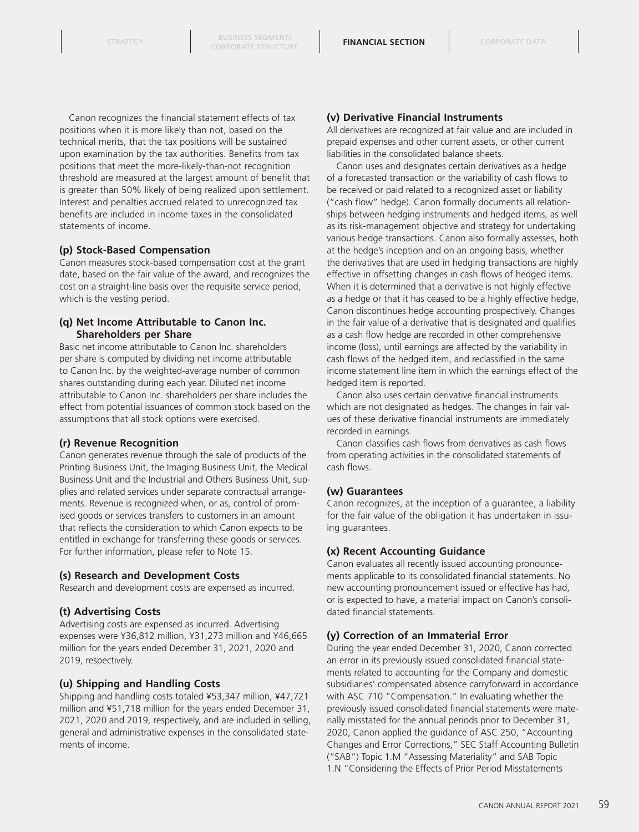Canon recognizes the financial statement effects of tax positions when it is more likely than not, based on the technical merits, that the tax positions will be sustained upon examination by the tax authorities. Benefits from tax positions that meet the more-likely-than-not recognition threshold are measured at the largest amount of benefit that is greater than 50% likely of being realized upon settlement. Interest and penalties accrued related to unrecognized tax benefits are included in income taxes in the consolidated statements of income.

# **(p) Stock-Based Compensation**

Canon measures stock-based compensation cost at the grant date, based on the fair value of the award, and recognizes the cost on a straight-line basis over the requisite service period, which is the vesting period.

# **(q) Net Income Attributable to Canon Inc. Shareholders per Share**

Basic net income attributable to Canon Inc. shareholders per share is computed by dividing net income attributable to Canon Inc. by the weighted-average number of common shares outstanding during each year. Diluted net income attributable to Canon Inc. shareholders per share includes the effect from potential issuances of common stock based on the assumptions that all stock options were exercised.

#### **(r) Revenue Recognition**

Canon generates revenue through the sale of products of the Printing Business Unit, the Imaging Business Unit, the Medical Business Unit and the Industrial and Others Business Unit, supplies and related services under separate contractual arrangements. Revenue is recognized when, or as, control of promised goods or services transfers to customers in an amount that reflects the consideration to which Canon expects to be entitled in exchange for transferring these goods or services. For further information, please refer to Note 15.

#### **(s) Research and Development Costs**

Research and development costs are expensed as incurred.

# **(t) Advertising Costs**

Advertising costs are expensed as incurred. Advertising expenses were ¥36,812 million, ¥31,273 million and ¥46,665 million for the years ended December 31, 2021, 2020 and 2019, respectively.

#### **(u) Shipping and Handling Costs**

Shipping and handling costs totaled ¥53,347 million, ¥47,721 million and ¥51,718 million for the years ended December 31, 2021, 2020 and 2019, respectively, and are included in selling, general and administrative expenses in the consolidated statements of income.

#### **(v) Derivative Financial Instruments**

All derivatives are recognized at fair value and are included in prepaid expenses and other current assets, or other current liabilities in the consolidated balance sheets.

Canon uses and designates certain derivatives as a hedge of a forecasted transaction or the variability of cash flows to be received or paid related to a recognized asset or liability ("cash flow" hedge). Canon formally documents all relationships between hedging instruments and hedged items, as well as its risk-management objective and strategy for undertaking various hedge transactions. Canon also formally assesses, both at the hedge's inception and on an ongoing basis, whether the derivatives that are used in hedging transactions are highly effective in offsetting changes in cash flows of hedged items. When it is determined that a derivative is not highly effective as a hedge or that it has ceased to be a highly effective hedge, Canon discontinues hedge accounting prospectively. Changes in the fair value of a derivative that is designated and qualifies as a cash flow hedge are recorded in other comprehensive income (loss), until earnings are affected by the variability in cash flows of the hedged item, and reclassified in the same income statement line item in which the earnings effect of the hedged item is reported.

Canon also uses certain derivative financial instruments which are not designated as hedges. The changes in fair values of these derivative financial instruments are immediately recorded in earnings.

Canon classifies cash flows from derivatives as cash flows from operating activities in the consolidated statements of cash flows.

# **(w) Guarantees**

Canon recognizes, at the inception of a guarantee, a liability for the fair value of the obligation it has undertaken in issuing guarantees.

#### **(x) Recent Accounting Guidance**

Canon evaluates all recently issued accounting pronouncements applicable to its consolidated financial statements. No new accounting pronouncement issued or effective has had, or is expected to have, a material impact on Canon's consolidated financial statements.

# **(y) Correction of an Immaterial Error**

During the year ended December 31, 2020, Canon corrected an error in its previously issued consolidated financial statements related to accounting for the Company and domestic subsidiaries' compensated absence carryforward in accordance with ASC 710 "Compensation." In evaluating whether the previously issued consolidated financial statements were materially misstated for the annual periods prior to December 31, 2020, Canon applied the guidance of ASC 250, "Accounting Changes and Error Corrections," SEC Staff Accounting Bulletin ("SAB") Topic 1.M "Assessing Materiality" and SAB Topic 1.N "Considering the Effects of Prior Period Misstatements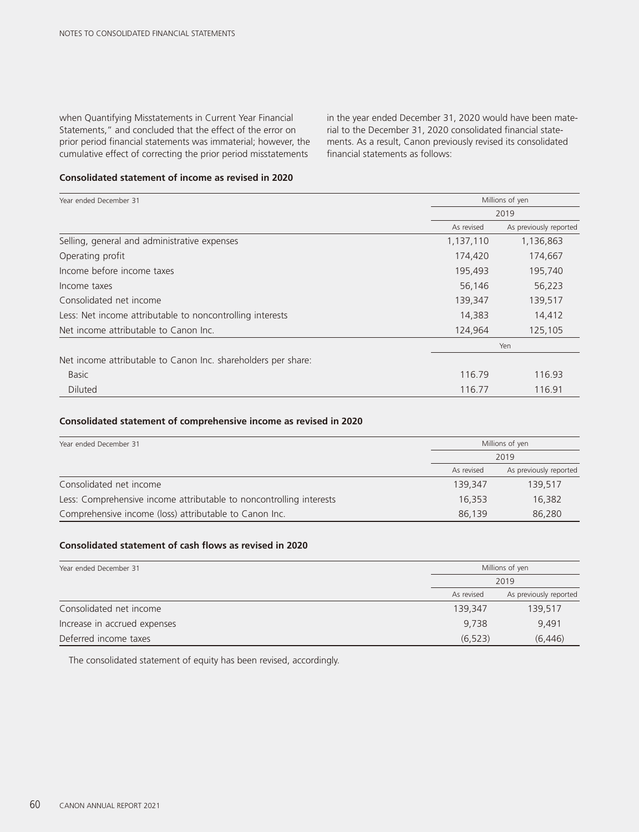when Quantifying Misstatements in Current Year Financial Statements," and concluded that the effect of the error on prior period financial statements was immaterial; however, the cumulative effect of correcting the prior period misstatements

in the year ended December 31, 2020 would have been material to the December 31, 2020 consolidated financial statements. As a result, Canon previously revised its consolidated financial statements as follows:

# **Consolidated statement of income as revised in 2020**

| Year ended December 31                                        |            | Millions of yen        |
|---------------------------------------------------------------|------------|------------------------|
|                                                               |            | 2019                   |
|                                                               | As revised | As previously reported |
| Selling, general and administrative expenses                  | 1,137,110  | 1,136,863              |
| Operating profit                                              | 174,420    | 174,667                |
| Income before income taxes                                    | 195,493    | 195,740                |
| Income taxes                                                  | 56,146     | 56,223                 |
| Consolidated net income                                       | 139,347    | 139,517                |
| Less: Net income attributable to noncontrolling interests     | 14,383     | 14,412                 |
| Net income attributable to Canon Inc.                         | 124,964    | 125,105                |
|                                                               |            | Yen                    |
| Net income attributable to Canon Inc. shareholders per share: |            |                        |
| <b>Basic</b>                                                  | 116.79     | 116.93                 |
| Diluted                                                       | 116.77     | 116.91                 |

# **Consolidated statement of comprehensive income as revised in 2020**

| Year ended December 31                                              | Millions of yen |                        |
|---------------------------------------------------------------------|-----------------|------------------------|
|                                                                     | 2019            |                        |
|                                                                     | As revised      | As previously reported |
| Consolidated net income                                             | 139,347         | 139,517                |
| Less: Comprehensive income attributable to noncontrolling interests | 16.353          | 16,382                 |
| Comprehensive income (loss) attributable to Canon Inc.              | 86.139          | 86,280                 |

# **Consolidated statement of cash flows as revised in 2020**

| Year ended December 31       | Millions of yen |                        |  |
|------------------------------|-----------------|------------------------|--|
|                              | 2019            |                        |  |
|                              | As revised      | As previously reported |  |
| Consolidated net income      | 139,347         | 139,517                |  |
| Increase in accrued expenses | 9,738           | 9,491                  |  |
| Deferred income taxes        | (6, 523)        | (6, 446)               |  |

The consolidated statement of equity has been revised, accordingly.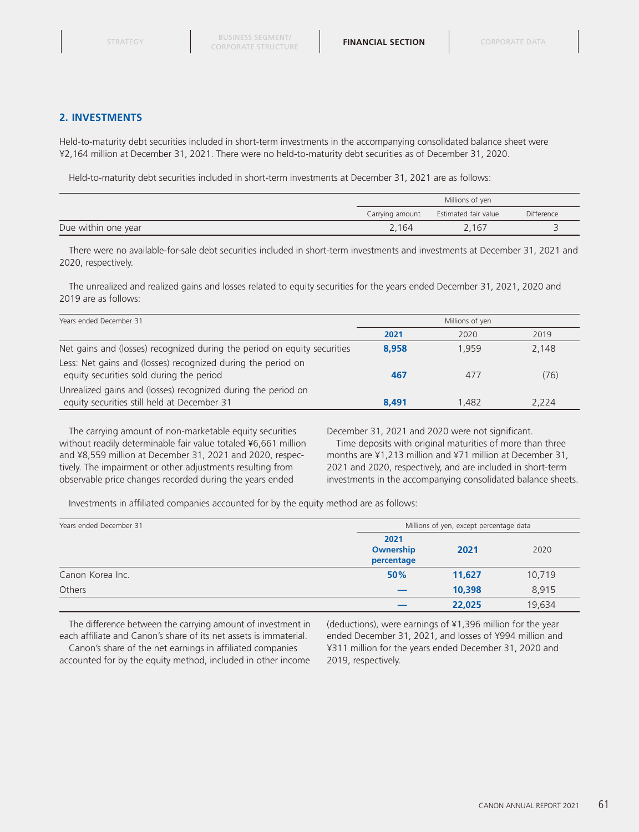# **2. INVESTMENTS**

Held-to-maturity debt securities included in short-term investments in the accompanying consolidated balance sheet were ¥2,164 million at December 31, 2021. There were no held-to-maturity debt securities as of December 31, 2020.

Held-to-maturity debt securities included in short-term investments at December 31, 2021 are as follows:

|                     | Millions of yen |                                      |            |
|---------------------|-----------------|--------------------------------------|------------|
|                     |                 | Carrying amount Estimated fair value | Difference |
| Due within one year | 2,164           | 2,167                                |            |

There were no available-for-sale debt securities included in short-term investments and investments at December 31, 2021 and 2020, respectively.

The unrealized and realized gains and losses related to equity securities for the years ended December 31, 2021, 2020 and 2019 are as follows:

| Years ended December 31                                                                                      | Millions of yen |       |       |
|--------------------------------------------------------------------------------------------------------------|-----------------|-------|-------|
|                                                                                                              | 2021            | 2020  | 2019  |
| Net gains and (losses) recognized during the period on equity securities                                     | 8.958           | 1.959 | 2,148 |
| Less: Net gains and (losses) recognized during the period on<br>equity securities sold during the period     | 467             | 477   | (76)  |
| Unrealized gains and (losses) recognized during the period on<br>equity securities still held at December 31 | 8.491           | 1.482 | 2.224 |

The carrying amount of non-marketable equity securities without readily determinable fair value totaled ¥6,661 million and ¥8,559 million at December 31, 2021 and 2020, respectively. The impairment or other adjustments resulting from observable price changes recorded during the years ended

December 31, 2021 and 2020 were not significant. Time deposits with original maturities of more than three months are ¥1,213 million and ¥71 million at December 31, 2021 and 2020, respectively, and are included in short-term

investments in the accompanying consolidated balance sheets.

Investments in affiliated companies accounted for by the equity method are as follows:

| Years ended December 31 |                                 | Millions of yen, except percentage data |        |  |  |
|-------------------------|---------------------------------|-----------------------------------------|--------|--|--|
|                         | 2021<br>Ownership<br>percentage | 2021                                    | 2020   |  |  |
| Canon Korea Inc.        | 50%                             | 11,627                                  | 10,719 |  |  |
| Others                  |                                 | 10,398                                  | 8,915  |  |  |
|                         |                                 | 22,025                                  | 19,634 |  |  |

The difference between the carrying amount of investment in each affiliate and Canon's share of its net assets is immaterial.

Canon's share of the net earnings in affiliated companies accounted for by the equity method, included in other income

(deductions), were earnings of ¥1,396 million for the year ended December 31, 2021, and losses of ¥994 million and ¥311 million for the years ended December 31, 2020 and 2019, respectively.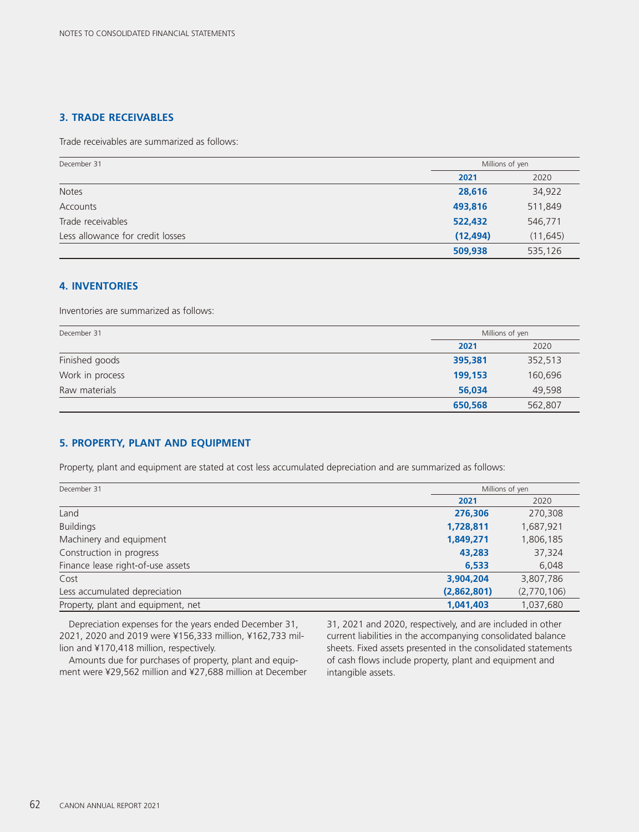# **3. TRADE RECEIVABLES**

Trade receivables are summarized as follows:

| December 31                      |           | Millions of yen |  |  |
|----------------------------------|-----------|-----------------|--|--|
|                                  | 2021      | 2020            |  |  |
| <b>Notes</b>                     | 28,616    | 34,922          |  |  |
| Accounts                         | 493,816   | 511,849         |  |  |
| Trade receivables                | 522,432   | 546,771         |  |  |
| Less allowance for credit losses | (12, 494) | (11, 645)       |  |  |
|                                  | 509,938   | 535,126         |  |  |

# **4. INVENTORIES**

Inventories are summarized as follows:

| December 31     |         | Millions of yen |
|-----------------|---------|-----------------|
|                 | 2021    | 2020            |
| Finished goods  | 395,381 | 352,513         |
| Work in process | 199,153 | 160,696         |
| Raw materials   | 56,034  | 49,598          |
|                 | 650,568 | 562,807         |

# **5. PROPERTY, PLANT AND EQUIPMENT**

Property, plant and equipment are stated at cost less accumulated depreciation and are summarized as follows:

| December 31                        |             | Millions of yen |
|------------------------------------|-------------|-----------------|
|                                    | 2021        | 2020            |
| Land                               | 276,306     | 270,308         |
| <b>Buildings</b>                   | 1,728,811   | 1,687,921       |
| Machinery and equipment            | 1,849,271   | 1,806,185       |
| Construction in progress           | 43,283      | 37,324          |
| Finance lease right-of-use assets  | 6,533       | 6,048           |
| Cost                               | 3,904,204   | 3,807,786       |
| Less accumulated depreciation      | (2,862,801) | (2,770,106)     |
| Property, plant and equipment, net | 1,041,403   | 1,037,680       |

Depreciation expenses for the years ended December 31, 2021, 2020 and 2019 were ¥156,333 million, ¥162,733 million and ¥170,418 million, respectively.

Amounts due for purchases of property, plant and equipment were ¥29,562 million and ¥27,688 million at December 31, 2021 and 2020, respectively, and are included in other current liabilities in the accompanying consolidated balance sheets. Fixed assets presented in the consolidated statements of cash flows include property, plant and equipment and intangible assets.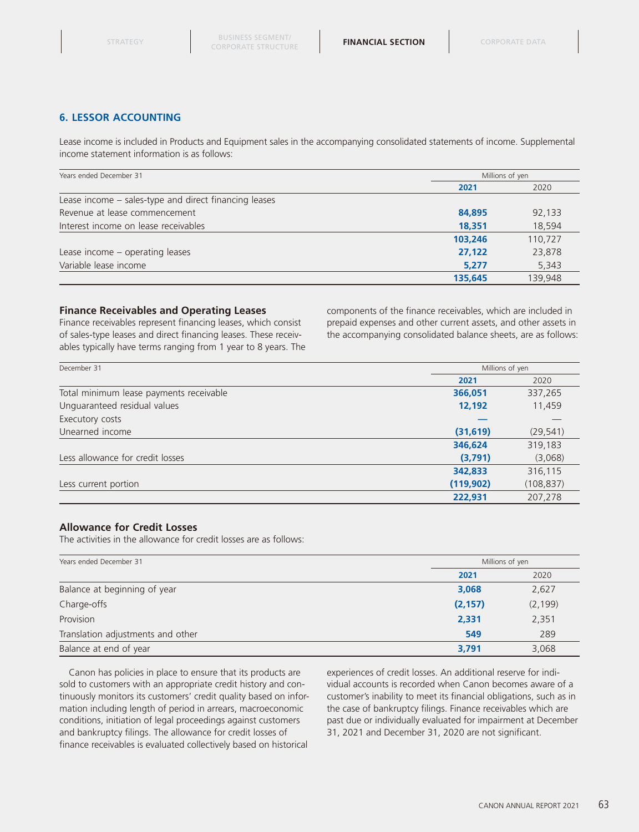# **6. LESSOR ACCOUNTING**

Lease income is included in Products and Equipment sales in the accompanying consolidated statements of income. Supplemental income statement information is as follows:

| Years ended December 31                               | Millions of yen |         |
|-------------------------------------------------------|-----------------|---------|
|                                                       | 2021            | 2020    |
| Lease income - sales-type and direct financing leases |                 |         |
| Revenue at lease commencement                         | 84,895          | 92,133  |
| Interest income on lease receivables                  | 18,351          | 18,594  |
|                                                       | 103,246         | 110,727 |
| Lease income – operating leases                       | 27,122          | 23,878  |
| Variable lease income                                 | 5,277           | 5,343   |
|                                                       | 135,645         | 139.948 |

#### **Finance Receivables and Operating Leases**

Finance receivables represent financing leases, which consist of sales-type leases and direct financing leases. These receivables typically have terms ranging from 1 year to 8 years. The components of the finance receivables, which are included in prepaid expenses and other current assets, and other assets in the accompanying consolidated balance sheets, are as follows:

| December 31                             | Millions of yen |            |
|-----------------------------------------|-----------------|------------|
|                                         | 2021            | 2020       |
| Total minimum lease payments receivable | 366,051         | 337,265    |
| Unguaranteed residual values            | 12,192          | 11,459     |
| Executory costs                         |                 |            |
| Unearned income                         | (31, 619)       | (29, 541)  |
|                                         | 346,624         | 319,183    |
| Less allowance for credit losses        | (3,791)         | (3,068)    |
|                                         | 342,833         | 316,115    |
| Less current portion                    | (119,902)       | (108, 837) |
|                                         | 222,931         | 207,278    |

# **Allowance for Credit Losses**

The activities in the allowance for credit losses are as follows:

| Years ended December 31           | Millions of yen |          |
|-----------------------------------|-----------------|----------|
|                                   | 2021            | 2020     |
| Balance at beginning of year      | 3,068           | 2,627    |
| Charge-offs                       | (2, 157)        | (2, 199) |
| Provision                         | 2,331           | 2,351    |
| Translation adjustments and other | 549             | 289      |
| Balance at end of year            | 3,791           | 3,068    |

Canon has policies in place to ensure that its products are sold to customers with an appropriate credit history and continuously monitors its customers' credit quality based on information including length of period in arrears, macroeconomic conditions, initiation of legal proceedings against customers and bankruptcy filings. The allowance for credit losses of finance receivables is evaluated collectively based on historical

experiences of credit losses. An additional reserve for individual accounts is recorded when Canon becomes aware of a customer's inability to meet its financial obligations, such as in the case of bankruptcy filings. Finance receivables which are past due or individually evaluated for impairment at December 31, 2021 and December 31, 2020 are not significant.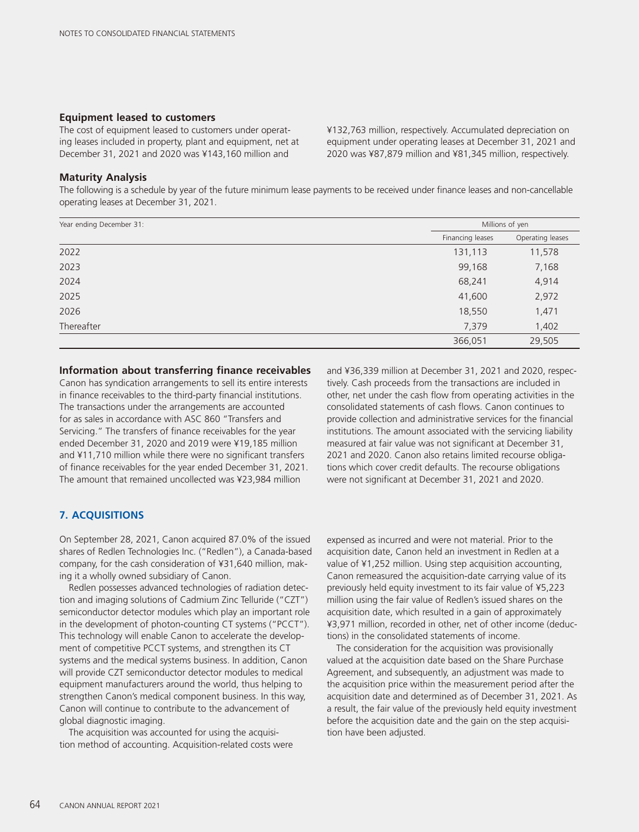# **Equipment leased to customers**

The cost of equipment leased to customers under operating leases included in property, plant and equipment, net at December 31, 2021 and 2020 was ¥143,160 million and

¥132,763 million, respectively. Accumulated depreciation on equipment under operating leases at December 31, 2021 and 2020 was ¥87,879 million and ¥81,345 million, respectively.

# **Maturity Analysis**

The following is a schedule by year of the future minimum lease payments to be received under finance leases and non-cancellable operating leases at December 31, 2021.

| Year ending December 31: | Millions of yen |                  |                  |
|--------------------------|-----------------|------------------|------------------|
|                          |                 | Financing leases | Operating leases |
| 2022                     |                 | 131,113          | 11,578           |
| 2023                     |                 | 99,168           | 7,168            |
| 2024                     |                 | 68,241           | 4,914            |
| 2025                     |                 | 41,600           | 2,972            |
| 2026                     |                 | 18,550           | 1,471            |
| Thereafter               |                 | 7,379            | 1,402            |
|                          |                 | 366,051          | 29,505           |

#### **Information about transferring finance receivables**

Canon has syndication arrangements to sell its entire interests in finance receivables to the third-party financial institutions. The transactions under the arrangements are accounted for as sales in accordance with ASC 860 "Transfers and Servicing." The transfers of finance receivables for the year ended December 31, 2020 and 2019 were ¥19,185 million and ¥11,710 million while there were no significant transfers of finance receivables for the year ended December 31, 2021. The amount that remained uncollected was ¥23,984 million

# **7. ACQUISITIONS**

On September 28, 2021, Canon acquired 87.0% of the issued shares of Redlen Technologies Inc. ("Redlen"), a Canada-based company, for the cash consideration of ¥31,640 million, making it a wholly owned subsidiary of Canon.

Redlen possesses advanced technologies of radiation detection and imaging solutions of Cadmium Zinc Telluride ("CZT") semiconductor detector modules which play an important role in the development of photon-counting CT systems ("PCCT"). This technology will enable Canon to accelerate the development of competitive PCCT systems, and strengthen its CT systems and the medical systems business. In addition, Canon will provide CZT semiconductor detector modules to medical equipment manufacturers around the world, thus helping to strengthen Canon's medical component business. In this way, Canon will continue to contribute to the advancement of global diagnostic imaging.

The acquisition was accounted for using the acquisition method of accounting. Acquisition-related costs were and ¥36,339 million at December 31, 2021 and 2020, respectively. Cash proceeds from the transactions are included in other, net under the cash flow from operating activities in the consolidated statements of cash flows. Canon continues to provide collection and administrative services for the financial institutions. The amount associated with the servicing liability measured at fair value was not significant at December 31, 2021 and 2020. Canon also retains limited recourse obligations which cover credit defaults. The recourse obligations were not significant at December 31, 2021 and 2020.

expensed as incurred and were not material. Prior to the acquisition date, Canon held an investment in Redlen at a value of ¥1,252 million. Using step acquisition accounting, Canon remeasured the acquisition-date carrying value of its previously held equity investment to its fair value of ¥5,223 million using the fair value of Redlen's issued shares on the acquisition date, which resulted in a gain of approximately ¥3,971 million, recorded in other, net of other income (deductions) in the consolidated statements of income.

The consideration for the acquisition was provisionally valued at the acquisition date based on the Share Purchase Agreement, and subsequently, an adjustment was made to the acquisition price within the measurement period after the acquisition date and determined as of December 31, 2021. As a result, the fair value of the previously held equity investment before the acquisition date and the gain on the step acquisition have been adjusted.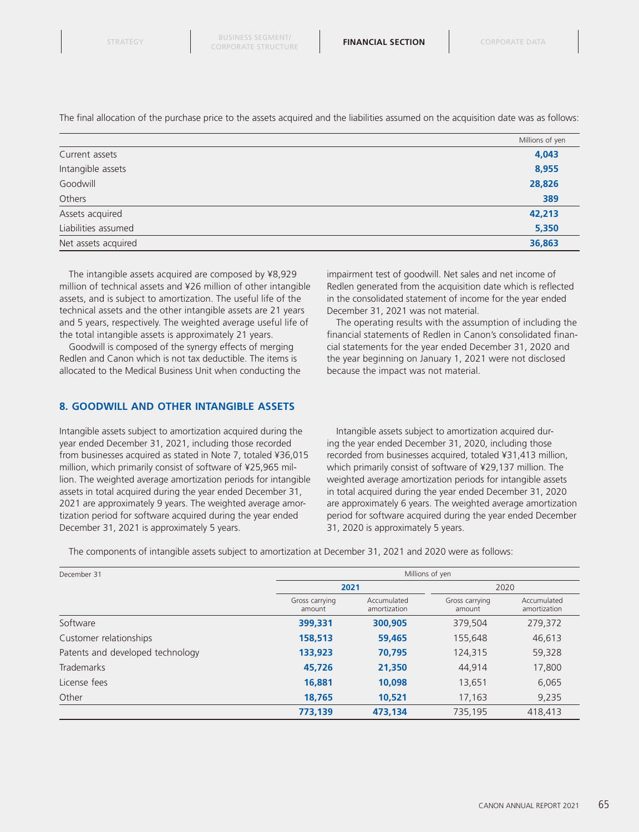|                     | Millions of yen |
|---------------------|-----------------|
| Current assets      | 4,043           |
| Intangible assets   | 8,955           |
| Goodwill            | 28,826          |
| Others              | 389             |
| Assets acquired     | 42,213          |
| Liabilities assumed | 5,350           |
| Net assets acquired | 36,863          |

The final allocation of the purchase price to the assets acquired and the liabilities assumed on the acquisition date was as follows:

The intangible assets acquired are composed by ¥8,929 million of technical assets and ¥26 million of other intangible assets, and is subject to amortization. The useful life of the technical assets and the other intangible assets are 21 years and 5 years, respectively. The weighted average useful life of the total intangible assets is approximately 21 years.

Goodwill is composed of the synergy effects of merging Redlen and Canon which is not tax deductible. The items is allocated to the Medical Business Unit when conducting the

# **8. GOODWILL AND OTHER INTANGIBLE ASSETS**

Intangible assets subject to amortization acquired during the year ended December 31, 2021, including those recorded from businesses acquired as stated in Note 7, totaled ¥36,015 million, which primarily consist of software of ¥25,965 million. The weighted average amortization periods for intangible assets in total acquired during the year ended December 31, 2021 are approximately 9 years. The weighted average amortization period for software acquired during the year ended December 31, 2021 is approximately 5 years.

impairment test of goodwill. Net sales and net income of Redlen generated from the acquisition date which is reflected in the consolidated statement of income for the year ended December 31, 2021 was not material.

The operating results with the assumption of including the financial statements of Redlen in Canon's consolidated financial statements for the year ended December 31, 2020 and the year beginning on January 1, 2021 were not disclosed because the impact was not material.

Intangible assets subject to amortization acquired during the year ended December 31, 2020, including those recorded from businesses acquired, totaled ¥31,413 million, which primarily consist of software of ¥29,137 million. The weighted average amortization periods for intangible assets in total acquired during the year ended December 31, 2020 are approximately 6 years. The weighted average amortization period for software acquired during the year ended December 31, 2020 is approximately 5 years.

The components of intangible assets subject to amortization at December 31, 2021 and 2020 were as follows:

| December 31                      |                          | Millions of yen             |                          |                             |  |  |
|----------------------------------|--------------------------|-----------------------------|--------------------------|-----------------------------|--|--|
|                                  | 2021                     |                             |                          | 2020                        |  |  |
|                                  | Gross carrying<br>amount | Accumulated<br>amortization | Gross carrying<br>amount | Accumulated<br>amortization |  |  |
| Software                         | 399,331                  | 300,905                     | 379,504                  | 279,372                     |  |  |
| Customer relationships           | 158,513                  | 59,465                      | 155,648                  | 46,613                      |  |  |
| Patents and developed technology | 133,923                  | 70,795                      | 124,315                  | 59,328                      |  |  |
| <b>Trademarks</b>                | 45,726                   | 21,350                      | 44,914                   | 17,800                      |  |  |
| License fees                     | 16,881                   | 10,098                      | 13,651                   | 6,065                       |  |  |
| Other                            | 18,765                   | 10,521                      | 17,163                   | 9,235                       |  |  |
|                                  | 773,139                  | 473,134                     | 735,195                  | 418,413                     |  |  |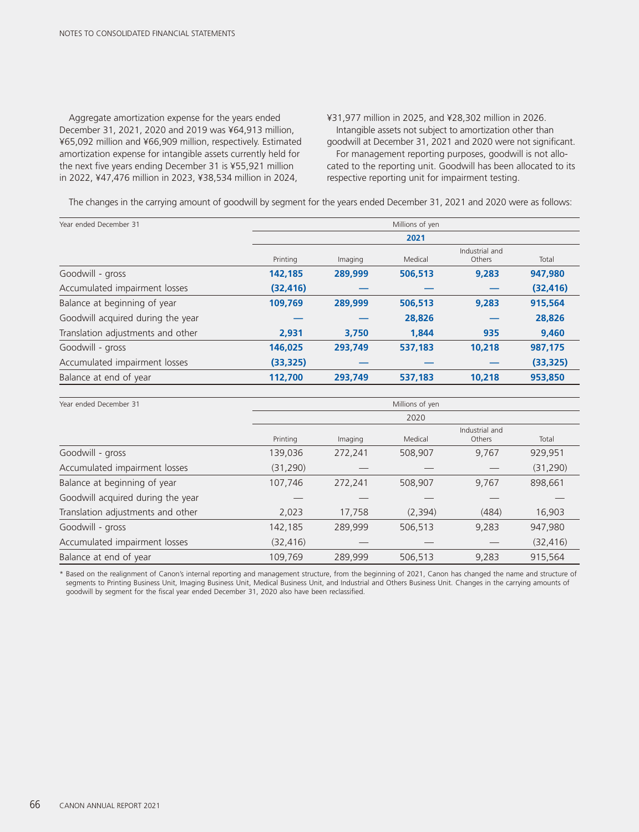Aggregate amortization expense for the years ended December 31, 2021, 2020 and 2019 was ¥64,913 million, ¥65,092 million and ¥66,909 million, respectively. Estimated amortization expense for intangible assets currently held for the next five years ending December 31 is ¥55,921 million in 2022, ¥47,476 million in 2023, ¥38,534 million in 2024,

¥31,977 million in 2025, and ¥28,302 million in 2026. Intangible assets not subject to amortization other than goodwill at December 31, 2021 and 2020 were not significant. For management reporting purposes, goodwill is not allocated to the reporting unit. Goodwill has been allocated to its respective reporting unit for impairment testing.

The changes in the carrying amount of goodwill by segment for the years ended December 31, 2021 and 2020 were as follows:

| Year ended December 31            | Millions of yen |         |         |                          |           |  |
|-----------------------------------|-----------------|---------|---------|--------------------------|-----------|--|
|                                   |                 | 2021    |         |                          |           |  |
|                                   | Printing        | Imaging | Medical | Industrial and<br>Others | Total     |  |
| Goodwill - gross                  | 142,185         | 289,999 | 506,513 | 9,283                    | 947,980   |  |
| Accumulated impairment losses     | (32, 416)       |         |         |                          | (32, 416) |  |
| Balance at beginning of year      | 109,769         | 289,999 | 506,513 | 9,283                    | 915,564   |  |
| Goodwill acquired during the year |                 |         | 28,826  |                          | 28,826    |  |
| Translation adjustments and other | 2,931           | 3,750   | 1,844   | 935                      | 9,460     |  |
| Goodwill - gross                  | 146,025         | 293.749 | 537,183 | 10.218                   | 987.175   |  |
| Accumulated impairment losses     | (33, 325)       |         |         |                          | (33, 325) |  |
| Balance at end of year            | 112,700         | 293.749 | 537,183 | 10,218                   | 953,850   |  |

| Year ended December 31            | Millions of yen |         |         |                          |           |
|-----------------------------------|-----------------|---------|---------|--------------------------|-----------|
|                                   |                 |         | 2020    |                          |           |
|                                   | Printing        | Imaging | Medical | Industrial and<br>Others | Total     |
| Goodwill - gross                  | 139,036         | 272,241 | 508,907 | 9.767                    | 929,951   |
| Accumulated impairment losses     | (31, 290)       |         |         |                          | (31, 290) |
| Balance at beginning of year      | 107.746         | 272.241 | 508.907 | 9,767                    | 898,661   |
| Goodwill acquired during the year |                 |         |         |                          |           |
| Translation adjustments and other | 2,023           | 17,758  | (2,394) | (484)                    | 16,903    |
| Goodwill - gross                  | 142,185         | 289.999 | 506,513 | 9,283                    | 947,980   |
| Accumulated impairment losses     | (32, 416)       |         |         |                          | (32, 416) |
| Balance at end of year            | 109.769         | 289.999 | 506.513 | 9.283                    | 915.564   |

\* Based on the realignment of Canon's internal reporting and management structure, from the beginning of 2021, Canon has changed the name and structure of segments to Printing Business Unit, Imaging Business Unit, Medical Business Unit, and Industrial and Others Business Unit. Changes in the carrying amounts of goodwill by segment for the fiscal year ended December 31, 2020 also have been reclassified.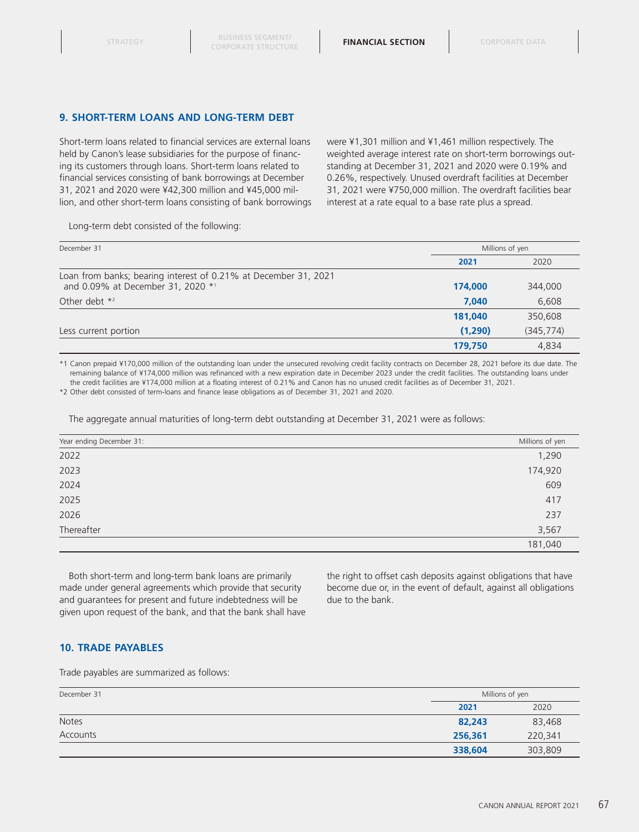# **9. SHORT-TERM LOANS AND LONG-TERM DEBT**

Short-term loans related to financial services are external loans held by Canon's lease subsidiaries for the purpose of financing its customers through loans. Short-term loans related to financial services consisting of bank borrowings at December 31, 2021 and 2020 were ¥42,300 million and ¥45,000 million, and other short-term loans consisting of bank borrowings were ¥1,301 million and ¥1,461 million respectively. The weighted average interest rate on short-term borrowings outstanding at December 31, 2021 and 2020 were 0.19% and 0.26%, respectively. Unused overdraft facilities at December 31, 2021 were ¥750,000 million. The overdraft facilities bear interest at a rate equal to a base rate plus a spread.

Long-term debt consisted of the following:

| December 31                                                                                          | Millions of yen |            |
|------------------------------------------------------------------------------------------------------|-----------------|------------|
|                                                                                                      | 2021            | 2020       |
| Loan from banks; bearing interest of 0.21% at December 31, 2021<br>and 0.09% at December 31, 2020 *1 | 174,000         | 344,000    |
| Other debt *2                                                                                        | 7,040           | 6,608      |
|                                                                                                      | 181,040         | 350,608    |
| Less current portion                                                                                 | (1,290)         | (345, 774) |
|                                                                                                      | 179,750         | 4,834      |

\*1 Canon prepaid ¥170,000 million of the outstanding loan under the unsecured revolving credit facility contracts on December 28, 2021 before its due date. The remaining balance of ¥174,000 million was refinanced with a new expiration date in December 2023 under the credit facilities. The outstanding loans under the credit facilities are ¥174,000 million at a floating interest of 0.21% and Canon has no unused credit facilities as of December 31, 2021.

\*2 Other debt consisted of term-loans and finance lease obligations as of December 31, 2021 and 2020.

The aggregate annual maturities of long-term debt outstanding at December 31, 2021 were as follows:

| Year ending December 31: | Millions of yen |
|--------------------------|-----------------|
| 2022                     | 1,290           |
| 2023                     | 174,920         |
| 2024                     | 609             |
| 2025                     | 417             |
| 2026                     | 237             |
| Thereafter               | 3,567           |
|                          | 181,040         |

Both short-term and long-term bank loans are primarily made under general agreements which provide that security and guarantees for present and future indebtedness will be given upon request of the bank, and that the bank shall have the right to offset cash deposits against obligations that have become due or, in the event of default, against all obligations due to the bank.

# **10. TRADE PAYABLES**

Trade payables are summarized as follows:

| December 31 | Millions of yen |         |
|-------------|-----------------|---------|
|             | 2021            | 2020    |
| Notes       | 82,243          | 83,468  |
| Accounts    | 256,361         | 220,341 |
|             | 338,604         | 303,809 |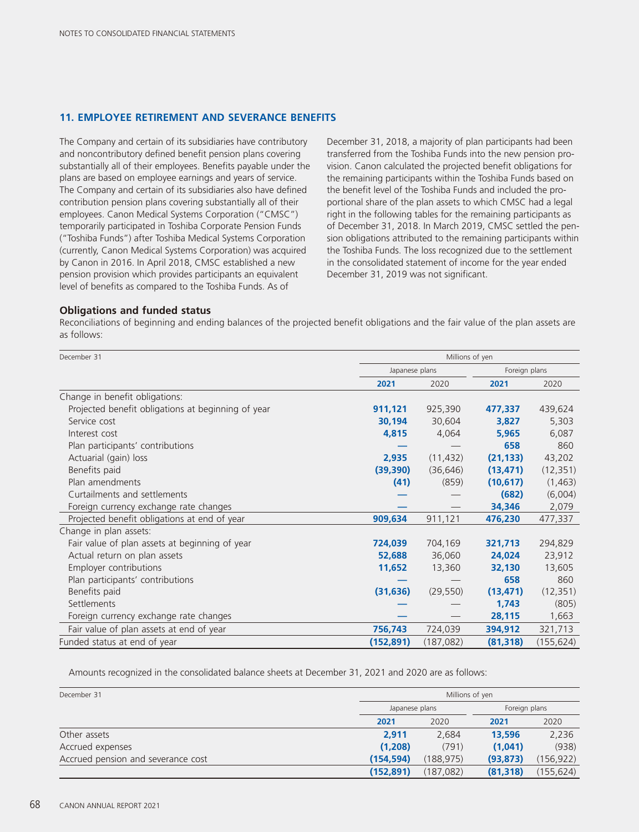# **11. EMPLOYEE RETIREMENT AND SEVERANCE BENEFITS**

The Company and certain of its subsidiaries have contributory and noncontributory defined benefit pension plans covering substantially all of their employees. Benefits payable under the plans are based on employee earnings and years of service. The Company and certain of its subsidiaries also have defined contribution pension plans covering substantially all of their employees. Canon Medical Systems Corporation ("CMSC") temporarily participated in Toshiba Corporate Pension Funds ("Toshiba Funds") after Toshiba Medical Systems Corporation (currently, Canon Medical Systems Corporation) was acquired by Canon in 2016. In April 2018, CMSC established a new pension provision which provides participants an equivalent level of benefits as compared to the Toshiba Funds. As of

December 31, 2018, a majority of plan participants had been transferred from the Toshiba Funds into the new pension provision. Canon calculated the projected benefit obligations for the remaining participants within the Toshiba Funds based on the benefit level of the Toshiba Funds and included the proportional share of the plan assets to which CMSC had a legal right in the following tables for the remaining participants as of December 31, 2018. In March 2019, CMSC settled the pension obligations attributed to the remaining participants within the Toshiba Funds. The loss recognized due to the settlement in the consolidated statement of income for the year ended December 31, 2019 was not significant.

#### **Obligations and funded status**

Reconciliations of beginning and ending balances of the projected benefit obligations and the fair value of the plan assets are as follows:

| December 31<br>Millions of yen                     |                |            |               |            |  |
|----------------------------------------------------|----------------|------------|---------------|------------|--|
|                                                    | Japanese plans |            | Foreign plans |            |  |
|                                                    | 2021           | 2020       | 2021          | 2020       |  |
| Change in benefit obligations:                     |                |            |               |            |  |
| Projected benefit obligations at beginning of year | 911,121        | 925,390    | 477,337       | 439,624    |  |
| Service cost                                       | 30,194         | 30,604     | 3,827         | 5,303      |  |
| Interest cost                                      | 4,815          | 4,064      | 5,965         | 6,087      |  |
| Plan participants' contributions                   |                |            | 658           | 860        |  |
| Actuarial (gain) loss                              | 2,935          | (11, 432)  | (21, 133)     | 43,202     |  |
| Benefits paid                                      | (39, 390)      | (36, 646)  | (13, 471)     | (12, 351)  |  |
| Plan amendments                                    | (41)           | (859)      | (10, 617)     | (1,463)    |  |
| Curtailments and settlements                       |                |            | (682)         | (6,004)    |  |
| Foreign currency exchange rate changes             |                |            | 34,346        | 2,079      |  |
| Projected benefit obligations at end of year       | 909,634        | 911,121    | 476,230       | 477,337    |  |
| Change in plan assets:                             |                |            |               |            |  |
| Fair value of plan assets at beginning of year     | 724,039        | 704,169    | 321,713       | 294,829    |  |
| Actual return on plan assets                       | 52,688         | 36,060     | 24,024        | 23,912     |  |
| Employer contributions                             | 11,652         | 13,360     | 32,130        | 13,605     |  |
| Plan participants' contributions                   |                |            | 658           | 860        |  |
| Benefits paid                                      | (31, 636)      | (29, 550)  | (13, 471)     | (12, 351)  |  |
| Settlements                                        |                |            | 1,743         | (805)      |  |
| Foreign currency exchange rate changes             |                |            | 28,115        | 1,663      |  |
| Fair value of plan assets at end of year           | 756,743        | 724,039    | 394,912       | 321,713    |  |
| Funded status at end of year                       | (152, 891)     | (187, 082) | (81, 318)     | (155, 624) |  |

Amounts recognized in the consolidated balance sheets at December 31, 2021 and 2020 are as follows:

| December 31                        | Millions of yen |            |               |           |  |
|------------------------------------|-----------------|------------|---------------|-----------|--|
|                                    | Japanese plans  |            | Foreign plans |           |  |
|                                    | 2021            | 2020       |               | 2020      |  |
| Other assets                       | 2.911           | 2,684      | 13,596        | 2,236     |  |
| Accrued expenses                   | (1,208)         | (791)      | (1,041)       | (938)     |  |
| Accrued pension and severance cost | (154, 594)      | (188, 975) | (93, 873)     | (156,922) |  |
|                                    | (152, 891)      | (187, 082) | (81, 318)     | (155,624) |  |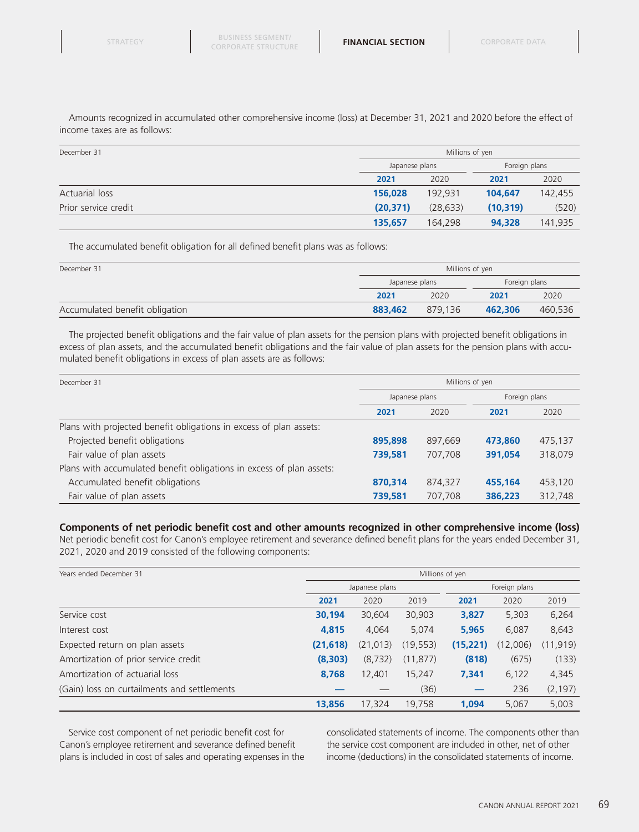Amounts recognized in accumulated other comprehensive income (loss) at December 31, 2021 and 2020 before the effect of income taxes are as follows:

| December 31          |  | Millions of yen |           |               |         |  |  |
|----------------------|--|-----------------|-----------|---------------|---------|--|--|
|                      |  | Japanese plans  |           | Foreign plans |         |  |  |
|                      |  | 2021            | 2020      | 2021          | 2020    |  |  |
| Actuarial loss       |  | 156,028         | 192.931   | 104,647       | 142,455 |  |  |
| Prior service credit |  | (20, 371)       | (28, 633) | (10, 319)     | (520)   |  |  |
|                      |  | 135,657         | 164,298   | 94,328        | 141,935 |  |  |

The accumulated benefit obligation for all defined benefit plans was as follows:

| December 31                    | Millions of yen |         |               |         |
|--------------------------------|-----------------|---------|---------------|---------|
|                                | Japanese plans  |         | Foreign plans |         |
|                                | 2020<br>2021    |         | 2021          | 2020    |
| Accumulated benefit obligation | 883,462         | 879.136 | 462,306       | 460,536 |

The projected benefit obligations and the fair value of plan assets for the pension plans with projected benefit obligations in excess of plan assets, and the accumulated benefit obligations and the fair value of plan assets for the pension plans with accumulated benefit obligations in excess of plan assets are as follows:

| December 31                                                          | Millions of yen |         |               |         |  |  |
|----------------------------------------------------------------------|-----------------|---------|---------------|---------|--|--|
|                                                                      | Japanese plans  |         | Foreign plans |         |  |  |
|                                                                      | 2021            | 2020    | 2021          | 2020    |  |  |
| Plans with projected benefit obligations in excess of plan assets:   |                 |         |               |         |  |  |
| Projected benefit obligations                                        | 895,898         | 897.669 | 473,860       | 475,137 |  |  |
| Fair value of plan assets                                            | 739,581         | 707.708 | 391.054       | 318,079 |  |  |
| Plans with accumulated benefit obligations in excess of plan assets: |                 |         |               |         |  |  |
| Accumulated benefit obligations                                      | 870,314         | 874,327 | 455,164       | 453,120 |  |  |
| Fair value of plan assets                                            | 739,581         | 707,708 | 386,223       | 312,748 |  |  |

# **Components of net periodic benefit cost and other amounts recognized in other comprehensive income (loss)**

Net periodic benefit cost for Canon's employee retirement and severance defined benefit plans for the years ended December 31, 2021, 2020 and 2019 consisted of the following components:

| Years ended December 31                     |           | Millions of yen |           |           |               |           |  |  |  |
|---------------------------------------------|-----------|-----------------|-----------|-----------|---------------|-----------|--|--|--|
|                                             |           | Japanese plans  |           |           | Foreign plans |           |  |  |  |
|                                             | 2021      | 2020            | 2019      | 2021      | 2020          | 2019      |  |  |  |
| Service cost                                | 30,194    | 30,604          | 30,903    | 3,827     | 5,303         | 6,264     |  |  |  |
| Interest cost                               | 4,815     | 4,064           | 5,074     | 5,965     | 6,087         | 8,643     |  |  |  |
| Expected return on plan assets              | (21, 618) | (21, 013)       | (19, 553) | (15, 221) | (12,006)      | (11, 919) |  |  |  |
| Amortization of prior service credit        | (8,303)   | (8, 732)        | (11, 877) | (818)     | (675)         | (133)     |  |  |  |
| Amortization of actuarial loss              | 8,768     | 12.401          | 15,247    | 7,341     | 6,122         | 4,345     |  |  |  |
| (Gain) loss on curtailments and settlements |           |                 | (36)      |           | 236           | (2, 197)  |  |  |  |
|                                             | 13,856    | 17.324          | 19.758    | 1.094     | 5.067         | 5,003     |  |  |  |

Service cost component of net periodic benefit cost for Canon's employee retirement and severance defined benefit plans is included in cost of sales and operating expenses in the consolidated statements of income. The components other than the service cost component are included in other, net of other income (deductions) in the consolidated statements of income.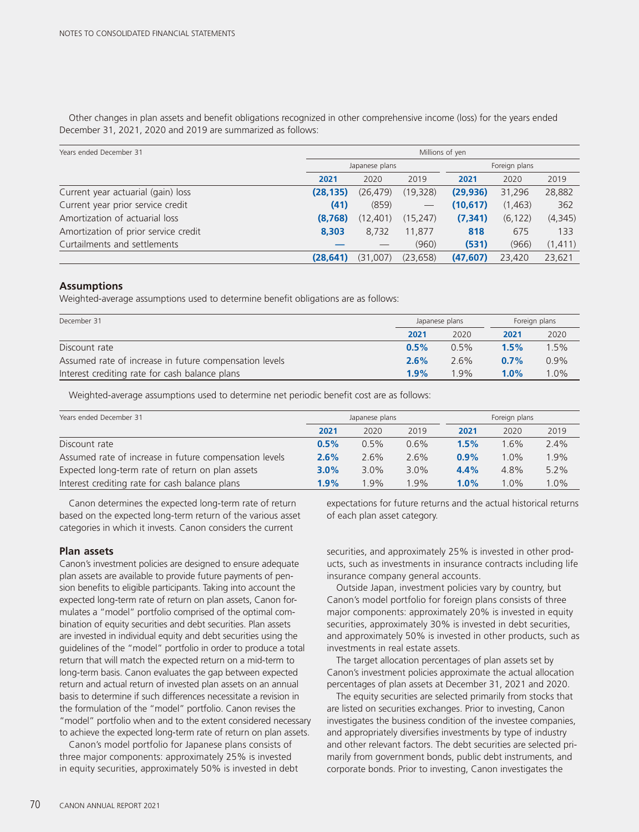Other changes in plan assets and benefit obligations recognized in other comprehensive income (loss) for the years ended December 31, 2021, 2020 and 2019 are summarized as follows:

| Years ended December 31              | Millions of yen |                |           |           |               |          |  |  |
|--------------------------------------|-----------------|----------------|-----------|-----------|---------------|----------|--|--|
|                                      |                 | Japanese plans |           |           | Foreign plans |          |  |  |
|                                      | 2021            | 2020           | 2019      | 2021      | 2020          | 2019     |  |  |
| Current year actuarial (gain) loss   | (28, 135)       | (26, 479)      | (19,328)  | (29, 936) | 31,296        | 28,882   |  |  |
| Current year prior service credit    | (41)            | (859)          |           | (10,617)  | (1,463)       | 362      |  |  |
| Amortization of actuarial loss       | (8, 768)        | (12, 401)      | (15, 247) | (7, 341)  | (6, 122)      | (4,345)  |  |  |
| Amortization of prior service credit | 8,303           | 8,732          | 11,877    | 818       | 675           | 133      |  |  |
| Curtailments and settlements         |                 |                | (960)     | (531)     | (966)         | (1, 411) |  |  |
|                                      | (28, 641)       | (31.007)       | (23, 658) | (47, 607) | 23,420        | 23,621   |  |  |

# **Assumptions**

Weighted-average assumptions used to determine benefit obligations are as follows:

| December 31                                            |      | Japanese plans |         | Foreign plans |
|--------------------------------------------------------|------|----------------|---------|---------------|
|                                                        | 2021 | 2020           | 2021    | 2020          |
| Discount rate                                          | 0.5% | 0.5%           | 1.5%    | 1.5%          |
| Assumed rate of increase in future compensation levels | 2.6% | $2.6\%$        | $0.7\%$ | 0.9%          |
| Interest crediting rate for cash balance plans         | 1.9% | 9%             | $1.0\%$ | $1.0\%$       |

Weighted-average assumptions used to determine net periodic benefit cost are as follows:

| Years ended December 31                                |         | Japanese plans |         |         | Foreign plans |         |  |
|--------------------------------------------------------|---------|----------------|---------|---------|---------------|---------|--|
|                                                        | 2021    | 2020           | 2019    | 2021    | 2020          | 2019    |  |
| Discount rate                                          | 0.5%    | $0.5\%$        | 0.6%    | 1.5%    | 1.6%          | $2.4\%$ |  |
| Assumed rate of increase in future compensation levels | 2.6%    | 2.6%           | 2.6%    | $0.9\%$ | $1.0\%$       | 1.9%    |  |
| Expected long-term rate of return on plan assets       | $3.0\%$ | $3.0\%$        | $3.0\%$ | 4.4%    | 4.8%          | $5.2\%$ |  |
| Interest crediting rate for cash balance plans         | $1.9\%$ | 1.9%           | $1.9\%$ | $1.0\%$ | $1.0\%$       | 1.0%    |  |

Canon determines the expected long-term rate of return based on the expected long-term return of the various asset categories in which it invests. Canon considers the current

#### **Plan assets**

Canon's investment policies are designed to ensure adequate plan assets are available to provide future payments of pension benefits to eligible participants. Taking into account the expected long-term rate of return on plan assets, Canon formulates a "model" portfolio comprised of the optimal combination of equity securities and debt securities. Plan assets are invested in individual equity and debt securities using the guidelines of the "model" portfolio in order to produce a total return that will match the expected return on a mid-term to long-term basis. Canon evaluates the gap between expected return and actual return of invested plan assets on an annual basis to determine if such differences necessitate a revision in the formulation of the "model" portfolio. Canon revises the "model" portfolio when and to the extent considered necessary to achieve the expected long-term rate of return on plan assets.

Canon's model portfolio for Japanese plans consists of three major components: approximately 25% is invested in equity securities, approximately 50% is invested in debt expectations for future returns and the actual historical returns of each plan asset category.

securities, and approximately 25% is invested in other products, such as investments in insurance contracts including life insurance company general accounts.

Outside Japan, investment policies vary by country, but Canon's model portfolio for foreign plans consists of three major components: approximately 20% is invested in equity securities, approximately 30% is invested in debt securities, and approximately 50% is invested in other products, such as investments in real estate assets.

The target allocation percentages of plan assets set by Canon's investment policies approximate the actual allocation percentages of plan assets at December 31, 2021 and 2020.

The equity securities are selected primarily from stocks that are listed on securities exchanges. Prior to investing, Canon investigates the business condition of the investee companies, and appropriately diversifies investments by type of industry and other relevant factors. The debt securities are selected primarily from government bonds, public debt instruments, and corporate bonds. Prior to investing, Canon investigates the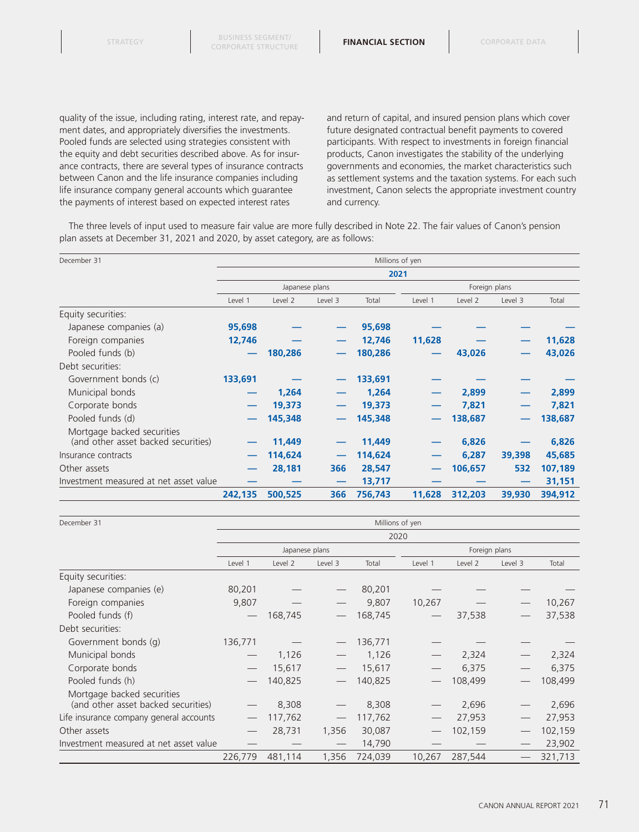quality of the issue, including rating, interest rate, and repayment dates, and appropriately diversifies the investments. Pooled funds are selected using strategies consistent with the equity and debt securities described above. As for insurance contracts, there are several types of insurance contracts between Canon and the life insurance companies including life insurance company general accounts which guarantee the payments of interest based on expected interest rates

and return of capital, and insured pension plans which cover future designated contractual benefit payments to covered participants. With respect to investments in foreign financial products, Canon investigates the stability of the underlying governments and economies, the market characteristics such as settlement systems and the taxation systems. For each such investment, Canon selects the appropriate investment country and currency.

The three levels of input used to measure fair value are more fully described in Note 22. The fair values of Canon's pension plan assets at December 31, 2021 and 2020, by asset category, are as follows:

| December 31                                                       |         | Millions of yen |         |         |         |               |         |         |
|-------------------------------------------------------------------|---------|-----------------|---------|---------|---------|---------------|---------|---------|
|                                                                   |         |                 |         |         | 2021    |               |         |         |
|                                                                   |         | Japanese plans  |         |         |         | Foreign plans |         |         |
|                                                                   | Level 1 | Level 2         | Level 3 | Total   | Level 1 | Level 2       | Level 3 | Total   |
| Equity securities:                                                |         |                 |         |         |         |               |         |         |
| Japanese companies (a)                                            | 95,698  |                 |         | 95,698  |         |               |         |         |
| Foreign companies                                                 | 12,746  |                 |         | 12,746  | 11,628  |               |         | 11,628  |
| Pooled funds (b)                                                  |         | 180,286         |         | 180,286 |         | 43,026        |         | 43,026  |
| Debt securities:                                                  |         |                 |         |         |         |               |         |         |
| Government bonds (c)                                              | 133,691 |                 |         | 133,691 |         |               |         |         |
| Municipal bonds                                                   |         | 1,264           |         | 1,264   | –       | 2,899         |         | 2,899   |
| Corporate bonds                                                   |         | 19,373          |         | 19,373  |         | 7,821         |         | 7,821   |
| Pooled funds (d)                                                  |         | 145,348         |         | 145,348 |         | 138,687       |         | 138,687 |
| Mortgage backed securities<br>(and other asset backed securities) |         | 11,449          |         | 11,449  |         | 6,826         |         | 6,826   |
| Insurance contracts                                               |         | 114,624         |         | 114,624 |         | 6,287         | 39,398  | 45,685  |
| Other assets                                                      |         | 28,181          | 366     | 28,547  |         | 106,657       | 532     | 107,189 |
| Investment measured at net asset value                            |         |                 | –       | 13,717  |         |               |         | 31,151  |
|                                                                   | 242,135 | 500,525         | 366     | 756,743 | 11,628  | 312,203       | 39,930  | 394,912 |

| December 31                                                       | Millions of yen |                |         |         |         |               |         |         |  |  |
|-------------------------------------------------------------------|-----------------|----------------|---------|---------|---------|---------------|---------|---------|--|--|
|                                                                   | 2020            |                |         |         |         |               |         |         |  |  |
|                                                                   |                 | Japanese plans |         |         |         | Foreign plans |         |         |  |  |
|                                                                   | Level 1         | Level 2        | Level 3 | Total   | Level 1 | Level 2       | Level 3 | Total   |  |  |
| Equity securities:                                                |                 |                |         |         |         |               |         |         |  |  |
| Japanese companies (e)                                            | 80,201          |                |         | 80,201  |         |               |         |         |  |  |
| Foreign companies                                                 | 9,807           |                |         | 9,807   | 10,267  |               |         | 10,267  |  |  |
| Pooled funds (f)                                                  |                 | 168,745        |         | 168,745 |         | 37,538        |         | 37,538  |  |  |
| Debt securities:                                                  |                 |                |         |         |         |               |         |         |  |  |
| Government bonds (g)                                              | 136,771         |                |         | 136,771 |         |               |         |         |  |  |
| Municipal bonds                                                   |                 | 1,126          |         | 1,126   |         | 2,324         |         | 2,324   |  |  |
| Corporate bonds                                                   |                 | 15,617         |         | 15,617  |         | 6,375         |         | 6,375   |  |  |
| Pooled funds (h)                                                  |                 | 140,825        |         | 140,825 |         | 108,499       |         | 108,499 |  |  |
| Mortgage backed securities<br>(and other asset backed securities) |                 | 8,308          |         | 8,308   |         | 2,696         |         | 2,696   |  |  |
| Life insurance company general accounts                           |                 | 117,762        |         | 117,762 |         | 27,953        |         | 27,953  |  |  |
| Other assets                                                      |                 | 28,731         | 1,356   | 30,087  |         | 102,159       |         | 102,159 |  |  |
| Investment measured at net asset value                            |                 |                |         | 14,790  |         |               |         | 23,902  |  |  |
|                                                                   | 226,779         | 481,114        | 1,356   | 724,039 | 10,267  | 287,544       |         | 321,713 |  |  |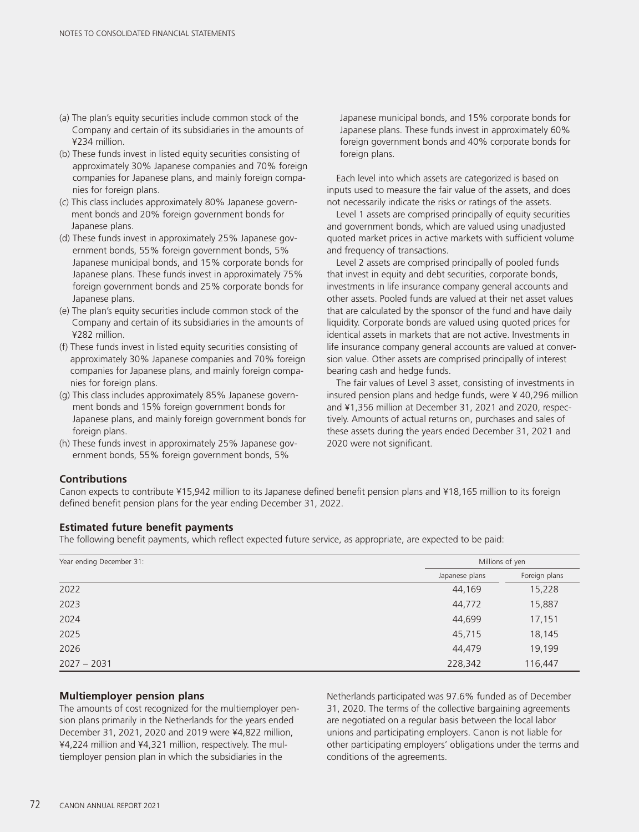- (a) The plan's equity securities include common stock of the Company and certain of its subsidiaries in the amounts of ¥234 million.
- (b) These funds invest in listed equity securities consisting of approximately 30% Japanese companies and 70% foreign companies for Japanese plans, and mainly foreign companies for foreign plans.
- (c) This class includes approximately 80% Japanese government bonds and 20% foreign government bonds for Japanese plans.
- (d) These funds invest in approximately 25% Japanese government bonds, 55% foreign government bonds, 5% Japanese municipal bonds, and 15% corporate bonds for Japanese plans. These funds invest in approximately 75% foreign government bonds and 25% corporate bonds for Japanese plans.
- (e) The plan's equity securities include common stock of the Company and certain of its subsidiaries in the amounts of ¥282 million.
- (f) These funds invest in listed equity securities consisting of approximately 30% Japanese companies and 70% foreign companies for Japanese plans, and mainly foreign companies for foreign plans.
- (g) This class includes approximately 85% Japanese government bonds and 15% foreign government bonds for Japanese plans, and mainly foreign government bonds for foreign plans.
- (h) These funds invest in approximately 25% Japanese government bonds, 55% foreign government bonds, 5%

Japanese municipal bonds, and 15% corporate bonds for Japanese plans. These funds invest in approximately 60% foreign government bonds and 40% corporate bonds for foreign plans.

Each level into which assets are categorized is based on inputs used to measure the fair value of the assets, and does not necessarily indicate the risks or ratings of the assets.

Level 1 assets are comprised principally of equity securities and government bonds, which are valued using unadjusted quoted market prices in active markets with sufficient volume and frequency of transactions.

Level 2 assets are comprised principally of pooled funds that invest in equity and debt securities, corporate bonds, investments in life insurance company general accounts and other assets. Pooled funds are valued at their net asset values that are calculated by the sponsor of the fund and have daily liquidity. Corporate bonds are valued using quoted prices for identical assets in markets that are not active. Investments in life insurance company general accounts are valued at conversion value. Other assets are comprised principally of interest bearing cash and hedge funds.

The fair values of Level 3 asset, consisting of investments in insured pension plans and hedge funds, were ¥ 40,296 million and ¥1,356 million at December 31, 2021 and 2020, respectively. Amounts of actual returns on, purchases and sales of these assets during the years ended December 31, 2021 and 2020 were not significant.

# **Contributions**

Canon expects to contribute ¥15,942 million to its Japanese defined benefit pension plans and ¥18,165 million to its foreign defined benefit pension plans for the year ending December 31, 2022.

# **Estimated future benefit payments**

The following benefit payments, which reflect expected future service, as appropriate, are expected to be paid:

| Year ending December 31: | Millions of yen |               |  |
|--------------------------|-----------------|---------------|--|
|                          | Japanese plans  | Foreign plans |  |
| 2022                     | 44,169          | 15,228        |  |
| 2023                     | 44,772          | 15,887        |  |
| 2024                     | 44,699          | 17,151        |  |
| 2025                     | 45,715          | 18,145        |  |
| 2026                     | 44,479          | 19,199        |  |
| $2027 - 2031$            | 228,342         | 116,447       |  |

# **Multiemployer pension plans**

The amounts of cost recognized for the multiemployer pension plans primarily in the Netherlands for the years ended December 31, 2021, 2020 and 2019 were ¥4,822 million, ¥4,224 million and ¥4,321 million, respectively. The multiemployer pension plan in which the subsidiaries in the

Netherlands participated was 97.6% funded as of December 31, 2020. The terms of the collective bargaining agreements are negotiated on a regular basis between the local labor unions and participating employers. Canon is not liable for other participating employers' obligations under the terms and conditions of the agreements.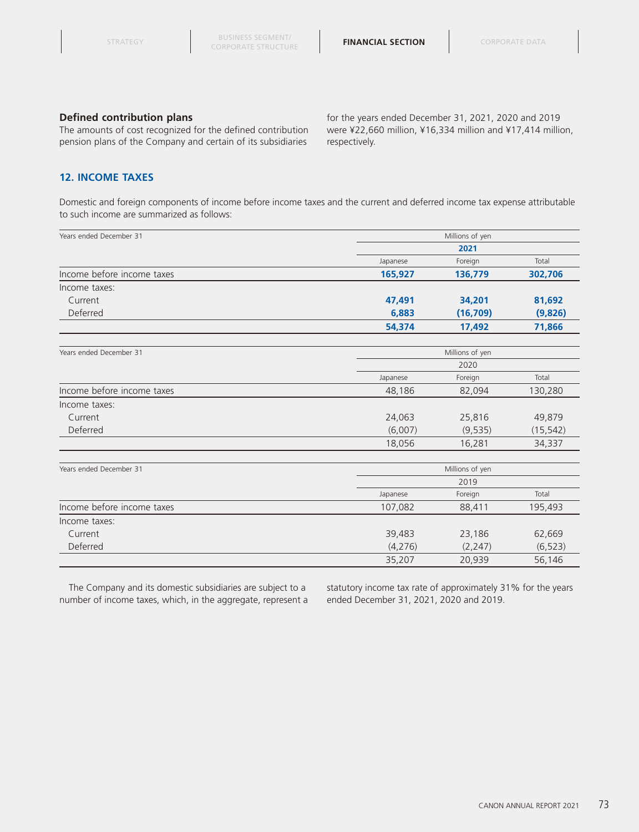# **Defined contribution plans**

The amounts of cost recognized for the defined contribution pension plans of the Company and certain of its subsidiaries

for the years ended December 31, 2021, 2020 and 2019 were ¥22,660 million, ¥16,334 million and ¥17,414 million, respectively.

# **12. INCOME TAXES**

Domestic and foreign components of income before income taxes and the current and deferred income tax expense attributable to such income are summarized as follows:

| Years ended December 31    | Millions of yen |                 |           |  |  |  |
|----------------------------|-----------------|-----------------|-----------|--|--|--|
|                            |                 | 2021            |           |  |  |  |
|                            | Japanese        | Foreign         | Total     |  |  |  |
| Income before income taxes | 165,927         | 136,779         | 302,706   |  |  |  |
| Income taxes:              |                 |                 |           |  |  |  |
| Current                    | 47,491          | 34,201          | 81,692    |  |  |  |
| Deferred                   | 6,883           | (16, 709)       | (9,826)   |  |  |  |
|                            | 54,374          | 17,492          | 71,866    |  |  |  |
| Years ended December 31    |                 | Millions of yen |           |  |  |  |
|                            |                 | 2020            |           |  |  |  |
|                            | Japanese        | Foreign         | Total     |  |  |  |
| Income before income taxes | 48,186          | 82,094          | 130,280   |  |  |  |
| Income taxes:              |                 |                 |           |  |  |  |
| Current                    | 24,063          | 25,816          | 49,879    |  |  |  |
| Deferred                   | (6,007)         | (9,535)         | (15, 542) |  |  |  |
|                            | 18,056          | 16,281          | 34,337    |  |  |  |
| Years ended December 31    |                 | Millions of yen |           |  |  |  |
|                            |                 | 2019            |           |  |  |  |
|                            | Japanese        | Foreign         | Total     |  |  |  |
| Income before income taxes | 107,082         | 88,411          | 195,493   |  |  |  |
| Income taxes:              |                 |                 |           |  |  |  |
| Current                    | 39,483          | 23,186          | 62,669    |  |  |  |
| Deferred                   | (4,276)         | (2, 247)        | (6, 523)  |  |  |  |
|                            | 35,207          | 20,939          | 56,146    |  |  |  |

The Company and its domestic subsidiaries are subject to a number of income taxes, which, in the aggregate, represent a statutory income tax rate of approximately 31% for the years ended December 31, 2021, 2020 and 2019.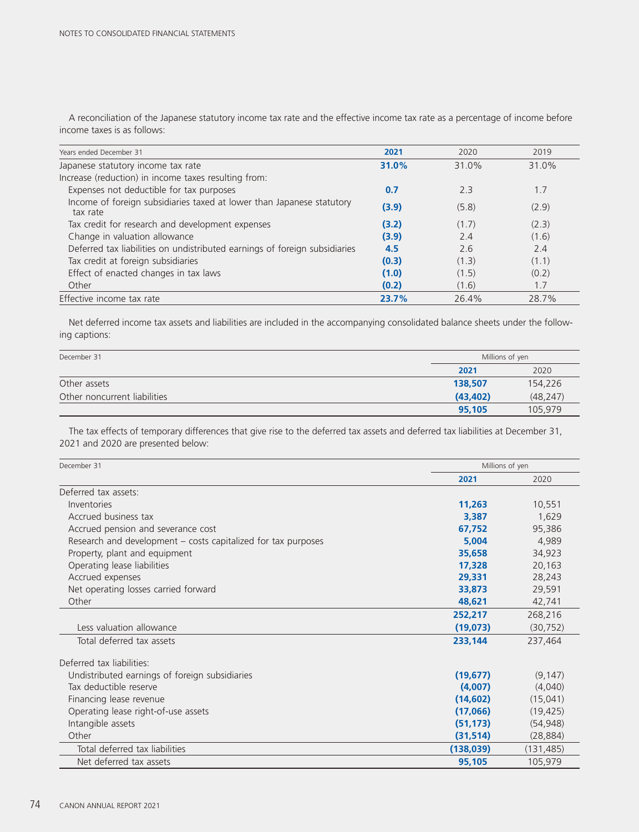| Years ended December 31                                                           | 2021  | 2020  | 2019  |
|-----------------------------------------------------------------------------------|-------|-------|-------|
| Japanese statutory income tax rate                                                | 31.0% | 31.0% | 31.0% |
| Increase (reduction) in income taxes resulting from:                              |       |       |       |
| Expenses not deductible for tax purposes                                          | 0.7   | 2.3   | 1.7   |
| Income of foreign subsidiaries taxed at lower than Japanese statutory<br>tax rate | (3.9) | (5.8) | (2.9) |
| Tax credit for research and development expenses                                  | (3.2) | (1.7) | (2.3) |
| Change in valuation allowance                                                     | (3.9) | 2.4   | (1.6) |
| Deferred tax liabilities on undistributed earnings of foreign subsidiaries        | 4.5   | 2.6   | 2.4   |
| Tax credit at foreign subsidiaries                                                | (0.3) | (1.3) | (1.1) |
| Effect of enacted changes in tax laws                                             | (1.0) | (1.5) | (0.2) |
| Other                                                                             | (0.2) | (1.6) | 1.7   |
| Effective income tax rate                                                         | 23.7% | 26.4% | 28.7% |

A reconciliation of the Japanese statutory income tax rate and the effective income tax rate as a percentage of income before income taxes is as follows:

Net deferred income tax assets and liabilities are included in the accompanying consolidated balance sheets under the following captions:

| December 31                  |           | Millions of yen |  |
|------------------------------|-----------|-----------------|--|
|                              |           | 2020            |  |
| Other assets                 | 138,507   | 154,226         |  |
| Other noncurrent liabilities | (43, 402) | (48, 247)       |  |
|                              | 95,105    | 105.979         |  |

The tax effects of temporary differences that give rise to the deferred tax assets and deferred tax liabilities at December 31, 2021 and 2020 are presented below:

| December 31                                                   | Millions of yen |            |
|---------------------------------------------------------------|-----------------|------------|
|                                                               | 2021            | 2020       |
| Deferred tax assets:                                          |                 |            |
| Inventories                                                   | 11,263          | 10,551     |
| Accrued business tax                                          | 3,387           | 1,629      |
| Accrued pension and severance cost                            | 67,752          | 95,386     |
| Research and development – costs capitalized for tax purposes | 5.004           | 4,989      |
| Property, plant and equipment                                 | 35,658          | 34,923     |
| Operating lease liabilities                                   | 17,328          | 20,163     |
| Accrued expenses                                              | 29,331          | 28,243     |
| Net operating losses carried forward                          | 33,873          | 29,591     |
| Other                                                         | 48,621          | 42,741     |
|                                                               | 252,217         | 268,216    |
| Less valuation allowance                                      | (19, 073)       | (30, 752)  |
| Total deferred tax assets                                     | 233,144         | 237,464    |
| Deferred tax liabilities:                                     |                 |            |
| Undistributed earnings of foreign subsidiaries                | (19, 677)       | (9, 147)   |
| Tax deductible reserve                                        | (4,007)         | (4,040)    |
| Financing lease revenue                                       | (14, 602)       | (15,041)   |
| Operating lease right-of-use assets                           | (17,066)        | (19, 425)  |
| Intangible assets                                             | (51, 173)       | (54, 948)  |
| Other                                                         | (31, 514)       | (28, 884)  |
| Total deferred tax liabilities                                | (138, 039)      | (131, 485) |
| Net deferred tax assets                                       | 95,105          | 105,979    |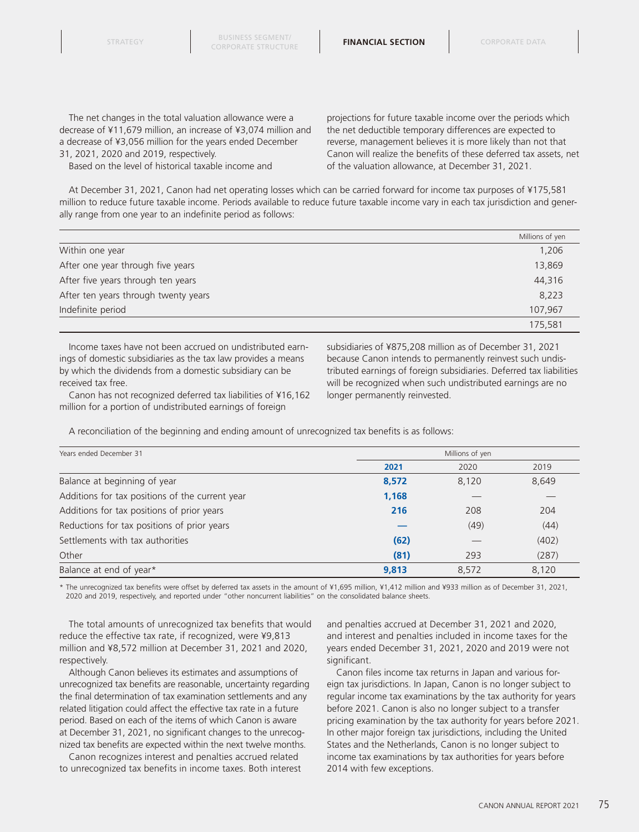The net changes in the total valuation allowance were a decrease of ¥11,679 million, an increase of ¥3,074 million and a decrease of ¥3,056 million for the years ended December 31, 2021, 2020 and 2019, respectively.

Based on the level of historical taxable income and

projections for future taxable income over the periods which the net deductible temporary differences are expected to reverse, management believes it is more likely than not that Canon will realize the benefits of these deferred tax assets, net of the valuation allowance, at December 31, 2021.

At December 31, 2021, Canon had net operating losses which can be carried forward for income tax purposes of ¥175,581 million to reduce future taxable income. Periods available to reduce future taxable income vary in each tax jurisdiction and generally range from one year to an indefinite period as follows:

|                                      | Millions of yen |
|--------------------------------------|-----------------|
| Within one year                      | 1,206           |
| After one year through five years    | 13,869          |
| After five years through ten years   | 44,316          |
| After ten years through twenty years | 8,223           |
| Indefinite period                    | 107,967         |
|                                      | 175,581         |

Income taxes have not been accrued on undistributed earnings of domestic subsidiaries as the tax law provides a means by which the dividends from a domestic subsidiary can be received tax free.

Canon has not recognized deferred tax liabilities of ¥16,162 million for a portion of undistributed earnings of foreign

subsidiaries of ¥875,208 million as of December 31, 2021 because Canon intends to permanently reinvest such undistributed earnings of foreign subsidiaries. Deferred tax liabilities will be recognized when such undistributed earnings are no longer permanently reinvested.

A reconciliation of the beginning and ending amount of unrecognized tax benefits is as follows:

| Years ended December 31                         | Millions of yen |       |       |  |
|-------------------------------------------------|-----------------|-------|-------|--|
|                                                 | 2021            | 2020  | 2019  |  |
| Balance at beginning of year                    | 8,572           | 8,120 | 8,649 |  |
| Additions for tax positions of the current year | 1,168           |       |       |  |
| Additions for tax positions of prior years      | 216             | 208   | 204   |  |
| Reductions for tax positions of prior years     |                 | (49)  | (44)  |  |
| Settlements with tax authorities                | (62)            |       | (402) |  |
| Other                                           | (81)            | 293   | (287) |  |
| Balance at end of year*                         | 9,813           | 8,572 | 8,120 |  |

The unrecognized tax benefits were offset by deferred tax assets in the amount of ¥1,695 million, ¥1,412 million and ¥933 million as of December 31, 2021, 2020 and 2019, respectively, and reported under "other noncurrent liabilities" on the consolidated balance sheets.

The total amounts of unrecognized tax benefits that would reduce the effective tax rate, if recognized, were ¥9,813 million and ¥8,572 million at December 31, 2021 and 2020, respectively.

Although Canon believes its estimates and assumptions of unrecognized tax benefits are reasonable, uncertainty regarding the final determination of tax examination settlements and any related litigation could affect the effective tax rate in a future period. Based on each of the items of which Canon is aware at December 31, 2021, no significant changes to the unrecognized tax benefits are expected within the next twelve months.

Canon recognizes interest and penalties accrued related to unrecognized tax benefits in income taxes. Both interest

and penalties accrued at December 31, 2021 and 2020, and interest and penalties included in income taxes for the years ended December 31, 2021, 2020 and 2019 were not significant.

Canon files income tax returns in Japan and various foreign tax jurisdictions. In Japan, Canon is no longer subject to regular income tax examinations by the tax authority for years before 2021. Canon is also no longer subject to a transfer pricing examination by the tax authority for years before 2021. In other major foreign tax jurisdictions, including the United States and the Netherlands, Canon is no longer subject to income tax examinations by tax authorities for years before 2014 with few exceptions.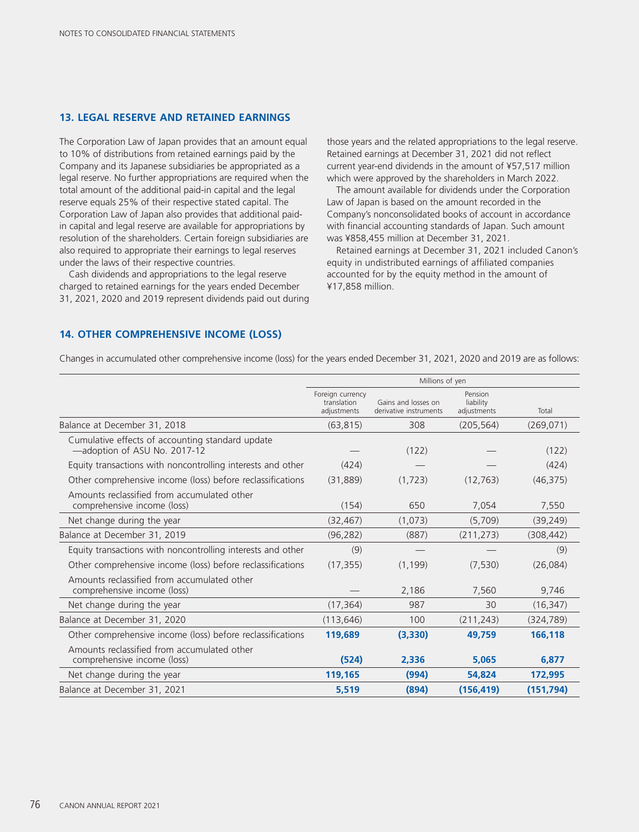# **13. LEGAL RESERVE AND RETAINED EARNINGS**

The Corporation Law of Japan provides that an amount equal to 10% of distributions from retained earnings paid by the Company and its Japanese subsidiaries be appropriated as a legal reserve. No further appropriations are required when the total amount of the additional paid-in capital and the legal reserve equals 25% of their respective stated capital. The Corporation Law of Japan also provides that additional paidin capital and legal reserve are available for appropriations by resolution of the shareholders. Certain foreign subsidiaries are also required to appropriate their earnings to legal reserves under the laws of their respective countries.

Cash dividends and appropriations to the legal reserve charged to retained earnings for the years ended December 31, 2021, 2020 and 2019 represent dividends paid out during

those years and the related appropriations to the legal reserve. Retained earnings at December 31, 2021 did not reflect current year-end dividends in the amount of ¥57,517 million which were approved by the shareholders in March 2022.

The amount available for dividends under the Corporation Law of Japan is based on the amount recorded in the Company's nonconsolidated books of account in accordance with financial accounting standards of Japan. Such amount was ¥858,455 million at December 31, 2021.

Retained earnings at December 31, 2021 included Canon's equity in undistributed earnings of affiliated companies accounted for by the equity method in the amount of ¥17,858 million.

# **14. OTHER COMPREHENSIVE INCOME (LOSS)**

Changes in accumulated other comprehensive income (loss) for the years ended December 31, 2021, 2020 and 2019 are as follows:

|                                                                                  | Millions of yen                                |                                               |                                     |            |  |
|----------------------------------------------------------------------------------|------------------------------------------------|-----------------------------------------------|-------------------------------------|------------|--|
|                                                                                  | Foreign currency<br>translation<br>adjustments | Gains and losses on<br>derivative instruments | Pension<br>liability<br>adjustments | Total      |  |
| Balance at December 31, 2018                                                     | (63, 815)                                      | 308                                           | (205, 564)                          | (269, 071) |  |
| Cumulative effects of accounting standard update<br>-adoption of ASU No. 2017-12 |                                                | (122)                                         |                                     | (122)      |  |
| Equity transactions with noncontrolling interests and other                      | (424)                                          |                                               |                                     | (424)      |  |
| Other comprehensive income (loss) before reclassifications                       | (31,889)                                       | (1, 723)                                      | (12, 763)                           | (46, 375)  |  |
| Amounts reclassified from accumulated other<br>comprehensive income (loss)       | (154)                                          | 650                                           | 7,054                               | 7,550      |  |
| Net change during the year                                                       | (32, 467)                                      | (1,073)                                       | (5,709)                             | (39, 249)  |  |
| Balance at December 31, 2019                                                     | (96, 282)                                      | (887)                                         | (211, 273)                          | (308, 442) |  |
| Equity transactions with noncontrolling interests and other                      | (9)                                            |                                               |                                     | (9)        |  |
| Other comprehensive income (loss) before reclassifications                       | (17, 355)                                      | (1, 199)                                      | (7,530)                             | (26,084)   |  |
| Amounts reclassified from accumulated other<br>comprehensive income (loss)       |                                                | 2,186                                         | 7,560                               | 9,746      |  |
| Net change during the year                                                       | (17, 364)                                      | 987                                           | 30                                  | (16, 347)  |  |
| Balance at December 31, 2020                                                     | (113, 646)                                     | 100                                           | (211, 243)                          | (324, 789) |  |
| Other comprehensive income (loss) before reclassifications                       | 119,689                                        | (3, 330)                                      | 49,759                              | 166,118    |  |
| Amounts reclassified from accumulated other<br>comprehensive income (loss)       | (524)                                          | 2,336                                         | 5,065                               | 6,877      |  |
| Net change during the year                                                       | 119,165                                        | (994)                                         | 54,824                              | 172,995    |  |
| Balance at December 31, 2021                                                     | 5,519                                          | (894)                                         | (156, 419)                          | (151, 794) |  |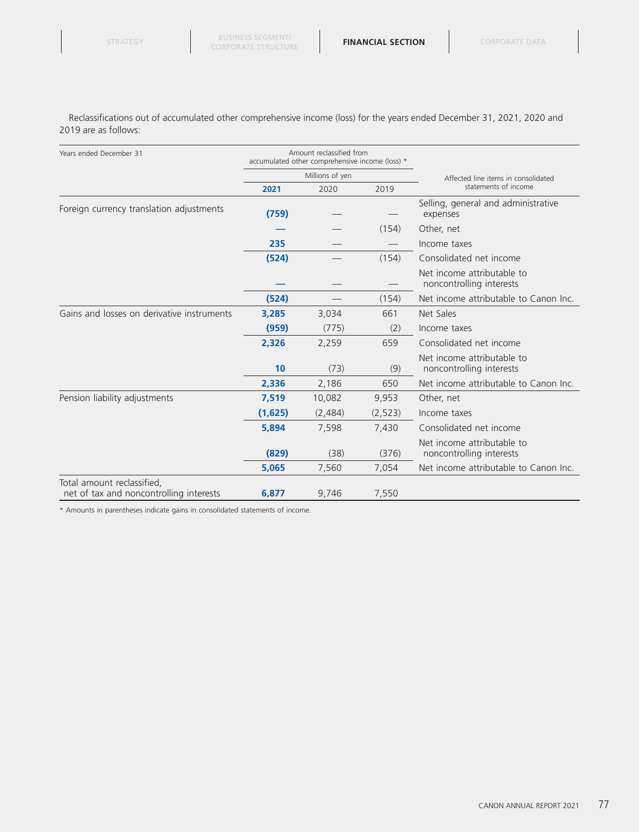Reclassifications out of accumulated other comprehensive income (loss) for the years ended December 31, 2021, 2020 and 2019 are as follows:

| Years ended December 31                                               | Amount reclassified from<br>accumulated other comprehensive income (loss) * |                 |         |                                                        |
|-----------------------------------------------------------------------|-----------------------------------------------------------------------------|-----------------|---------|--------------------------------------------------------|
|                                                                       |                                                                             | Millions of yen |         | Affected line items in consolidated                    |
|                                                                       | 2021                                                                        | 2020            | 2019    | statements of income                                   |
| Foreign currency translation adjustments                              | (759)                                                                       |                 |         | Selling, general and administrative<br>expenses        |
|                                                                       |                                                                             |                 | (154)   | Other, net                                             |
|                                                                       | 235                                                                         |                 |         | Income taxes                                           |
|                                                                       | (524)                                                                       |                 | (154)   | Consolidated net income                                |
|                                                                       |                                                                             |                 |         | Net income attributable to<br>noncontrolling interests |
|                                                                       | (524)                                                                       |                 | (154)   | Net income attributable to Canon Inc.                  |
| Gains and losses on derivative instruments                            | 3,285                                                                       | 3,034           | 661     | Net Sales                                              |
|                                                                       | (959)                                                                       | (775)           | (2)     | Income taxes                                           |
|                                                                       | 2,326                                                                       | 2,259           | 659     | Consolidated net income                                |
|                                                                       | 10                                                                          | (73)            | (9)     | Net income attributable to<br>noncontrolling interests |
|                                                                       | 2,336                                                                       | 2,186           | 650     | Net income attributable to Canon Inc.                  |
| Pension liability adjustments                                         | 7,519                                                                       | 10,082          | 9,953   | Other, net                                             |
|                                                                       | (1,625)                                                                     | (2,484)         | (2,523) | Income taxes                                           |
|                                                                       | 5,894                                                                       | 7,598           | 7,430   | Consolidated net income                                |
|                                                                       | (829)                                                                       | (38)            | (376)   | Net income attributable to<br>noncontrolling interests |
|                                                                       | 5,065                                                                       | 7,560           | 7,054   | Net income attributable to Canon Inc.                  |
| Total amount reclassified,<br>net of tax and noncontrolling interests | 6,877                                                                       | 9,746           | 7,550   |                                                        |

\* Amounts in parentheses indicate gains in consolidated statements of income.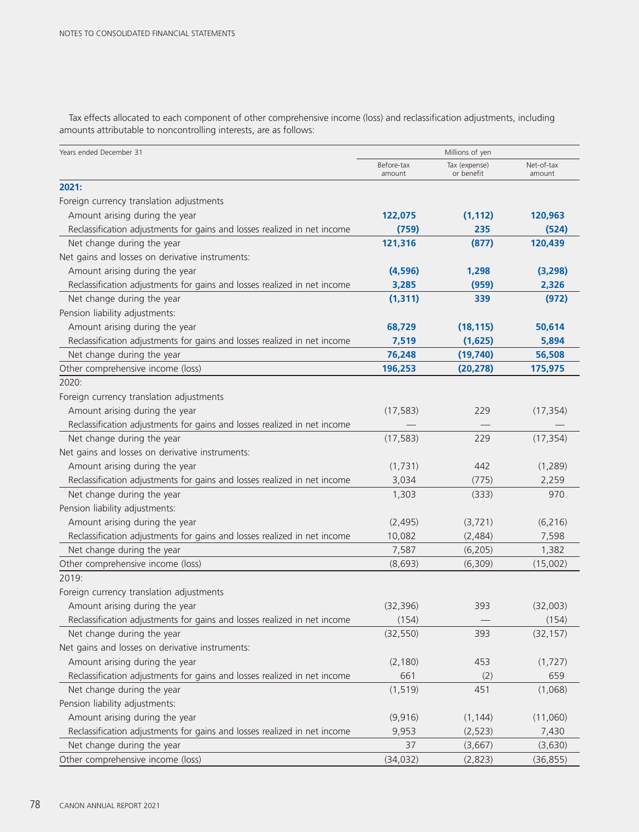Tax effects allocated to each component of other comprehensive income (loss) and reclassification adjustments, including amounts attributable to noncontrolling interests, are as follows:

| Years ended December 31                                                  | Millions of yen      |                             |                      |  |
|--------------------------------------------------------------------------|----------------------|-----------------------------|----------------------|--|
|                                                                          | Before-tax<br>amount | Tax (expense)<br>or benefit | Net-of-tax<br>amount |  |
| 2021:                                                                    |                      |                             |                      |  |
| Foreign currency translation adjustments                                 |                      |                             |                      |  |
| Amount arising during the year                                           | 122,075              | (1, 112)                    | 120,963              |  |
| Reclassification adjustments for gains and losses realized in net income | (759)                | 235                         | (524)                |  |
| Net change during the year                                               | 121,316              | (877)                       | 120,439              |  |
| Net gains and losses on derivative instruments:                          |                      |                             |                      |  |
| Amount arising during the year                                           | (4,596)              | 1,298                       | (3,298)              |  |
| Reclassification adjustments for gains and losses realized in net income | 3,285                | (959)                       | 2,326                |  |
| Net change during the year                                               | (1, 311)             | 339                         | (972)                |  |
| Pension liability adjustments:                                           |                      |                             |                      |  |
| Amount arising during the year                                           | 68,729               | (18, 115)                   | 50,614               |  |
| Reclassification adjustments for gains and losses realized in net income | 7,519                | (1,625)                     | 5,894                |  |
| Net change during the year                                               | 76,248               | (19, 740)                   | 56,508               |  |
| Other comprehensive income (loss)                                        | 196,253              | (20, 278)                   | 175,975              |  |
| 2020:                                                                    |                      |                             |                      |  |
| Foreign currency translation adjustments                                 |                      |                             |                      |  |
| Amount arising during the year                                           | (17, 583)            | 229                         | (17, 354)            |  |
| Reclassification adjustments for gains and losses realized in net income |                      |                             |                      |  |
| Net change during the year                                               | (17, 583)            | 229                         | (17, 354)            |  |
| Net gains and losses on derivative instruments:                          |                      |                             |                      |  |
| Amount arising during the year                                           | (1,731)              | 442                         | (1, 289)             |  |
| Reclassification adjustments for gains and losses realized in net income | 3,034                | (775)                       | 2,259                |  |
| Net change during the year                                               | 1,303                | (333)                       | 970                  |  |
| Pension liability adjustments:                                           |                      |                             |                      |  |
| Amount arising during the year                                           | (2, 495)             | (3, 721)                    | (6, 216)             |  |
| Reclassification adjustments for gains and losses realized in net income | 10,082               | (2,484)                     | 7,598                |  |
| Net change during the year                                               | 7,587                | (6, 205)                    | 1,382                |  |
| Other comprehensive income (loss)                                        | (8,693)              | (6,309)                     | (15,002)             |  |
| 2019:                                                                    |                      |                             |                      |  |
| Foreign currency translation adjustments                                 |                      |                             |                      |  |
| Amount arising during the year                                           | (32, 396)            | 393                         | (32,003)             |  |
| Reclassification adjustments for gains and losses realized in net income | (154)                |                             | (154)                |  |
| Net change during the year                                               | (32, 550)            | 393                         | (32, 157)            |  |
| Net gains and losses on derivative instruments:                          |                      |                             |                      |  |
| Amount arising during the year                                           | (2, 180)             | 453                         | (1, 727)             |  |
| Reclassification adjustments for gains and losses realized in net income | 661                  | (2)                         | 659                  |  |
| Net change during the year                                               | (1, 519)             | 451                         | (1,068)              |  |
| Pension liability adjustments:                                           |                      |                             |                      |  |
| Amount arising during the year                                           | (9,916)              | (1, 144)                    | (11,060)             |  |
| Reclassification adjustments for gains and losses realized in net income | 9,953                | (2, 523)                    | 7,430                |  |
| Net change during the year                                               | 37                   | (3,667)                     | (3,630)              |  |
| Other comprehensive income (loss)                                        | (34, 032)            | (2,823)                     | (36, 855)            |  |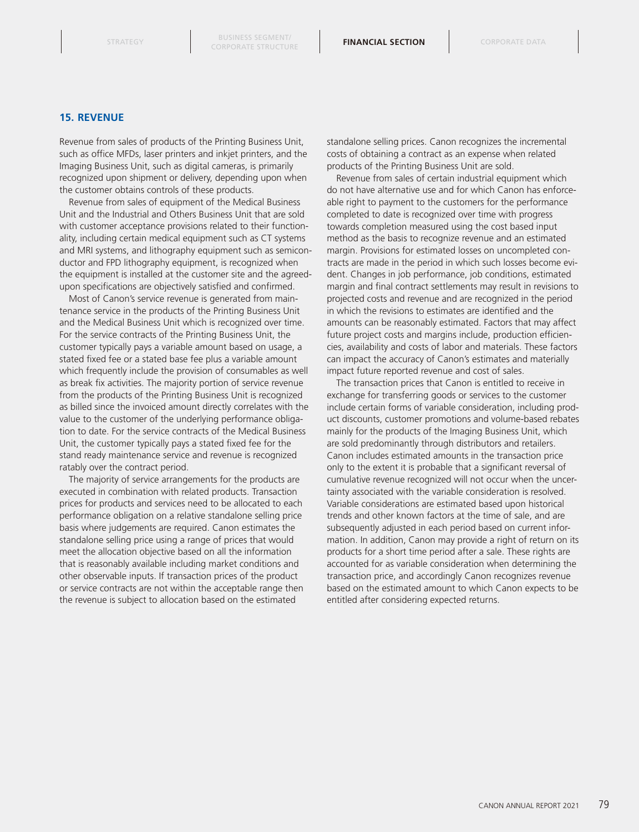# **15. REVENUE**

Revenue from sales of products of the Printing Business Unit, such as office MFDs, laser printers and inkjet printers, and the Imaging Business Unit, such as digital cameras, is primarily recognized upon shipment or delivery, depending upon when the customer obtains controls of these products.

Revenue from sales of equipment of the Medical Business Unit and the Industrial and Others Business Unit that are sold with customer acceptance provisions related to their functionality, including certain medical equipment such as CT systems and MRI systems, and lithography equipment such as semiconductor and FPD lithography equipment, is recognized when the equipment is installed at the customer site and the agreedupon specifications are objectively satisfied and confirmed.

Most of Canon's service revenue is generated from maintenance service in the products of the Printing Business Unit and the Medical Business Unit which is recognized over time. For the service contracts of the Printing Business Unit, the customer typically pays a variable amount based on usage, a stated fixed fee or a stated base fee plus a variable amount which frequently include the provision of consumables as well as break fix activities. The majority portion of service revenue from the products of the Printing Business Unit is recognized as billed since the invoiced amount directly correlates with the value to the customer of the underlying performance obligation to date. For the service contracts of the Medical Business Unit, the customer typically pays a stated fixed fee for the stand ready maintenance service and revenue is recognized ratably over the contract period.

The majority of service arrangements for the products are executed in combination with related products. Transaction prices for products and services need to be allocated to each performance obligation on a relative standalone selling price basis where judgements are required. Canon estimates the standalone selling price using a range of prices that would meet the allocation objective based on all the information that is reasonably available including market conditions and other observable inputs. If transaction prices of the product or service contracts are not within the acceptable range then the revenue is subject to allocation based on the estimated

standalone selling prices. Canon recognizes the incremental costs of obtaining a contract as an expense when related products of the Printing Business Unit are sold.

Revenue from sales of certain industrial equipment which do not have alternative use and for which Canon has enforceable right to payment to the customers for the performance completed to date is recognized over time with progress towards completion measured using the cost based input method as the basis to recognize revenue and an estimated margin. Provisions for estimated losses on uncompleted contracts are made in the period in which such losses become evident. Changes in job performance, job conditions, estimated margin and final contract settlements may result in revisions to projected costs and revenue and are recognized in the period in which the revisions to estimates are identified and the amounts can be reasonably estimated. Factors that may affect future project costs and margins include, production efficiencies, availability and costs of labor and materials. These factors can impact the accuracy of Canon's estimates and materially impact future reported revenue and cost of sales.

The transaction prices that Canon is entitled to receive in exchange for transferring goods or services to the customer include certain forms of variable consideration, including product discounts, customer promotions and volume-based rebates mainly for the products of the Imaging Business Unit, which are sold predominantly through distributors and retailers. Canon includes estimated amounts in the transaction price only to the extent it is probable that a significant reversal of cumulative revenue recognized will not occur when the uncertainty associated with the variable consideration is resolved. Variable considerations are estimated based upon historical trends and other known factors at the time of sale, and are subsequently adjusted in each period based on current information. In addition, Canon may provide a right of return on its products for a short time period after a sale. These rights are accounted for as variable consideration when determining the transaction price, and accordingly Canon recognizes revenue based on the estimated amount to which Canon expects to be entitled after considering expected returns.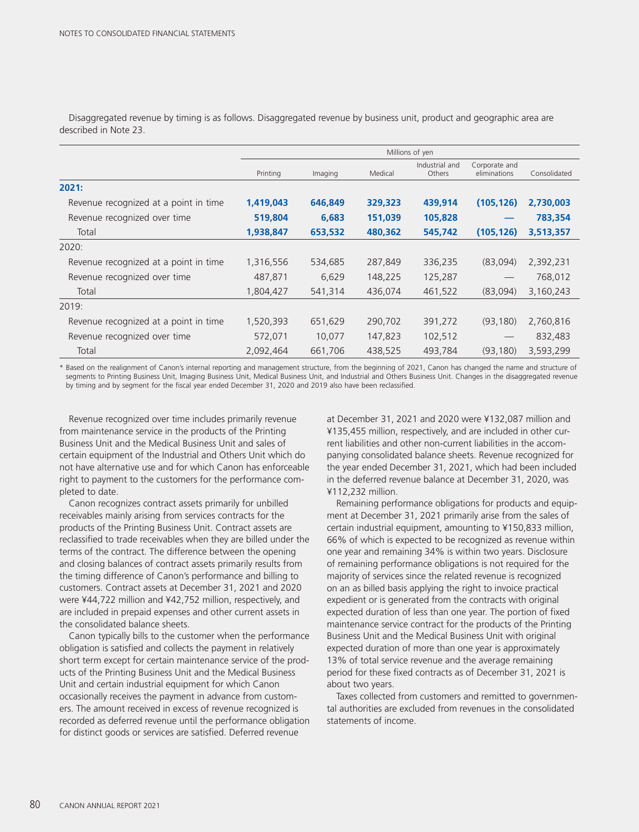|                                       |           | Millions of yen |         |                          |                               |              |  |
|---------------------------------------|-----------|-----------------|---------|--------------------------|-------------------------------|--------------|--|
|                                       | Printing  | Imaging         | Medical | Industrial and<br>Others | Corporate and<br>eliminations | Consolidated |  |
| 2021:                                 |           |                 |         |                          |                               |              |  |
| Revenue recognized at a point in time | 1,419,043 | 646,849         | 329,323 | 439,914                  | (105, 126)                    | 2,730,003    |  |
| Revenue recognized over time          | 519,804   | 6,683           | 151,039 | 105,828                  |                               | 783,354      |  |
| Total                                 | 1,938,847 | 653,532         | 480,362 | 545,742                  | (105, 126)                    | 3,513,357    |  |
| 2020:                                 |           |                 |         |                          |                               |              |  |
| Revenue recognized at a point in time | 1,316,556 | 534,685         | 287,849 | 336,235                  | (83,094)                      | 2,392,231    |  |
| Revenue recognized over time          | 487,871   | 6,629           | 148,225 | 125,287                  |                               | 768,012      |  |
| Total                                 | 1,804,427 | 541,314         | 436,074 | 461,522                  | (83,094)                      | 3,160,243    |  |
| 2019:                                 |           |                 |         |                          |                               |              |  |
| Revenue recognized at a point in time | 1,520,393 | 651,629         | 290,702 | 391,272                  | (93, 180)                     | 2,760,816    |  |
| Revenue recognized over time          | 572,071   | 10,077          | 147,823 | 102,512                  |                               | 832,483      |  |
| Total                                 | 2,092,464 | 661,706         | 438,525 | 493,784                  | (93, 180)                     | 3,593,299    |  |

Disaggregated revenue by timing is as follows. Disaggregated revenue by business unit, product and geographic area are described in Note 23.

\* Based on the realignment of Canon's internal reporting and management structure, from the beginning of 2021, Canon has changed the name and structure of segments to Printing Business Unit, Imaging Business Unit, Medical Business Unit, and Industrial and Others Business Unit. Changes in the disaggregated revenue by timing and by segment for the fiscal year ended December 31, 2020 and 2019 also have been reclassified.

Revenue recognized over time includes primarily revenue from maintenance service in the products of the Printing Business Unit and the Medical Business Unit and sales of certain equipment of the Industrial and Others Unit which do not have alternative use and for which Canon has enforceable right to payment to the customers for the performance completed to date.

Canon recognizes contract assets primarily for unbilled receivables mainly arising from services contracts for the products of the Printing Business Unit. Contract assets are reclassified to trade receivables when they are billed under the terms of the contract. The difference between the opening and closing balances of contract assets primarily results from the timing difference of Canon's performance and billing to customers. Contract assets at December 31, 2021 and 2020 were ¥44,722 million and ¥42,752 million, respectively, and are included in prepaid expenses and other current assets in the consolidated balance sheets.

Canon typically bills to the customer when the performance obligation is satisfied and collects the payment in relatively short term except for certain maintenance service of the products of the Printing Business Unit and the Medical Business Unit and certain industrial equipment for which Canon occasionally receives the payment in advance from customers. The amount received in excess of revenue recognized is recorded as deferred revenue until the performance obligation for distinct goods or services are satisfied. Deferred revenue

at December 31, 2021 and 2020 were ¥132,087 million and ¥135,455 million, respectively, and are included in other current liabilities and other non-current liabilities in the accompanying consolidated balance sheets. Revenue recognized for the year ended December 31, 2021, which had been included in the deferred revenue balance at December 31, 2020, was ¥112,232 million.

Remaining performance obligations for products and equipment at December 31, 2021 primarily arise from the sales of certain industrial equipment, amounting to ¥150,833 million, 66% of which is expected to be recognized as revenue within one year and remaining 34% is within two years. Disclosure of remaining performance obligations is not required for the majority of services since the related revenue is recognized on an as billed basis applying the right to invoice practical expedient or is generated from the contracts with original expected duration of less than one year. The portion of fixed maintenance service contract for the products of the Printing Business Unit and the Medical Business Unit with original expected duration of more than one year is approximately 13% of total service revenue and the average remaining period for these fixed contracts as of December 31, 2021 is about two years.

Taxes collected from customers and remitted to governmental authorities are excluded from revenues in the consolidated statements of income.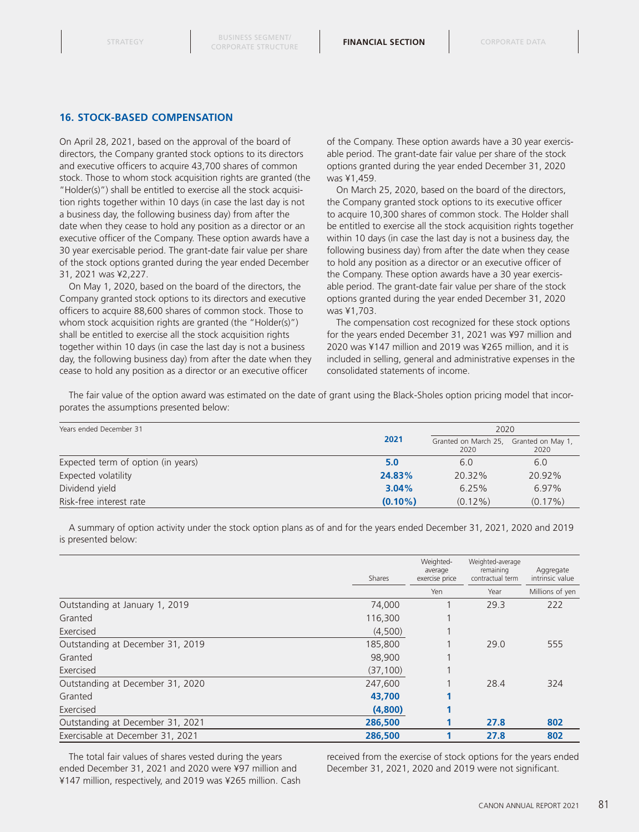# **16. STOCK-BASED COMPENSATION**

On April 28, 2021, based on the approval of the board of directors, the Company granted stock options to its directors and executive officers to acquire 43,700 shares of common stock. Those to whom stock acquisition rights are granted (the "Holder(s)") shall be entitled to exercise all the stock acquisition rights together within 10 days (in case the last day is not a business day, the following business day) from after the date when they cease to hold any position as a director or an executive officer of the Company. These option awards have a 30 year exercisable period. The grant-date fair value per share of the stock options granted during the year ended December 31, 2021 was ¥2,227.

On May 1, 2020, based on the board of the directors, the Company granted stock options to its directors and executive officers to acquire 88,600 shares of common stock. Those to whom stock acquisition rights are granted (the "Holder(s)") shall be entitled to exercise all the stock acquisition rights together within 10 days (in case the last day is not a business day, the following business day) from after the date when they cease to hold any position as a director or an executive officer

of the Company. These option awards have a 30 year exercisable period. The grant-date fair value per share of the stock options granted during the year ended December 31, 2020 was ¥1,459.

On March 25, 2020, based on the board of the directors, the Company granted stock options to its executive officer to acquire 10,300 shares of common stock. The Holder shall be entitled to exercise all the stock acquisition rights together within 10 days (in case the last day is not a business day, the following business day) from after the date when they cease to hold any position as a director or an executive officer of the Company. These option awards have a 30 year exercisable period. The grant-date fair value per share of the stock options granted during the year ended December 31, 2020 was ¥1,703.

The compensation cost recognized for these stock options for the years ended December 31, 2021 was ¥97 million and 2020 was ¥147 million and 2019 was ¥265 million, and it is included in selling, general and administrative expenses in the consolidated statements of income.

The fair value of the option award was estimated on the date of grant using the Black-Sholes option pricing model that incorporates the assumptions presented below:

| Years ended December 31            |            | 2020                                           |            |
|------------------------------------|------------|------------------------------------------------|------------|
|                                    | 2021       | Granted on March 25, Granted on May 1,<br>2020 | 2020       |
| Expected term of option (in years) | 5.0        | 6.0                                            | 6.0        |
| Expected volatility                | 24.83%     | 20.32%                                         | 20.92%     |
| Dividend yield                     | 3.04%      | 6.25%                                          | 6.97%      |
| Risk-free interest rate            | $(0.10\%)$ | $(0.12\%)$                                     | $(0.17\%)$ |

A summary of option activity under the stock option plans as of and for the years ended December 31, 2021, 2020 and 2019 is presented below:

|                                  | <b>Shares</b> | Weighted-<br>average<br>exercise price | Weighted-average<br>remaining<br>contractual term | Aggregate<br>intrinsic value |
|----------------------------------|---------------|----------------------------------------|---------------------------------------------------|------------------------------|
|                                  |               | Yen                                    | Year                                              | Millions of yen              |
| Outstanding at January 1, 2019   | 74,000        |                                        | 29.3                                              | 222                          |
| Granted                          | 116,300       |                                        |                                                   |                              |
| Exercised                        | (4,500)       |                                        |                                                   |                              |
| Outstanding at December 31, 2019 | 185,800       |                                        | 29.0                                              | 555                          |
| Granted                          | 98,900        |                                        |                                                   |                              |
| Exercised                        | (37, 100)     |                                        |                                                   |                              |
| Outstanding at December 31, 2020 | 247,600       |                                        | 28.4                                              | 324                          |
| Granted                          | 43,700        |                                        |                                                   |                              |
| Exercised                        | (4,800)       |                                        |                                                   |                              |
| Outstanding at December 31, 2021 | 286,500       |                                        | 27.8                                              | 802                          |
| Exercisable at December 31, 2021 | 286,500       |                                        | 27.8                                              | 802                          |

The total fair values of shares vested during the years ended December 31, 2021 and 2020 were ¥97 million and ¥147 million, respectively, and 2019 was ¥265 million. Cash received from the exercise of stock options for the years ended December 31, 2021, 2020 and 2019 were not significant.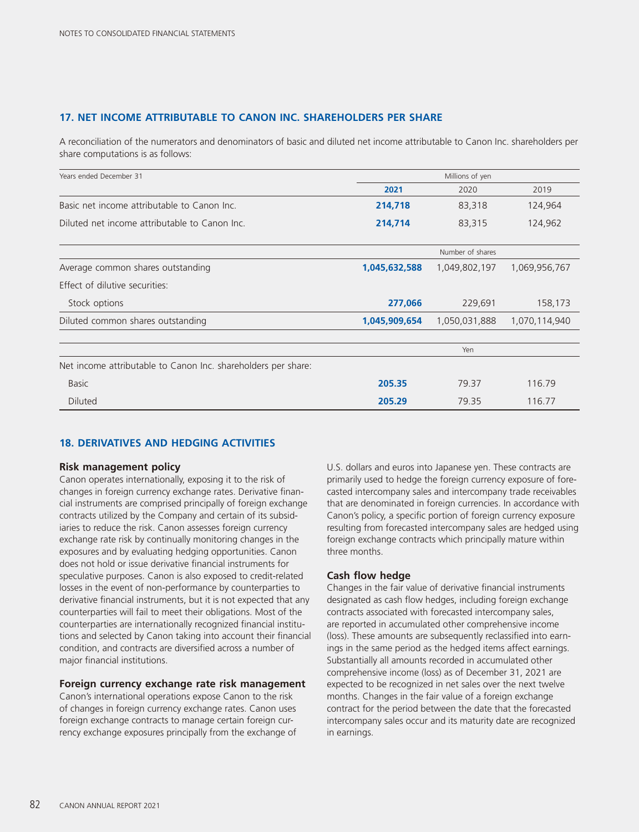# **17. NET INCOME ATTRIBUTABLE TO CANON INC. SHAREHOLDERS PER SHARE**

A reconciliation of the numerators and denominators of basic and diluted net income attributable to Canon Inc. shareholders per share computations is as follows:

| Years ended December 31                                       | Millions of yen                                 |                  |  |  |  |
|---------------------------------------------------------------|-------------------------------------------------|------------------|--|--|--|
|                                                               | 2021<br>2019<br>2020                            |                  |  |  |  |
| Basic net income attributable to Canon Inc.                   | 214,718<br>124,964<br>83,318                    |                  |  |  |  |
| Diluted net income attributable to Canon Inc.                 | 214,714<br>83,315<br>124,962                    |                  |  |  |  |
|                                                               |                                                 | Number of shares |  |  |  |
| Average common shares outstanding                             | 1,045,632,588<br>1,049,802,197<br>1,069,956,767 |                  |  |  |  |
| Effect of dilutive securities:                                |                                                 |                  |  |  |  |
| Stock options                                                 | 277,066<br>229,691<br>158,173                   |                  |  |  |  |
| Diluted common shares outstanding                             | 1,070,114,940<br>1,045,909,654<br>1,050,031,888 |                  |  |  |  |
|                                                               |                                                 |                  |  |  |  |
|                                                               | Yen                                             |                  |  |  |  |
| Net income attributable to Canon Inc. shareholders per share: |                                                 |                  |  |  |  |
| <b>Basic</b>                                                  | 79.37<br>205.35<br>116.79                       |                  |  |  |  |
| <b>Diluted</b>                                                | 205.29<br>79.35<br>116.77                       |                  |  |  |  |

# **18. DERIVATIVES AND HEDGING ACTIVITIES**

# **Risk management policy**

Canon operates internationally, exposing it to the risk of changes in foreign currency exchange rates. Derivative financial instruments are comprised principally of foreign exchange contracts utilized by the Company and certain of its subsidiaries to reduce the risk. Canon assesses foreign currency exchange rate risk by continually monitoring changes in the exposures and by evaluating hedging opportunities. Canon does not hold or issue derivative financial instruments for speculative purposes. Canon is also exposed to credit-related losses in the event of non-performance by counterparties to derivative financial instruments, but it is not expected that any counterparties will fail to meet their obligations. Most of the counterparties are internationally recognized financial institutions and selected by Canon taking into account their financial condition, and contracts are diversified across a number of major financial institutions.

# **Foreign currency exchange rate risk management**

Canon's international operations expose Canon to the risk of changes in foreign currency exchange rates. Canon uses foreign exchange contracts to manage certain foreign currency exchange exposures principally from the exchange of U.S. dollars and euros into Japanese yen. These contracts are primarily used to hedge the foreign currency exposure of forecasted intercompany sales and intercompany trade receivables that are denominated in foreign currencies. In accordance with Canon's policy, a specific portion of foreign currency exposure resulting from forecasted intercompany sales are hedged using foreign exchange contracts which principally mature within three months.

# **Cash flow hedge**

Changes in the fair value of derivative financial instruments designated as cash flow hedges, including foreign exchange contracts associated with forecasted intercompany sales, are reported in accumulated other comprehensive income (loss). These amounts are subsequently reclassified into earnings in the same period as the hedged items affect earnings. Substantially all amounts recorded in accumulated other comprehensive income (loss) as of December 31, 2021 are expected to be recognized in net sales over the next twelve months. Changes in the fair value of a foreign exchange contract for the period between the date that the forecasted intercompany sales occur and its maturity date are recognized in earnings.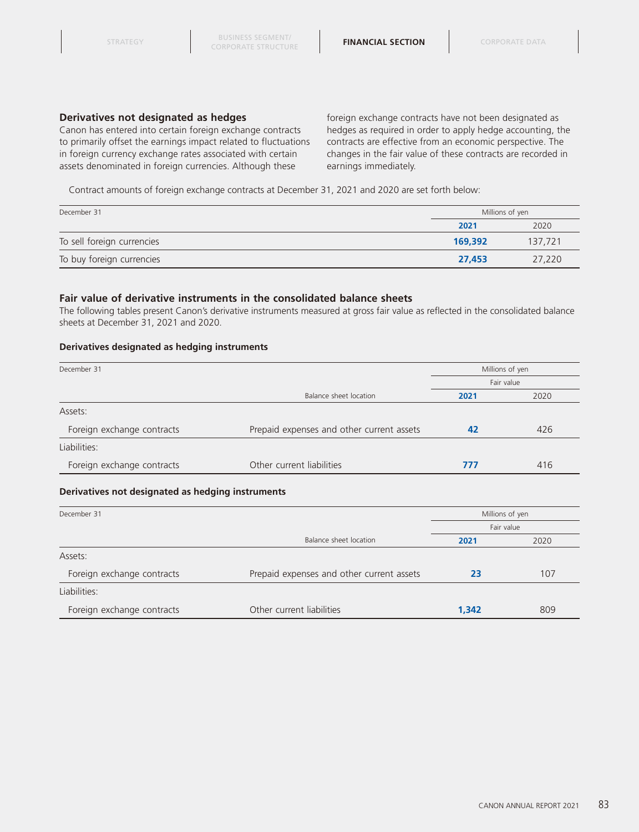# **Derivatives not designated as hedges**

Canon has entered into certain foreign exchange contracts to primarily offset the earnings impact related to fluctuations in foreign currency exchange rates associated with certain assets denominated in foreign currencies. Although these

foreign exchange contracts have not been designated as hedges as required in order to apply hedge accounting, the contracts are effective from an economic perspective. The changes in the fair value of these contracts are recorded in earnings immediately.

Contract amounts of foreign exchange contracts at December 31, 2021 and 2020 are set forth below:

| December 31                | Millions of yen |         |
|----------------------------|-----------------|---------|
|                            | 2021            | 2020    |
| To sell foreign currencies | 169,392         | 137.721 |
| To buy foreign currencies  | 27,453          | 27,220  |

# **Fair value of derivative instruments in the consolidated balance sheets**

The following tables present Canon's derivative instruments measured at gross fair value as reflected in the consolidated balance sheets at December 31, 2021 and 2020.

# **Derivatives designated as hedging instruments**

|                                           | Millions of yen |            |
|-------------------------------------------|-----------------|------------|
|                                           |                 | Fair value |
| Balance sheet location                    | 2021            | 2020       |
|                                           |                 |            |
| Prepaid expenses and other current assets | 42              | 426        |
|                                           |                 |            |
| Other current liabilities                 | 777             | 416        |
|                                           |                 |            |

# **Derivatives not designated as hedging instruments**

| December 31                |                                           | Millions of yen |      |  |
|----------------------------|-------------------------------------------|-----------------|------|--|
|                            |                                           | Fair value      |      |  |
|                            | Balance sheet location                    | 2021            | 2020 |  |
| Assets:                    |                                           |                 |      |  |
| Foreign exchange contracts | Prepaid expenses and other current assets | 23              | 107  |  |
| Liabilities:               |                                           |                 |      |  |
| Foreign exchange contracts | Other current liabilities                 | 1,342           | 809  |  |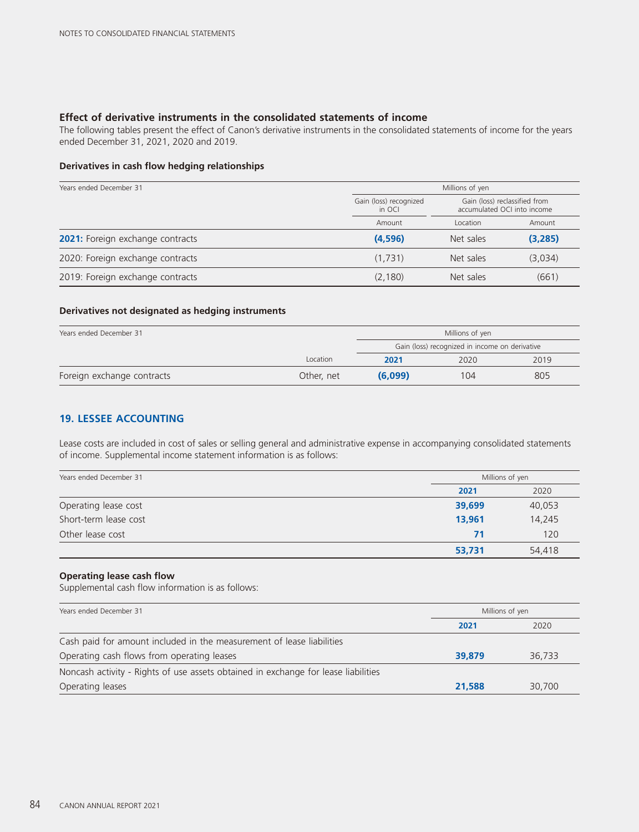# **Effect of derivative instruments in the consolidated statements of income**

The following tables present the effect of Canon's derivative instruments in the consolidated statements of income for the years ended December 31, 2021, 2020 and 2019.

# **Derivatives in cash flow hedging relationships**

| Years ended December 31          | Millions of yen                  |                                                              |         |
|----------------------------------|----------------------------------|--------------------------------------------------------------|---------|
|                                  | Gain (loss) recognized<br>in OCI | Gain (loss) reclassified from<br>accumulated OCI into income |         |
|                                  | Location<br>Amount               |                                                              | Amount  |
| 2021: Foreign exchange contracts | (4,596)                          | Net sales                                                    | (3,285) |
| 2020: Foreign exchange contracts | (1.731)                          | Net sales                                                    | (3,034) |
| 2019: Foreign exchange contracts | (2, 180)                         | Net sales                                                    | (661)   |

# **Derivatives not designated as hedging instruments**

| Years ended December 31    |            | Millions of yen                                |      |      |
|----------------------------|------------|------------------------------------------------|------|------|
|                            |            | Gain (loss) recognized in income on derivative |      |      |
|                            | Location   | 2021                                           | 2020 | 2019 |
| Foreign exchange contracts | Other, net | (6.099)                                        | 104  | 805  |

# **19. LESSEE ACCOUNTING**

Lease costs are included in cost of sales or selling general and administrative expense in accompanying consolidated statements of income. Supplemental income statement information is as follows:

| Years ended December 31 |        | Millions of yen |  |
|-------------------------|--------|-----------------|--|
|                         | 2021   | 2020            |  |
| Operating lease cost    | 39,699 | 40,053          |  |
| Short-term lease cost   | 13,961 | 14,245          |  |
| Other lease cost        | 71     | 120             |  |
|                         | 53,731 | 54,418          |  |

# **Operating lease cash flow**

Supplemental cash flow information is as follows:

| Years ended December 31                                                            | Millions of yen |        |
|------------------------------------------------------------------------------------|-----------------|--------|
|                                                                                    | 2021            | 2020   |
| Cash paid for amount included in the measurement of lease liabilities              |                 |        |
| Operating cash flows from operating leases                                         | 39,879          | 36,733 |
| Noncash activity - Rights of use assets obtained in exchange for lease liabilities |                 |        |
| Operating leases                                                                   | 21,588          | 30,700 |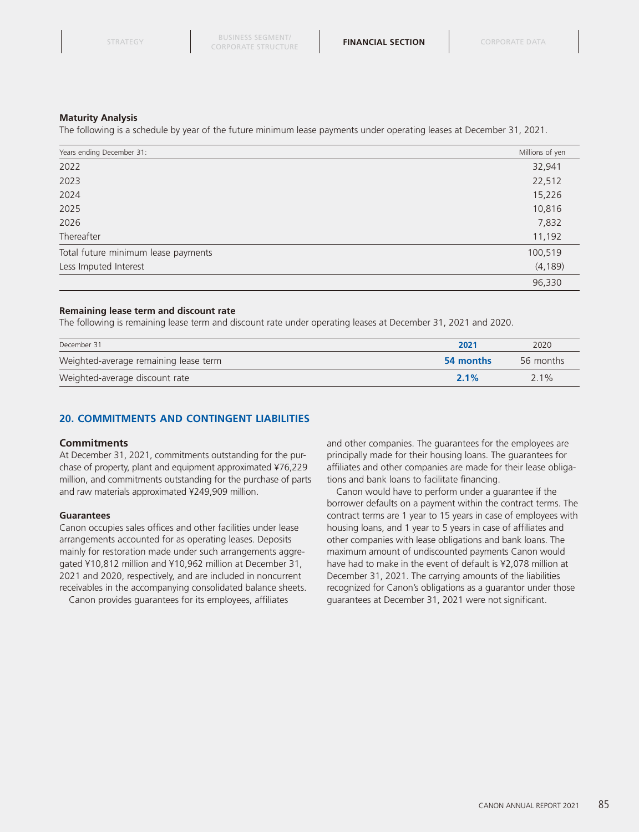#### **Maturity Analysis**

The following is a schedule by year of the future minimum lease payments under operating leases at December 31, 2021.

| Years ending December 31:           | Millions of yen |
|-------------------------------------|-----------------|
| 2022                                | 32,941          |
| 2023                                | 22,512          |
| 2024                                | 15,226          |
| 2025                                | 10,816          |
| 2026                                | 7,832           |
| Thereafter                          | 11,192          |
| Total future minimum lease payments | 100,519         |
| Less Imputed Interest               | (4, 189)        |
|                                     | 96,330          |

#### **Remaining lease term and discount rate**

The following is remaining lease term and discount rate under operating leases at December 31, 2021 and 2020.

| December 31                           | 2021      | 2020      |
|---------------------------------------|-----------|-----------|
| Weighted-average remaining lease term | 54 months | 56 months |
| Weighted-average discount rate        | $2.1\%$   | $2.1\%$   |

# **20. COMMITMENTS AND CONTINGENT LIABILITIES**

#### **Commitments**

At December 31, 2021, commitments outstanding for the purchase of property, plant and equipment approximated ¥76,229 million, and commitments outstanding for the purchase of parts and raw materials approximated ¥249,909 million.

#### **Guarantees**

Canon occupies sales offices and other facilities under lease arrangements accounted for as operating leases. Deposits mainly for restoration made under such arrangements aggregated ¥10,812 million and ¥10,962 million at December 31, 2021 and 2020, respectively, and are included in noncurrent receivables in the accompanying consolidated balance sheets.

Canon provides guarantees for its employees, affiliates

and other companies. The guarantees for the employees are principally made for their housing loans. The guarantees for affiliates and other companies are made for their lease obligations and bank loans to facilitate financing.

Canon would have to perform under a guarantee if the borrower defaults on a payment within the contract terms. The contract terms are 1 year to 15 years in case of employees with housing loans, and 1 year to 5 years in case of affiliates and other companies with lease obligations and bank loans. The maximum amount of undiscounted payments Canon would have had to make in the event of default is ¥2,078 million at December 31, 2021. The carrying amounts of the liabilities recognized for Canon's obligations as a guarantor under those guarantees at December 31, 2021 were not significant.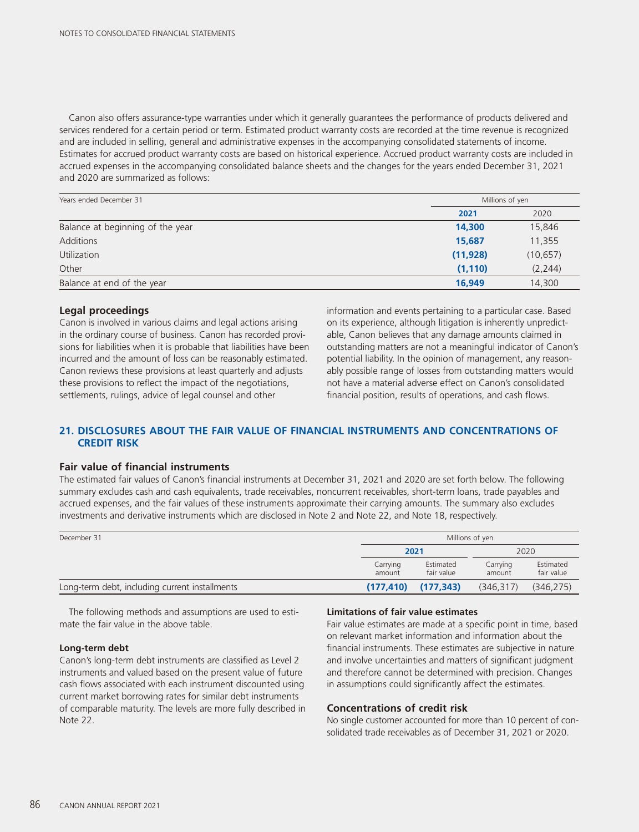Canon also offers assurance-type warranties under which it generally guarantees the performance of products delivered and services rendered for a certain period or term. Estimated product warranty costs are recorded at the time revenue is recognized and are included in selling, general and administrative expenses in the accompanying consolidated statements of income. Estimates for accrued product warranty costs are based on historical experience. Accrued product warranty costs are included in accrued expenses in the accompanying consolidated balance sheets and the changes for the years ended December 31, 2021 and 2020 are summarized as follows:

| Years ended December 31          |           | Millions of yen |  |
|----------------------------------|-----------|-----------------|--|
|                                  | 2021      | 2020            |  |
| Balance at beginning of the year | 14,300    | 15,846          |  |
| Additions                        | 15,687    | 11,355          |  |
| Utilization                      | (11, 928) | (10, 657)       |  |
| Other                            | (1, 110)  | (2, 244)        |  |
| Balance at end of the year       | 16,949    | 14,300          |  |

# **Legal proceedings**

Canon is involved in various claims and legal actions arising in the ordinary course of business. Canon has recorded provisions for liabilities when it is probable that liabilities have been incurred and the amount of loss can be reasonably estimated. Canon reviews these provisions at least quarterly and adjusts these provisions to reflect the impact of the negotiations, settlements, rulings, advice of legal counsel and other

information and events pertaining to a particular case. Based on its experience, although litigation is inherently unpredictable, Canon believes that any damage amounts claimed in outstanding matters are not a meaningful indicator of Canon's potential liability. In the opinion of management, any reasonably possible range of losses from outstanding matters would not have a material adverse effect on Canon's consolidated financial position, results of operations, and cash flows.

# **21. DISCLOSURES ABOUT THE FAIR VALUE OF FINANCIAL INSTRUMENTS AND CONCENTRATIONS OF CREDIT RISK**

# **Fair value of financial instruments**

The estimated fair values of Canon's financial instruments at December 31, 2021 and 2020 are set forth below. The following summary excludes cash and cash equivalents, trade receivables, noncurrent receivables, short-term loans, trade payables and accrued expenses, and the fair values of these instruments approximate their carrying amounts. The summary also excludes investments and derivative instruments which are disclosed in Note 2 and Note 22, and Note 18, respectively.

| December 31                                    |                    | Millions of yen         |                    |                         |  |
|------------------------------------------------|--------------------|-------------------------|--------------------|-------------------------|--|
|                                                | 2021               |                         | 2020               |                         |  |
|                                                | Carrying<br>amount | Estimated<br>fair value | Carrying<br>amount | Estimated<br>fair value |  |
| Long-term debt, including current installments | (177.410)          | (177, 343)              | (346.317)          | (346.275)               |  |

The following methods and assumptions are used to estimate the fair value in the above table.

# **Long-term debt**

Canon's long-term debt instruments are classified as Level 2 instruments and valued based on the present value of future cash flows associated with each instrument discounted using current market borrowing rates for similar debt instruments of comparable maturity. The levels are more fully described in Note 22.

#### **Limitations of fair value estimates**

Fair value estimates are made at a specific point in time, based on relevant market information and information about the financial instruments. These estimates are subjective in nature and involve uncertainties and matters of significant judgment and therefore cannot be determined with precision. Changes in assumptions could significantly affect the estimates.

# **Concentrations of credit risk**

No single customer accounted for more than 10 percent of consolidated trade receivables as of December 31, 2021 or 2020.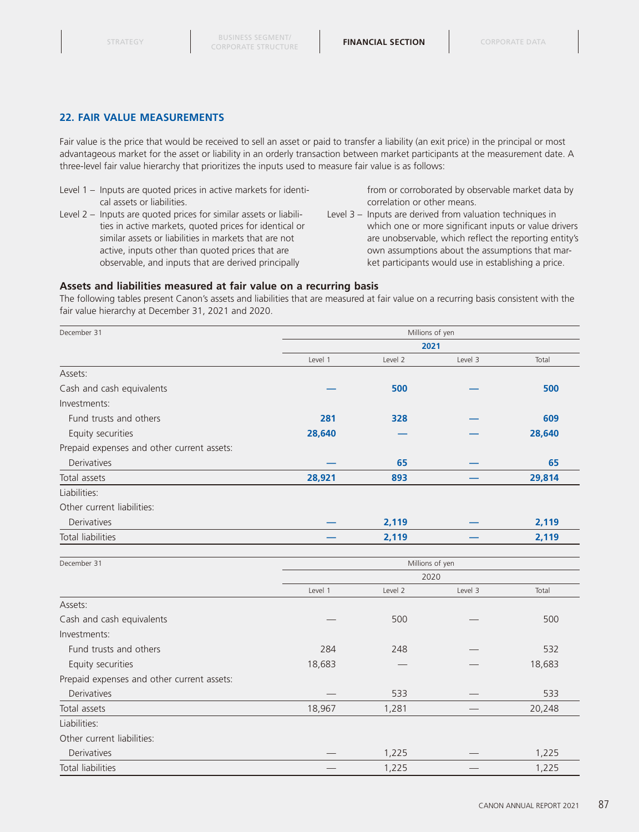# **22. FAIR VALUE MEASUREMENTS**

Fair value is the price that would be received to sell an asset or paid to transfer a liability (an exit price) in the principal or most advantageous market for the asset or liability in an orderly transaction between market participants at the measurement date. A three-level fair value hierarchy that prioritizes the inputs used to measure fair value is as follows:

- Level 1 Inputs are quoted prices in active markets for identical assets or liabilities.
- Level 2 Inputs are quoted prices for similar assets or liabilities in active markets, quoted prices for identical or similar assets or liabilities in markets that are not active, inputs other than quoted prices that are observable, and inputs that are derived principally

from or corroborated by observable market data by correlation or other means.

Level 3 – Inputs are derived from valuation techniques in which one or more significant inputs or value drivers are unobservable, which reflect the reporting entity's own assumptions about the assumptions that market participants would use in establishing a price.

#### **Assets and liabilities measured at fair value on a recurring basis**

The following tables present Canon's assets and liabilities that are measured at fair value on a recurring basis consistent with the fair value hierarchy at December 31, 2021 and 2020.

| December 31                                | Millions of yen<br>2021 |                 |         |        |  |  |
|--------------------------------------------|-------------------------|-----------------|---------|--------|--|--|
|                                            |                         |                 |         |        |  |  |
|                                            | Level 1                 | Level 2         | Level 3 | Total  |  |  |
| Assets:                                    |                         |                 |         |        |  |  |
| Cash and cash equivalents                  |                         | 500             |         | 500    |  |  |
| Investments:                               |                         |                 |         |        |  |  |
| Fund trusts and others                     | 281                     | 328             |         | 609    |  |  |
| Equity securities                          | 28,640                  |                 |         | 28,640 |  |  |
| Prepaid expenses and other current assets: |                         |                 |         |        |  |  |
| Derivatives                                |                         | 65              |         | 65     |  |  |
| Total assets                               | 28,921                  | 893             |         | 29,814 |  |  |
| Liabilities:                               |                         |                 |         |        |  |  |
| Other current liabilities:                 |                         |                 |         |        |  |  |
| Derivatives                                |                         | 2,119           |         | 2,119  |  |  |
| <b>Total liabilities</b>                   |                         | 2,119           |         | 2,119  |  |  |
| December 31                                |                         | Millions of yen |         |        |  |  |
|                                            |                         |                 | 2020    |        |  |  |
|                                            | Level 1                 | Level 2         | Level 3 | Total  |  |  |
| Assets:                                    |                         |                 |         |        |  |  |
| Cash and cash equivalents                  |                         | 500             |         | 500    |  |  |
| Investments:                               |                         |                 |         |        |  |  |
| Fund trusts and others                     | 284                     | 248             |         | 532    |  |  |
| Equity securities                          | 18,683                  |                 |         | 18,683 |  |  |
| Prepaid expenses and other current assets: |                         |                 |         |        |  |  |
| Derivatives                                |                         | 533             |         | 533    |  |  |
| Total assets                               | 18,967                  | 1,281           |         | 20,248 |  |  |
| Liabilities:                               |                         |                 |         |        |  |  |
| Other current liabilities:                 |                         |                 |         |        |  |  |
| Derivatives                                |                         | 1,225           |         | 1,225  |  |  |
| <b>Total liabilities</b>                   |                         | 1,225           |         | 1,225  |  |  |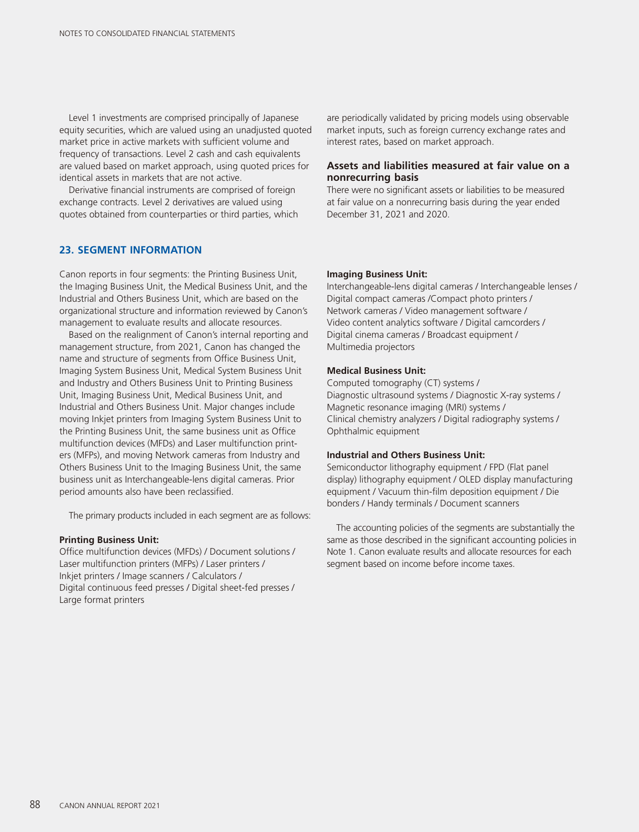Level 1 investments are comprised principally of Japanese equity securities, which are valued using an unadjusted quoted market price in active markets with sufficient volume and frequency of transactions. Level 2 cash and cash equivalents are valued based on market approach, using quoted prices for identical assets in markets that are not active.

Derivative financial instruments are comprised of foreign exchange contracts. Level 2 derivatives are valued using quotes obtained from counterparties or third parties, which

# **23. SEGMENT INFORMATION**

Canon reports in four segments: the Printing Business Unit, the Imaging Business Unit, the Medical Business Unit, and the Industrial and Others Business Unit, which are based on the organizational structure and information reviewed by Canon's management to evaluate results and allocate resources.

Based on the realignment of Canon's internal reporting and management structure, from 2021, Canon has changed the name and structure of segments from Office Business Unit, Imaging System Business Unit, Medical System Business Unit and Industry and Others Business Unit to Printing Business Unit, Imaging Business Unit, Medical Business Unit, and Industrial and Others Business Unit. Major changes include moving Inkjet printers from Imaging System Business Unit to the Printing Business Unit, the same business unit as Office multifunction devices (MFDs) and Laser multifunction printers (MFPs), and moving Network cameras from Industry and Others Business Unit to the Imaging Business Unit, the same business unit as Interchangeable-lens digital cameras. Prior period amounts also have been reclassified.

The primary products included in each segment are as follows:

#### **Printing Business Unit:**

Office multifunction devices (MFDs) / Document solutions / Laser multifunction printers (MFPs) / Laser printers / Inkjet printers / Image scanners / Calculators / Digital continuous feed presses / Digital sheet-fed presses / Large format printers

are periodically validated by pricing models using observable market inputs, such as foreign currency exchange rates and interest rates, based on market approach.

# **Assets and liabilities measured at fair value on a nonrecurring basis**

There were no significant assets or liabilities to be measured at fair value on a nonrecurring basis during the year ended December 31, 2021 and 2020.

#### **Imaging Business Unit:**

Interchangeable-lens digital cameras / Interchangeable lenses / Digital compact cameras /Compact photo printers / Network cameras / Video management software / Video content analytics software / Digital camcorders / Digital cinema cameras / Broadcast equipment / Multimedia projectors

#### **Medical Business Unit:**

Computed tomography (CT) systems / Diagnostic ultrasound systems / Diagnostic X-ray systems / Magnetic resonance imaging (MRI) systems / Clinical chemistry analyzers / Digital radiography systems / Ophthalmic equipment

## **Industrial and Others Business Unit:**

Semiconductor lithography equipment / FPD (Flat panel display) lithography equipment / OLED display manufacturing equipment / Vacuum thin-film deposition equipment / Die bonders / Handy terminals / Document scanners

The accounting policies of the segments are substantially the same as those described in the significant accounting policies in Note 1. Canon evaluate results and allocate resources for each segment based on income before income taxes.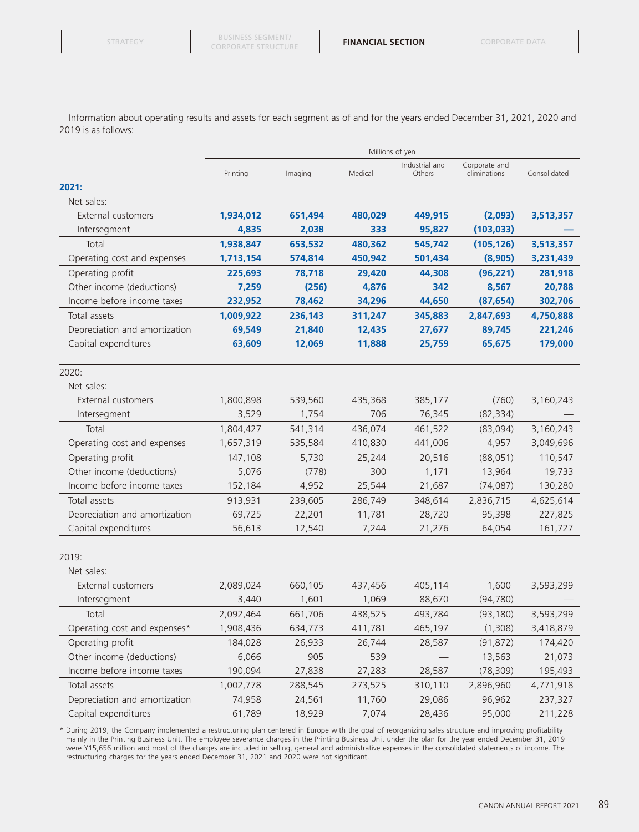| Information about operating results and assets for each segment as of and for the years ended December 31, 2021, 2020 and |  |
|---------------------------------------------------------------------------------------------------------------------------|--|
| 2019 is as follows:                                                                                                       |  |

|                               | Millions of yen |         |         |                |               |              |
|-------------------------------|-----------------|---------|---------|----------------|---------------|--------------|
|                               |                 |         |         | Industrial and | Corporate and |              |
|                               | Printing        | Imaging | Medical | Others         | eliminations  | Consolidated |
| 2021:                         |                 |         |         |                |               |              |
| Net sales:                    |                 |         |         |                |               |              |
| External customers            | 1,934,012       | 651,494 | 480,029 | 449,915        | (2,093)       | 3,513,357    |
| Intersegment                  | 4,835           | 2,038   | 333     | 95,827         | (103, 033)    |              |
| Total                         | 1,938,847       | 653,532 | 480,362 | 545,742        | (105, 126)    | 3,513,357    |
| Operating cost and expenses   | 1,713,154       | 574,814 | 450,942 | 501,434        | (8,905)       | 3,231,439    |
| Operating profit              | 225,693         | 78,718  | 29,420  | 44,308         | (96, 221)     | 281,918      |
| Other income (deductions)     | 7,259           | (256)   | 4,876   | 342            | 8,567         | 20,788       |
| Income before income taxes    | 232,952         | 78,462  | 34,296  | 44,650         | (87, 654)     | 302,706      |
| Total assets                  | 1,009,922       | 236,143 | 311,247 | 345,883        | 2,847,693     | 4,750,888    |
| Depreciation and amortization | 69,549          | 21,840  | 12,435  | 27,677         | 89,745        | 221,246      |
| Capital expenditures          | 63,609          | 12,069  | 11,888  | 25,759         | 65,675        | 179,000      |
|                               |                 |         |         |                |               |              |
| 2020:                         |                 |         |         |                |               |              |
| Net sales:                    |                 |         |         |                |               |              |
| External customers            | 1,800,898       | 539,560 | 435,368 | 385,177        | (760)         | 3,160,243    |
| Intersegment                  | 3,529           | 1,754   | 706     | 76,345         | (82, 334)     |              |
| Total                         | 1,804,427       | 541,314 | 436,074 | 461,522        | (83,094)      | 3,160,243    |
| Operating cost and expenses   | 1,657,319       | 535,584 | 410,830 | 441,006        | 4,957         | 3,049,696    |
| Operating profit              | 147,108         | 5,730   | 25,244  | 20,516         | (88,051)      | 110,547      |
| Other income (deductions)     | 5,076           | (778)   | 300     | 1,171          | 13,964        | 19,733       |
| Income before income taxes    | 152,184         | 4,952   | 25,544  | 21,687         | (74, 087)     | 130,280      |
| Total assets                  | 913,931         | 239,605 | 286,749 | 348,614        | 2,836,715     | 4,625,614    |
| Depreciation and amortization | 69,725          | 22,201  | 11,781  | 28,720         | 95,398        | 227,825      |
| Capital expenditures          | 56,613          | 12,540  | 7,244   | 21,276         | 64,054        | 161,727      |
|                               |                 |         |         |                |               |              |
| 2019:                         |                 |         |         |                |               |              |
| Net sales:                    |                 |         |         |                |               |              |
| External customers            | 2,089,024       | 660,105 | 437,456 | 405,114        | 1,600         | 3,593,299    |
| Intersegment                  | 3,440           | 1,601   | 1,069   | 88,670         | (94, 780)     |              |
| Total                         | 2,092,464       | 661,706 | 438,525 | 493,784        | (93, 180)     | 3,593,299    |
| Operating cost and expenses*  | 1,908,436       | 634,773 | 411,781 | 465,197        | (1,308)       | 3,418,879    |
| Operating profit              | 184,028         | 26,933  | 26,744  | 28,587         | (91, 872)     | 174,420      |
| Other income (deductions)     | 6,066           | 905     | 539     |                | 13,563        | 21,073       |
| Income before income taxes    | 190,094         | 27,838  | 27,283  | 28,587         | (78, 309)     | 195,493      |
| Total assets                  | 1,002,778       | 288,545 | 273,525 | 310,110        | 2,896,960     | 4,771,918    |
| Depreciation and amortization | 74,958          | 24,561  | 11,760  | 29,086         | 96,962        | 237,327      |
| Capital expenditures          | 61,789          | 18,929  | 7,074   | 28,436         | 95,000        | 211,228      |
|                               |                 |         |         |                |               |              |

\* During 2019, the Company implemented a restructuring plan centered in Europe with the goal of reorganizing sales structure and improving profitability mainly in the Printing Business Unit. The employee severance charges in the Printing Business Unit under the plan for the year ended December 31, 2019 were ¥15,656 million and most of the charges are included in selling, general and administrative expenses in the consolidated statements of income. The restructuring charges for the years ended December 31, 2021 and 2020 were not significant.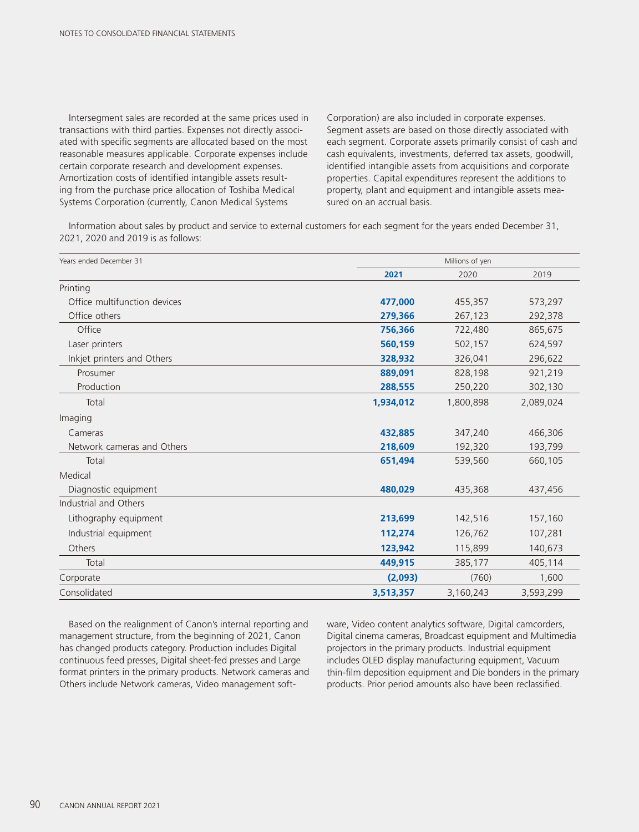Intersegment sales are recorded at the same prices used in transactions with third parties. Expenses not directly associated with specific segments are allocated based on the most reasonable measures applicable. Corporate expenses include certain corporate research and development expenses. Amortization costs of identified intangible assets resulting from the purchase price allocation of Toshiba Medical Systems Corporation (currently, Canon Medical Systems

Corporation) are also included in corporate expenses. Segment assets are based on those directly associated with each segment. Corporate assets primarily consist of cash and cash equivalents, investments, deferred tax assets, goodwill, identified intangible assets from acquisitions and corporate properties. Capital expenditures represent the additions to property, plant and equipment and intangible assets measured on an accrual basis.

Information about sales by product and service to external customers for each segment for the years ended December 31, 2021, 2020 and 2019 is as follows:

| Years ended December 31      |           | Millions of yen |           |
|------------------------------|-----------|-----------------|-----------|
|                              | 2021      | 2020            | 2019      |
| Printing                     |           |                 |           |
| Office multifunction devices | 477,000   | 455,357         | 573,297   |
| Office others                | 279,366   | 267,123         | 292,378   |
| Office                       | 756,366   | 722,480         | 865,675   |
| Laser printers               | 560,159   | 502,157         | 624,597   |
| Inkjet printers and Others   | 328,932   | 326,041         | 296,622   |
| Prosumer                     | 889.091   | 828,198         | 921,219   |
| Production                   | 288,555   | 250,220         | 302,130   |
| Total                        | 1,934,012 | 1,800,898       | 2,089,024 |
| Imaging                      |           |                 |           |
| Cameras                      | 432,885   | 347,240         | 466,306   |
| Network cameras and Others   | 218,609   | 192,320         | 193,799   |
| Total                        | 651,494   | 539,560         | 660,105   |
| Medical                      |           |                 |           |
| Diagnostic equipment         | 480,029   | 435,368         | 437,456   |
| Industrial and Others        |           |                 |           |
| Lithography equipment        | 213,699   | 142,516         | 157,160   |
| Industrial equipment         | 112,274   | 126,762         | 107,281   |
| Others                       | 123,942   | 115,899         | 140,673   |
| Total                        | 449,915   | 385,177         | 405,114   |
| Corporate                    | (2,093)   | (760)           | 1,600     |
| Consolidated                 | 3,513,357 | 3,160,243       | 3,593,299 |

Based on the realignment of Canon's internal reporting and management structure, from the beginning of 2021, Canon has changed products category. Production includes Digital continuous feed presses, Digital sheet-fed presses and Large format printers in the primary products. Network cameras and Others include Network cameras, Video management software, Video content analytics software, Digital camcorders, Digital cinema cameras, Broadcast equipment and Multimedia projectors in the primary products. Industrial equipment includes OLED display manufacturing equipment, Vacuum thin-film deposition equipment and Die bonders in the primary products. Prior period amounts also have been reclassified.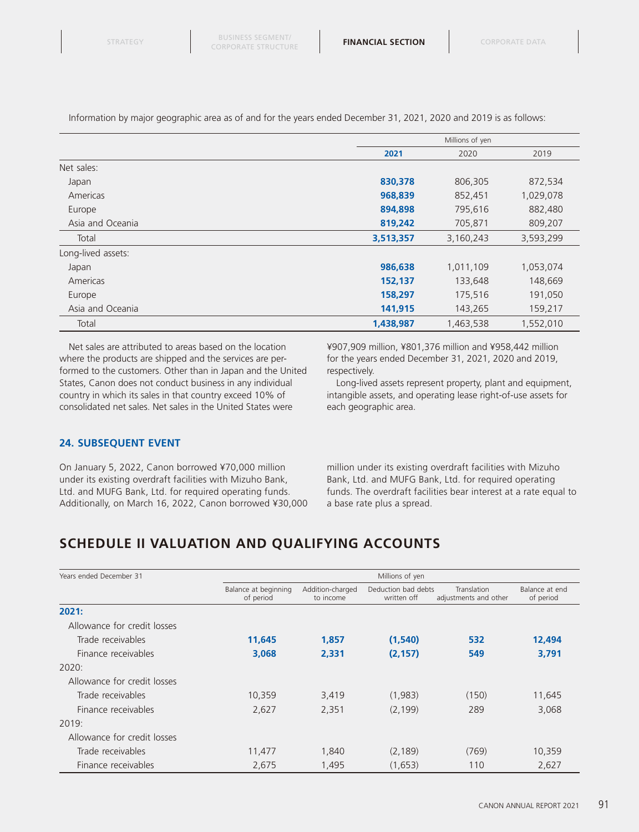|                    |           | Millions of yen |           |
|--------------------|-----------|-----------------|-----------|
|                    | 2021      | 2020            | 2019      |
| Net sales:         |           |                 |           |
| Japan              | 830,378   | 806,305         | 872,534   |
| Americas           | 968,839   | 852,451         | 1,029,078 |
| Europe             | 894,898   | 795,616         | 882,480   |
| Asia and Oceania   | 819,242   | 705,871         | 809,207   |
| Total              | 3,513,357 | 3,160,243       | 3,593,299 |
| Long-lived assets: |           |                 |           |
| Japan              | 986,638   | 1,011,109       | 1,053,074 |
| Americas           | 152,137   | 133,648         | 148,669   |
| Europe             | 158,297   | 175,516         | 191,050   |
| Asia and Oceania   | 141,915   | 143,265         | 159,217   |
| Total              | 1,438,987 | 1,463,538       | 1,552,010 |

Information by major geographic area as of and for the years ended December 31, 2021, 2020 and 2019 is as follows:

Net sales are attributed to areas based on the location where the products are shipped and the services are performed to the customers. Other than in Japan and the United States, Canon does not conduct business in any individual country in which its sales in that country exceed 10% of consolidated net sales. Net sales in the United States were

¥907,909 million, ¥801,376 million and ¥958,442 million for the years ended December 31, 2021, 2020 and 2019, respectively.

Long-lived assets represent property, plant and equipment, intangible assets, and operating lease right-of-use assets for each geographic area.

# **24. SUBSEQUENT EVENT**

On January 5, 2022, Canon borrowed ¥70,000 million under its existing overdraft facilities with Mizuho Bank, Ltd. and MUFG Bank, Ltd. for required operating funds. Additionally, on March 16, 2022, Canon borrowed ¥30,000 million under its existing overdraft facilities with Mizuho Bank, Ltd. and MUFG Bank, Ltd. for required operating funds. The overdraft facilities bear interest at a rate equal to a base rate plus a spread.

# **SCHEDULE II VALUATION AND QUALIFYING ACCOUNTS**

| Years ended December 31     | Millions of yen                   |                               |                                    |                                      |                             |  |
|-----------------------------|-----------------------------------|-------------------------------|------------------------------------|--------------------------------------|-----------------------------|--|
|                             | Balance at beginning<br>of period | Addition-charged<br>to income | Deduction bad debts<br>written off | Translation<br>adjustments and other | Balance at end<br>of period |  |
| 2021:                       |                                   |                               |                                    |                                      |                             |  |
| Allowance for credit losses |                                   |                               |                                    |                                      |                             |  |
| Trade receivables           | 11,645                            | 1.857                         | (1,540)                            | 532                                  | 12,494                      |  |
| Finance receivables         | 3,068                             | 2,331                         | (2, 157)                           | 549                                  | 3,791                       |  |
| 2020:                       |                                   |                               |                                    |                                      |                             |  |
| Allowance for credit losses |                                   |                               |                                    |                                      |                             |  |
| Trade receivables           | 10,359                            | 3,419                         | (1,983)                            | (150)                                | 11,645                      |  |
| Finance receivables         | 2,627                             | 2,351                         | (2, 199)                           | 289                                  | 3,068                       |  |
| 2019:                       |                                   |                               |                                    |                                      |                             |  |
| Allowance for credit losses |                                   |                               |                                    |                                      |                             |  |
| Trade receivables           | 11,477                            | 1.840                         | (2, 189)                           | (769)                                | 10,359                      |  |
| Finance receivables         | 2,675                             | 1,495                         | (1,653)                            | 110                                  | 2,627                       |  |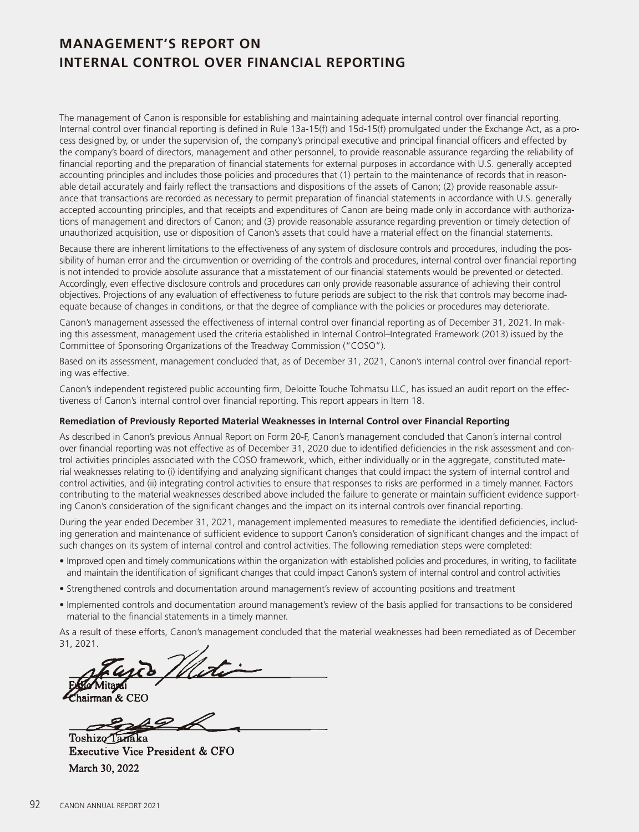# **MANAGEMENT'S REPORT ON INTERNAL CONTROL OVER FINANCIAL REPORTING**

The management of Canon is responsible for establishing and maintaining adequate internal control over financial reporting. Internal control over financial reporting is defined in Rule 13a-15(f) and 15d-15(f) promulgated under the Exchange Act, as a process designed by, or under the supervision of, the company's principal executive and principal financial officers and effected by the company's board of directors, management and other personnel, to provide reasonable assurance regarding the reliability of financial reporting and the preparation of financial statements for external purposes in accordance with U.S. generally accepted accounting principles and includes those policies and procedures that (1) pertain to the maintenance of records that in reasonable detail accurately and fairly reflect the transactions and dispositions of the assets of Canon; (2) provide reasonable assurance that transactions are recorded as necessary to permit preparation of financial statements in accordance with U.S. generally accepted accounting principles, and that receipts and expenditures of Canon are being made only in accordance with authorizations of management and directors of Canon; and (3) provide reasonable assurance regarding prevention or timely detection of unauthorized acquisition, use or disposition of Canon's assets that could have a material effect on the financial statements.

Because there are inherent limitations to the effectiveness of any system of disclosure controls and procedures, including the possibility of human error and the circumvention or overriding of the controls and procedures, internal control over financial reporting is not intended to provide absolute assurance that a misstatement of our financial statements would be prevented or detected. Accordingly, even effective disclosure controls and procedures can only provide reasonable assurance of achieving their control objectives. Projections of any evaluation of effectiveness to future periods are subject to the risk that controls may become inadequate because of changes in conditions, or that the degree of compliance with the policies or procedures may deteriorate.

Canon's management assessed the effectiveness of internal control over financial reporting as of December 31, 2021. In making this assessment, management used the criteria established in Internal Control–Integrated Framework (2013) issued by the Committee of Sponsoring Organizations of the Treadway Commission ("COSO").

Based on its assessment, management concluded that, as of December 31, 2021, Canon's internal control over financial reporting was effective.

Canon's independent registered public accounting firm, Deloitte Touche Tohmatsu LLC, has issued an audit report on the effectiveness of Canon's internal control over financial reporting. This report appears in Item 18.

# **Remediation of Previously Reported Material Weaknesses in Internal Control over Financial Reporting**

As described in Canon's previous Annual Report on Form 20-F, Canon's management concluded that Canon's internal control over financial reporting was not effective as of December 31, 2020 due to identified deficiencies in the risk assessment and control activities principles associated with the COSO framework, which, either individually or in the aggregate, constituted material weaknesses relating to (i) identifying and analyzing significant changes that could impact the system of internal control and control activities, and (ii) integrating control activities to ensure that responses to risks are performed in a timely manner. Factors contributing to the material weaknesses described above included the failure to generate or maintain sufficient evidence supporting Canon's consideration of the significant changes and the impact on its internal controls over financial reporting.

During the year ended December 31, 2021, management implemented measures to remediate the identified deficiencies, including generation and maintenance of sufficient evidence to support Canon's consideration of significant changes and the impact of such changes on its system of internal control and control activities. The following remediation steps were completed:

- Improved open and timely communications within the organization with established policies and procedures, in writing, to facilitate and maintain the identification of significant changes that could impact Canon's system of internal control and control activities
- Strengthened controls and documentation around management's review of accounting positions and treatment
- Implemented controls and documentation around management's review of the basis applied for transactions to be considered material to the financial statements in a timely manner.

As a result of these efforts, Canon's management concluded that the material weaknesses had been remediated as of December 31, 2021.

Mitardi

 $\gamma$ hairman $\alpha$  CEO

Toshizo Tanaka **Executive Vice President & CFO** March 30, 2022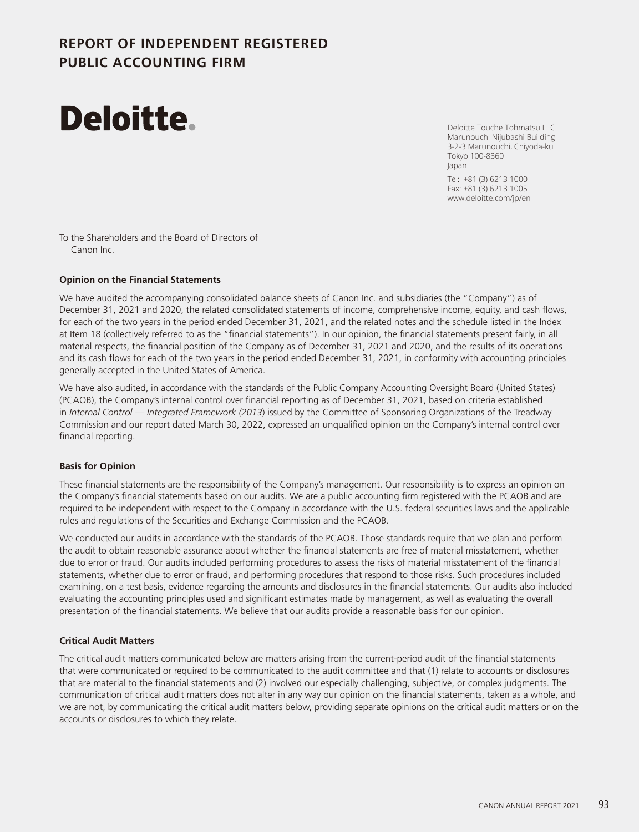# **REPORT OF INDEPENDENT REGISTERED PUBLIC ACCOUNTING FIRM**

# Deloitte.

Deloitte Touche Tohmatsu LLC Marunouchi Nijubashi Building 3-2-3 Marunouchi, Chiyoda-ku Tokyo 100-8360 Japan

Tel: +81 (3) 6213 1000 Fax: +81 (3) 6213 1005 www.deloitte.com/jp/en

To the Shareholders and the Board of Directors of Canon Inc.

# **Opinion on the Financial Statements**

We have audited the accompanying consolidated balance sheets of Canon Inc. and subsidiaries (the "Company") as of December 31, 2021 and 2020, the related consolidated statements of income, comprehensive income, equity, and cash flows, for each of the two years in the period ended December 31, 2021, and the related notes and the schedule listed in the Index at Item 18 (collectively referred to as the "financial statements"). In our opinion, the financial statements present fairly, in all material respects, the financial position of the Company as of December 31, 2021 and 2020, and the results of its operations and its cash flows for each of the two years in the period ended December 31, 2021, in conformity with accounting principles generally accepted in the United States of America.

We have also audited, in accordance with the standards of the Public Company Accounting Oversight Board (United States) (PCAOB), the Company's internal control over financial reporting as of December 31, 2021, based on criteria established in *Internal Control — Integrated Framework (2013*) issued by the Committee of Sponsoring Organizations of the Treadway Commission and our report dated March 30, 2022, expressed an unqualified opinion on the Company's internal control over financial reporting.

# **Basis for Opinion**

These financial statements are the responsibility of the Company's management. Our responsibility is to express an opinion on the Company's financial statements based on our audits. We are a public accounting firm registered with the PCAOB and are required to be independent with respect to the Company in accordance with the U.S. federal securities laws and the applicable rules and regulations of the Securities and Exchange Commission and the PCAOB.

We conducted our audits in accordance with the standards of the PCAOB. Those standards require that we plan and perform the audit to obtain reasonable assurance about whether the financial statements are free of material misstatement, whether due to error or fraud. Our audits included performing procedures to assess the risks of material misstatement of the financial statements, whether due to error or fraud, and performing procedures that respond to those risks. Such procedures included examining, on a test basis, evidence regarding the amounts and disclosures in the financial statements. Our audits also included evaluating the accounting principles used and significant estimates made by management, as well as evaluating the overall presentation of the financial statements. We believe that our audits provide a reasonable basis for our opinion.

# **Critical Audit Matters**

The critical audit matters communicated below are matters arising from the current-period audit of the financial statements that were communicated or required to be communicated to the audit committee and that (1) relate to accounts or disclosures that are material to the financial statements and (2) involved our especially challenging, subjective, or complex judgments. The communication of critical audit matters does not alter in any way our opinion on the financial statements, taken as a whole, and we are not, by communicating the critical audit matters below, providing separate opinions on the critical audit matters or on the accounts or disclosures to which they relate.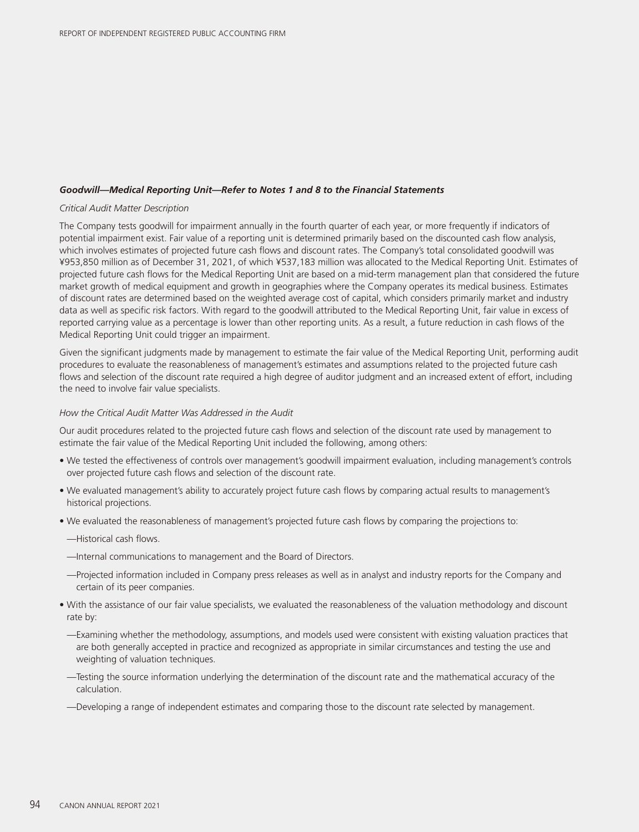#### *Goodwill—Medical Reporting Unit—Refer to Notes 1 and 8 to the Financial Statements*

#### *Critical Audit Matter Description*

The Company tests goodwill for impairment annually in the fourth quarter of each year, or more frequently if indicators of potential impairment exist. Fair value of a reporting unit is determined primarily based on the discounted cash flow analysis, which involves estimates of projected future cash flows and discount rates. The Company's total consolidated goodwill was ¥953,850 million as of December 31, 2021, of which ¥537,183 million was allocated to the Medical Reporting Unit. Estimates of projected future cash flows for the Medical Reporting Unit are based on a mid-term management plan that considered the future market growth of medical equipment and growth in geographies where the Company operates its medical business. Estimates of discount rates are determined based on the weighted average cost of capital, which considers primarily market and industry data as well as specific risk factors. With regard to the goodwill attributed to the Medical Reporting Unit, fair value in excess of reported carrying value as a percentage is lower than other reporting units. As a result, a future reduction in cash flows of the Medical Reporting Unit could trigger an impairment.

Given the significant judgments made by management to estimate the fair value of the Medical Reporting Unit, performing audit procedures to evaluate the reasonableness of management's estimates and assumptions related to the projected future cash flows and selection of the discount rate required a high degree of auditor judgment and an increased extent of effort, including the need to involve fair value specialists.

#### *How the Critical Audit Matter Was Addressed in the Audit*

Our audit procedures related to the projected future cash flows and selection of the discount rate used by management to estimate the fair value of the Medical Reporting Unit included the following, among others:

- We tested the effectiveness of controls over management's goodwill impairment evaluation, including management's controls over projected future cash flows and selection of the discount rate.
- We evaluated management's ability to accurately project future cash flows by comparing actual results to management's historical projections.
- We evaluated the reasonableness of management's projected future cash flows by comparing the projections to:
	- —Historical cash flows.
	- —Internal communications to management and the Board of Directors.
	- —Projected information included in Company press releases as well as in analyst and industry reports for the Company and certain of its peer companies.
- With the assistance of our fair value specialists, we evaluated the reasonableness of the valuation methodology and discount rate by:
	- —Examining whether the methodology, assumptions, and models used were consistent with existing valuation practices that are both generally accepted in practice and recognized as appropriate in similar circumstances and testing the use and weighting of valuation techniques.
	- —Testing the source information underlying the determination of the discount rate and the mathematical accuracy of the calculation.
	- —Developing a range of independent estimates and comparing those to the discount rate selected by management.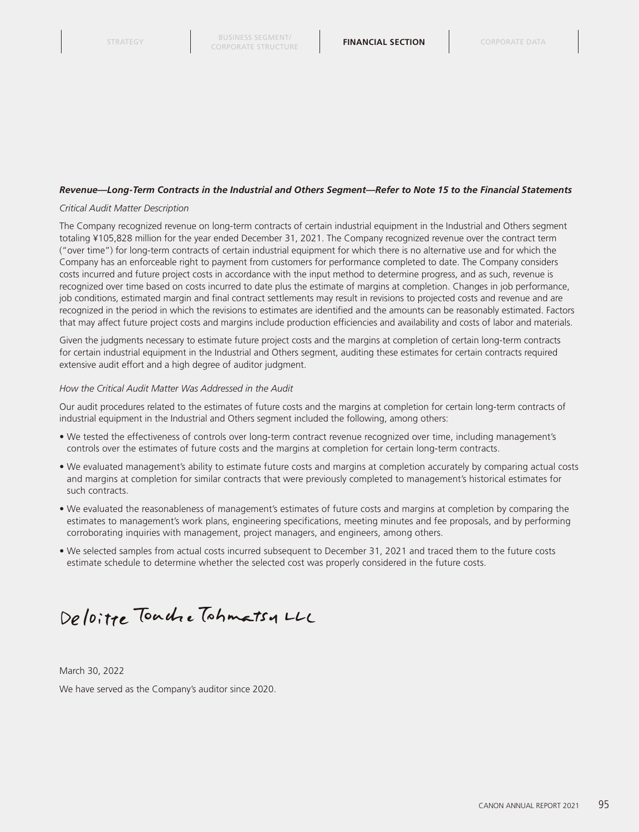#### *Revenue—Long-Term Contracts in the Industrial and Others Segment—Refer to Note 15 to the Financial Statements*

#### *Critical Audit Matter Description*

The Company recognized revenue on long-term contracts of certain industrial equipment in the Industrial and Others segment totaling ¥105,828 million for the year ended December 31, 2021. The Company recognized revenue over the contract term ("over time") for long-term contracts of certain industrial equipment for which there is no alternative use and for which the Company has an enforceable right to payment from customers for performance completed to date. The Company considers costs incurred and future project costs in accordance with the input method to determine progress, and as such, revenue is recognized over time based on costs incurred to date plus the estimate of margins at completion. Changes in job performance, job conditions, estimated margin and final contract settlements may result in revisions to projected costs and revenue and are recognized in the period in which the revisions to estimates are identified and the amounts can be reasonably estimated. Factors that may affect future project costs and margins include production efficiencies and availability and costs of labor and materials.

Given the judgments necessary to estimate future project costs and the margins at completion of certain long-term contracts for certain industrial equipment in the Industrial and Others segment, auditing these estimates for certain contracts required extensive audit effort and a high degree of auditor judgment.

#### *How the Critical Audit Matter Was Addressed in the Audit*

Our audit procedures related to the estimates of future costs and the margins at completion for certain long-term contracts of industrial equipment in the Industrial and Others segment included the following, among others:

- We tested the effectiveness of controls over long-term contract revenue recognized over time, including management's controls over the estimates of future costs and the margins at completion for certain long-term contracts.
- We evaluated management's ability to estimate future costs and margins at completion accurately by comparing actual costs and margins at completion for similar contracts that were previously completed to management's historical estimates for such contracts.
- We evaluated the reasonableness of management's estimates of future costs and margins at completion by comparing the estimates to management's work plans, engineering specifications, meeting minutes and fee proposals, and by performing corroborating inquiries with management, project managers, and engineers, among others.
- We selected samples from actual costs incurred subsequent to December 31, 2021 and traced them to the future costs estimate schedule to determine whether the selected cost was properly considered in the future costs.

Deloitre Touche Tohmatsu LLC

March 30, 2022 We have served as the Company's auditor since 2020.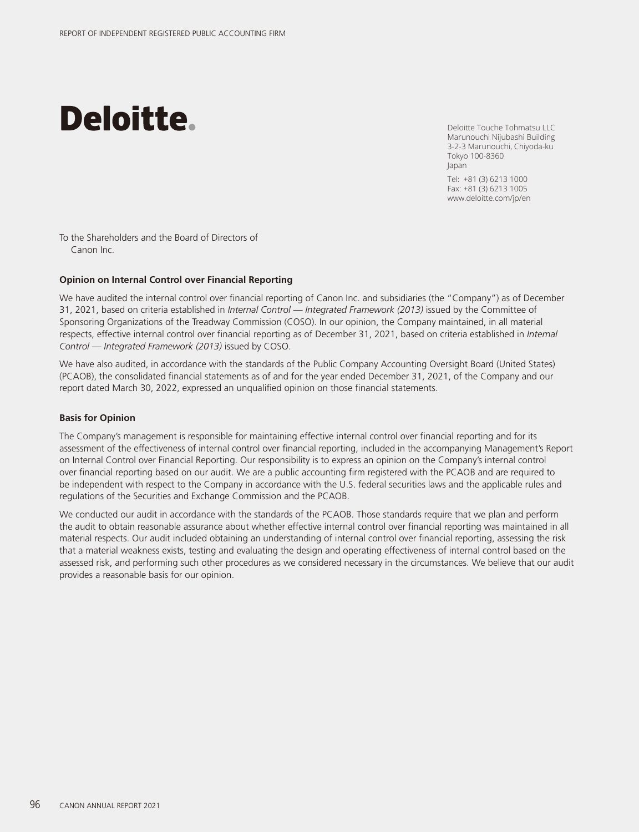

Deloitte Touche Tohmatsu LLC Marunouchi Nijubashi Building 3-2-3 Marunouchi, Chiyoda-ku Tokyo 100-8360 Japan

Tel: +81 (3) 6213 1000 Fax: +81 (3) 6213 1005 www.deloitte.com/jp/en

To the Shareholders and the Board of Directors of Canon Inc.

# **Opinion on Internal Control over Financial Reporting**

We have audited the internal control over financial reporting of Canon Inc. and subsidiaries (the "Company") as of December 31, 2021, based on criteria established in *Internal Control — Integrated Framework (2013)* issued by the Committee of Sponsoring Organizations of the Treadway Commission (COSO). In our opinion, the Company maintained, in all material respects, effective internal control over financial reporting as of December 31, 2021, based on criteria established in *Internal Control — Integrated Framework (2013)* issued by COSO.

We have also audited, in accordance with the standards of the Public Company Accounting Oversight Board (United States) (PCAOB), the consolidated financial statements as of and for the year ended December 31, 2021, of the Company and our report dated March 30, 2022, expressed an unqualified opinion on those financial statements.

#### **Basis for Opinion**

The Company's management is responsible for maintaining effective internal control over financial reporting and for its assessment of the effectiveness of internal control over financial reporting, included in the accompanying Management's Report on Internal Control over Financial Reporting. Our responsibility is to express an opinion on the Company's internal control over financial reporting based on our audit. We are a public accounting firm registered with the PCAOB and are required to be independent with respect to the Company in accordance with the U.S. federal securities laws and the applicable rules and regulations of the Securities and Exchange Commission and the PCAOB.

We conducted our audit in accordance with the standards of the PCAOB. Those standards require that we plan and perform the audit to obtain reasonable assurance about whether effective internal control over financial reporting was maintained in all material respects. Our audit included obtaining an understanding of internal control over financial reporting, assessing the risk that a material weakness exists, testing and evaluating the design and operating effectiveness of internal control based on the assessed risk, and performing such other procedures as we considered necessary in the circumstances. We believe that our audit provides a reasonable basis for our opinion.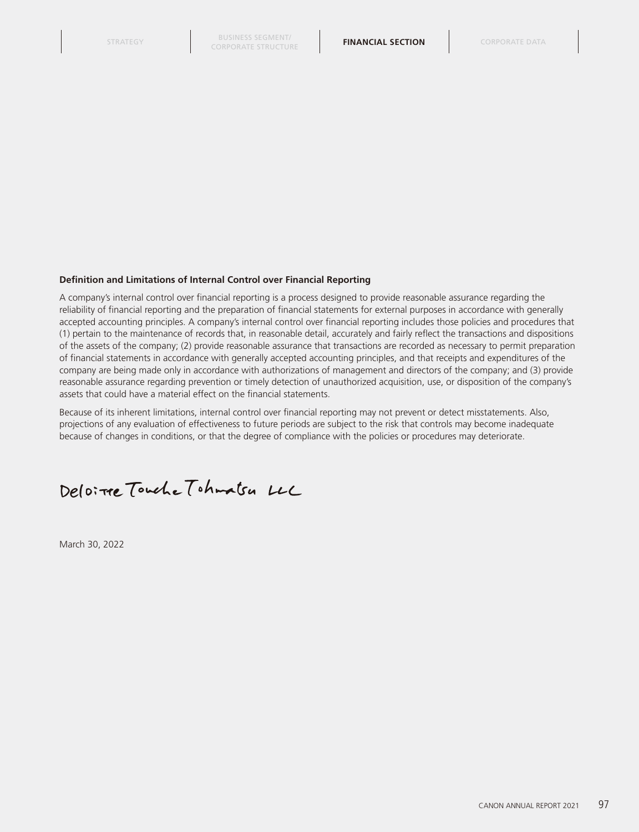#### **Definition and Limitations of Internal Control over Financial Reporting**

A company's internal control over financial reporting is a process designed to provide reasonable assurance regarding the reliability of financial reporting and the preparation of financial statements for external purposes in accordance with generally accepted accounting principles. A company's internal control over financial reporting includes those policies and procedures that (1) pertain to the maintenance of records that, in reasonable detail, accurately and fairly reflect the transactions and dispositions of the assets of the company; (2) provide reasonable assurance that transactions are recorded as necessary to permit preparation of financial statements in accordance with generally accepted accounting principles, and that receipts and expenditures of the company are being made only in accordance with authorizations of management and directors of the company; and (3) provide reasonable assurance regarding prevention or timely detection of unauthorized acquisition, use, or disposition of the company's assets that could have a material effect on the financial statements.

Because of its inherent limitations, internal control over financial reporting may not prevent or detect misstatements. Also, projections of any evaluation of effectiveness to future periods are subject to the risk that controls may become inadequate because of changes in conditions, or that the degree of compliance with the policies or procedures may deteriorate.

Deloire Touche Tohmatsu LLC

March 30, 2022